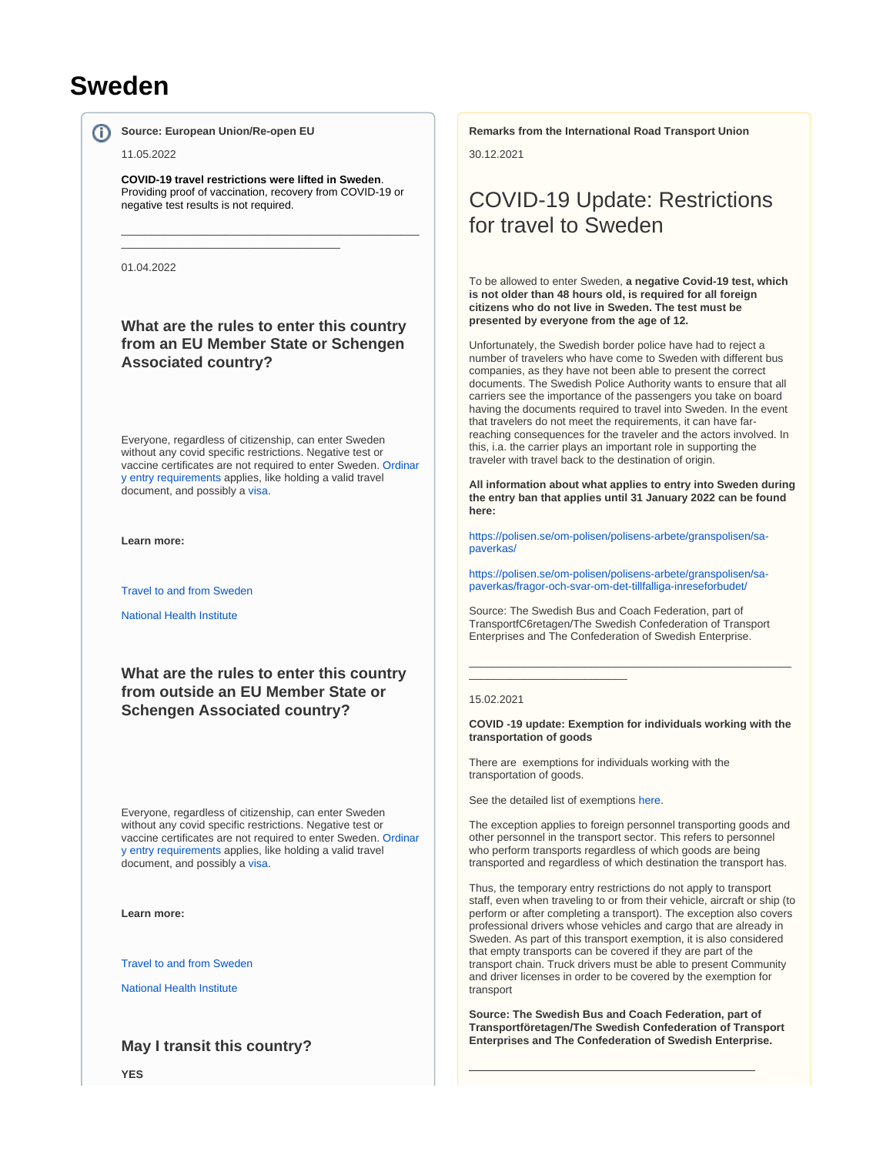# **Sweden**

൹

**Source: European Union/Re-open EU**

\_\_\_\_\_\_\_\_\_\_\_\_\_\_\_\_\_\_\_\_\_\_\_\_\_\_\_\_\_\_\_\_\_\_\_\_

#### 11.05.2022

**COVID-19 travel restrictions were lifted in Sweden**. Providing proof of vaccination, recovery from COVID-19 or negative test results is not required.

\_\_\_\_\_\_\_\_\_\_\_\_\_\_\_\_\_\_\_\_\_\_\_\_\_\_\_\_\_\_\_\_\_\_\_\_\_\_\_\_\_\_\_\_\_\_\_\_\_

01.04.2022

**What are the rules to enter this country from an EU Member State or Schengen Associated country?**

Everyone, regardless of citizenship, can enter Sweden without any covid specific restrictions. Negative test or vaccine certificates are not required to enter Sweden. [Ordinar](https://www.migrationsverket.se/English/Private-individuals/Visiting-Sweden.html) [y entry requirements](https://www.migrationsverket.se/English/Private-individuals/Visiting-Sweden.html) applies, like holding a valid travel document, and possibly a [visa.](https://www.government.se/government-policy/migration-and-asylum/list-of-foreign-citizens-who-require-visa-for-entry-into-sweden/)

**Learn more:**

[Travel to and from Sweden](https://polisen.se/en/the-swedish-police/the-coronavirus-and-the-swedish-police/travel-to-and-from-sweden/)

[National Health Institute](https://www.folkhalsomyndigheten.se/the-public-health-agency-of-sweden/communicable-disease-control/covid-19/)

**What are the rules to enter this country from outside an EU Member State or Schengen Associated country?**

Everyone, regardless of citizenship, can enter Sweden without any covid specific restrictions. Negative test or vaccine certificates are not required to enter Sweden. [Ordinar](https://www.migrationsverket.se/English/Private-individuals/Visiting-Sweden.html) [y entry requirements](https://www.migrationsverket.se/English/Private-individuals/Visiting-Sweden.html) applies, like holding a valid travel document, and possibly a [visa.](https://www.government.se/government-policy/migration-and-asylum/list-of-foreign-citizens-who-require-visa-for-entry-into-sweden/)

**Learn more:**

[Travel to and from Sweden](https://polisen.se/en/the-swedish-police/the-coronavirus-and-the-swedish-police/travel-to-and-from-sweden/)

[National Health Institute](https://www.folkhalsomyndigheten.se/the-public-health-agency-of-sweden/communicable-disease-control/covid-19/)

### **May I transit this country?**

**Remarks from the International Road Transport Union**

30.12.2021

# COVID-19 Update: Restrictions for travel to Sweden

To be allowed to enter Sweden, **a negative Covid-19 test, which is not older than 48 hours old, is required for all foreign citizens who do not live in Sweden. The test must be presented by everyone from the age of 12.**

Unfortunately, the Swedish border police have had to reject a number of travelers who have come to Sweden with different bus companies, as they have not been able to present the correct documents. The Swedish Police Authority wants to ensure that all carriers see the importance of the passengers you take on board having the documents required to travel into Sweden. In the event that travelers do not meet the requirements, it can have farreaching consequences for the traveler and the actors involved. In this, i.a. the carrier plays an important role in supporting the traveler with travel back to the destination of origin.

**All information about what applies to entry into Sweden during the entry ban that applies until 31 January 2022 can be found here:**

[https://polisen.se/om-polisen/polisens-arbete/granspolisen/sa](https://eur02.safelinks.protection.outlook.com/?url=https%3A%2F%2Fpolisen.se%2Fom-polisen%2Fpolisens-arbete%2Fgranspolisen%2Fsa-paverkas%2F&data=04%7C01%7Canna.gronlund%40transportforetagen.se%7C3665a79733514f8a07ad08d9cabef84f%7C1d019c94da7b49c2bf935ee1bb4b6882%7C0%7C0%7C637763743818640549%7CUnknown%7CTWFpbGZsb3d8eyJWIjoiMC4wLjAwMDAiLCJQIjoiV2luMzIiLCJBTiI6Ik1haWwiLCJXVCI6Mn0%3D%7C3000&sdata=YqTLMLpiaRfG2Xt%2BxNtsRyseCcPBDkt0rYcZjq8SlYo%3D&reserved=0)[paverkas/](https://eur02.safelinks.protection.outlook.com/?url=https%3A%2F%2Fpolisen.se%2Fom-polisen%2Fpolisens-arbete%2Fgranspolisen%2Fsa-paverkas%2F&data=04%7C01%7Canna.gronlund%40transportforetagen.se%7C3665a79733514f8a07ad08d9cabef84f%7C1d019c94da7b49c2bf935ee1bb4b6882%7C0%7C0%7C637763743818640549%7CUnknown%7CTWFpbGZsb3d8eyJWIjoiMC4wLjAwMDAiLCJQIjoiV2luMzIiLCJBTiI6Ik1haWwiLCJXVCI6Mn0%3D%7C3000&sdata=YqTLMLpiaRfG2Xt%2BxNtsRyseCcPBDkt0rYcZjq8SlYo%3D&reserved=0)

[https://polisen.se/om-polisen/polisens-arbete/granspolisen/sa](https://eur02.safelinks.protection.outlook.com/?url=https%3A%2F%2Fpolisen.se%2Fom-polisen%2Fpolisens-arbete%2Fgranspolisen%2Fsa-paverkas%2Ffragor-och-svar-om-det-tillfalliga-inreseforbudet%2F&data=04%7C01%7Canna.gronlund%40transportforetagen.se%7C3665a79733514f8a07ad08d9cabef84f%7C1d019c94da7b49c2bf935ee1bb4b6882%7C0%7C0%7C637763743818640549%7CUnknown%7CTWFpbGZsb3d8eyJWIjoiMC4wLjAwMDAiLCJQIjoiV2luMzIiLCJBTiI6Ik1haWwiLCJXVCI6Mn0%3D%7C3000&sdata=BCoETWIgRHW%2Fm8laSWItlmdv45PNzbFgMlw7HigkfO8%3D&reserved=0)[paverkas/fragor-och-svar-om-det-tillfalliga-inreseforbudet/](https://eur02.safelinks.protection.outlook.com/?url=https%3A%2F%2Fpolisen.se%2Fom-polisen%2Fpolisens-arbete%2Fgranspolisen%2Fsa-paverkas%2Ffragor-och-svar-om-det-tillfalliga-inreseforbudet%2F&data=04%7C01%7Canna.gronlund%40transportforetagen.se%7C3665a79733514f8a07ad08d9cabef84f%7C1d019c94da7b49c2bf935ee1bb4b6882%7C0%7C0%7C637763743818640549%7CUnknown%7CTWFpbGZsb3d8eyJWIjoiMC4wLjAwMDAiLCJQIjoiV2luMzIiLCJBTiI6Ik1haWwiLCJXVCI6Mn0%3D%7C3000&sdata=BCoETWIgRHW%2Fm8laSWItlmdv45PNzbFgMlw7HigkfO8%3D&reserved=0)

Source: The Swedish Bus and Coach Federation, part of TransportfC6retagen/The Swedish Confederation of Transport Enterprises and The Confederation of Swedish Enterprise.

#### 15.02.2021

**COVID -19 update: Exemption for individuals working with the transportation of goods**

\_\_\_\_\_\_\_\_\_\_\_\_\_\_\_\_\_\_\_\_\_\_\_\_\_\_\_\_\_\_\_\_\_\_\_\_\_\_\_\_\_\_\_\_\_\_\_\_\_\_\_\_\_

There are exemptions for individuals working with the transportation of goods.

See the detailed list of exemptions [here](https://polisen.se/en/the-swedish-police/the-coronavirus-and-the-swedish-police/travel-to-and-from-sweden/).

\_\_\_\_\_\_\_\_\_\_\_\_\_\_\_\_\_\_\_\_\_\_\_\_\_\_

The exception applies to foreign personnel transporting goods and other personnel in the transport sector. This refers to personnel who perform transports regardless of which goods are being transported and regardless of which destination the transport has.

Thus, the temporary entry restrictions do not apply to transport staff, even when traveling to or from their vehicle, aircraft or ship (to perform or after completing a transport). The exception also covers professional drivers whose vehicles and cargo that are already in Sweden. As part of this transport exemption, it is also considered that empty transports can be covered if they are part of the transport chain. Truck drivers must be able to present Community and driver licenses in order to be covered by the exemption for transport

**Source: The Swedish Bus and Coach Federation, part of Transportföretagen/The Swedish Confederation of Transport Enterprises and The Confederation of Swedish Enterprise.**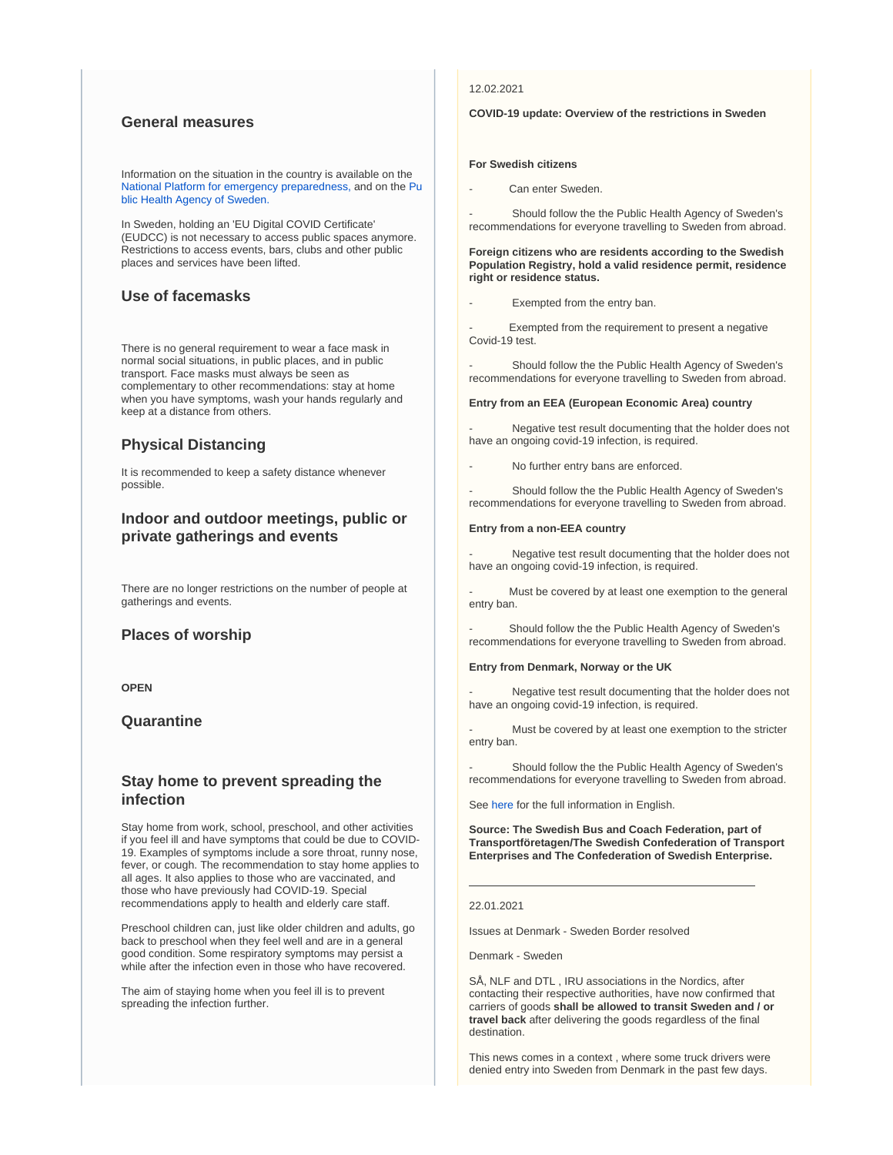### **General measures**

Information on the situation in the country is available on the [National Platform for emergency preparedness,](https://www.krisinformation.se/en/hazards-and-risks/disasters-and-incidents/2020/official-information-on-the-new-coronavirus) and on the [Pu](https://www.folkhalsomyndigheten.se/the-public-health-agency-of-sweden/) [blic Health Agency of Sweden.](https://www.folkhalsomyndigheten.se/the-public-health-agency-of-sweden/)

In Sweden, holding an 'EU Digital COVID Certificate' (EUDCC) is not necessary to access public spaces anymore. Restrictions to access events, bars, clubs and other public places and services have been lifted.

### **Use of facemasks**

There is no general requirement to wear a face mask in normal social situations, in public places, and in public transport. Face masks must always be seen as complementary to other recommendations: stay at home when you have symptoms, wash your hands regularly and keep at a distance from others.

### **Physical Distancing**

It is recommended to keep a safety distance whenever possible.

### **Indoor and outdoor meetings, public or private gatherings and events**

There are no longer restrictions on the number of people at gatherings and events.

### **Places of worship**

**OPEN**

### **Quarantine**

### **Stay home to prevent spreading the infection**

Stay home from work, school, preschool, and other activities if you feel ill and have symptoms that could be due to COVID-19. Examples of symptoms include a sore throat, runny nose, fever, or cough. The recommendation to stay home applies to all ages. It also applies to those who are vaccinated, and those who have previously had COVID-19. Special recommendations apply to health and elderly care staff.

Preschool children can, just like older children and adults, go back to preschool when they feel well and are in a general good condition. Some respiratory symptoms may persist a while after the infection even in those who have recovered.

The aim of staying home when you feel ill is to prevent spreading the infection further.

### 12.02.2021

#### **COVID-19 update: Overview of the restrictions in Sweden**

#### **For Swedish citizens**

Can enter Sweden.

Should follow the the Public Health Agency of Sweden's recommendations for everyone travelling to Sweden from abroad.

#### **Foreign citizens who are residents according to the Swedish Population Registry, hold a valid residence permit, residence right or residence status.**

Exempted from the entry ban.

Exempted from the requirement to present a negative Covid-19 test.

Should follow the the Public Health Agency of Sweden's recommendations for everyone travelling to Sweden from abroad.

#### **Entry from an EEA (European Economic Area) country**

Negative test result documenting that the holder does not have an ongoing covid-19 infection, is required.

No further entry bans are enforced.

Should follow the the Public Health Agency of Sweden's recommendations for everyone travelling to Sweden from abroad.

#### **Entry from a non-EEA country**

Negative test result documenting that the holder does not have an ongoing covid-19 infection, is required.

Must be covered by at least one exemption to the general entry ban.

Should follow the the Public Health Agency of Sweden's recommendations for everyone travelling to Sweden from abroad.

#### **Entry from Denmark, Norway or the UK**

Negative test result documenting that the holder does not have an ongoing covid-19 infection, is required.

Must be covered by at least one exemption to the stricter entry ban.

Should follow the the Public Health Agency of Sweden's recommendations for everyone travelling to Sweden from abroad.

See [here](https://polisen.se/en/the-swedish-police/the-coronavirus-and-the-swedish-police/travel-to-and-from-sweden/) for the full information in English.

**Source: The Swedish Bus and Coach Federation, part of Transportföretagen/The Swedish Confederation of Transport Enterprises and The Confederation of Swedish Enterprise.** 

#### 22.01.2021

Issues at Denmark - Sweden Border resolved

Denmark - Sweden

SÅ, NLF and DTL , IRU associations in the Nordics, after contacting their respective authorities, have now confirmed that carriers of goods **shall be allowed to transit Sweden and / or travel back** after delivering the goods regardless of the final destination.

This news comes in a context , where some truck drivers were denied entry into Sweden from Denmark in the past few days.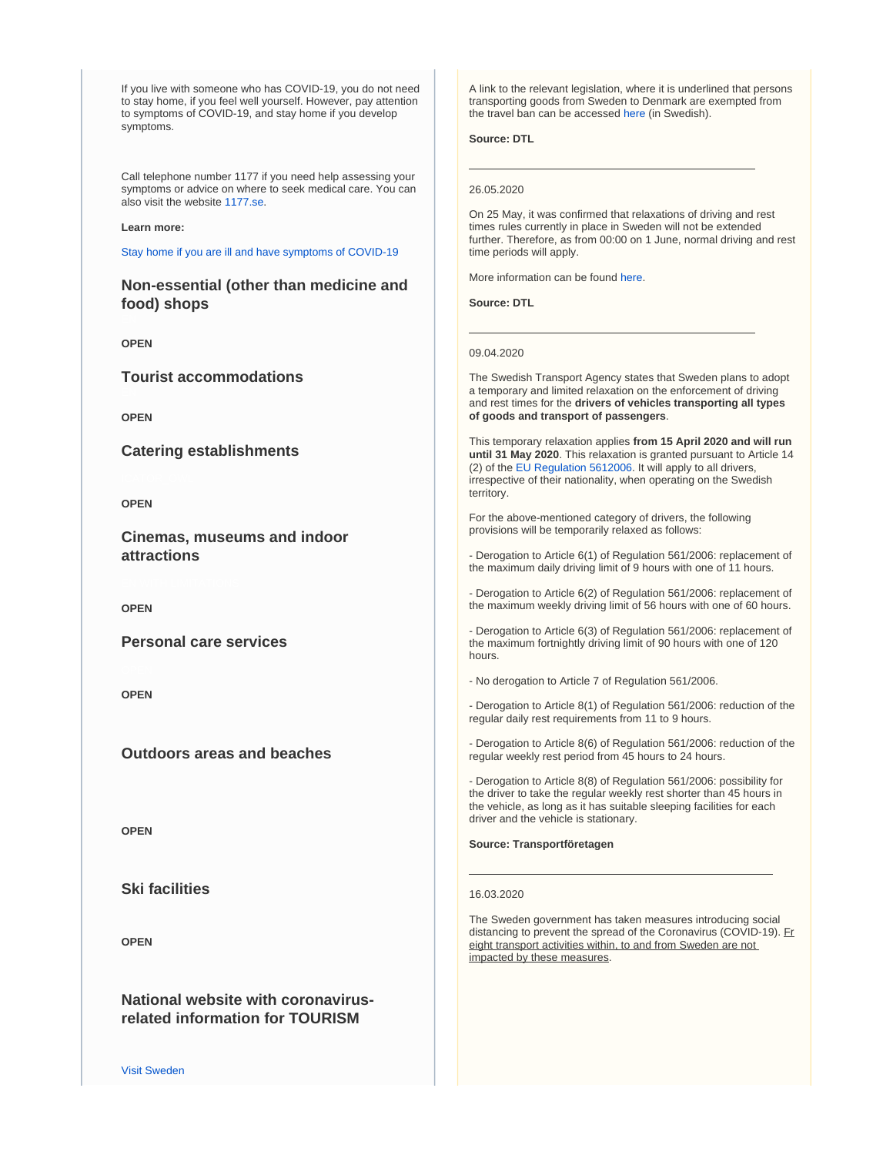If you live with someone who has COVID-19, you do not need to stay home, if you feel well yourself. However, pay attention to symptoms of COVID-19, and stay home if you develop symptoms.

Call telephone number 1177 if you need help assessing your symptoms or advice on where to seek medical care. You can also visit the website [1177.se.](http://1177.se)

#### **Learn more:**

[Stay home if you are ill and have symptoms of COVID-19](https://www.folkhalsomyndigheten.se/the-public-health-agency-of-sweden/communicable-disease-control/covid-19/how-to-protect-yourself-and-others-covid-19-recommendations/symptoms-of-covid-19/)

**Non-essential (other than medicine and food) shops**

**OPEN**

**Tourist accommodations**

**OPEN**

**Catering establishments**

**OPEN**

**Cinemas, museums and indoor attractions**

**OPEN**

**Personal care services**

**OPEN**

**Outdoors areas and beaches**

**OPEN**

**Ski facilities**

**OPEN**

**National website with coronavirusrelated information for TOURISM**

A link to the relevant legislation, where it is underlined that persons transporting goods from Sweden to Denmark are exempted from the travel ban can be accessed [here](https://www.riksdagen.se/sv/dokument-lagar/dokument/svensk-forfattningssamling/forordning-20201258-om-tillfalligt_sfs-2020-1258) (in Swedish).

**Source: DTL**

#### 26.05.2020

On 25 May, it was confirmed that relaxations of driving and rest times rules currently in place in Sweden will not be extended further. Therefore, as from 00:00 on 1 June, normal driving and rest time periods will apply.

More information can be found [here.](https://eur03.safelinks.protection.outlook.com/?url=https%3A%2F%2Fwww.akeri.se%2Fsv%2Finget-fortsatt-undantag-fran-kor-och-vilotidsreglerna&data=02%7C01%7Ctlh%40nla.eu%7C5ed7875eb75341a3302908d80176c9ae%7C7a846839e4004e3799011b7762975903%7C1%7C0%7C637260956988984601&sdata=uf1zkOD69PuDq1yCxdjnGEawLyQCS4kgE%2B0RjGCMI%2Fc%3D&reserved=0)

**Source: DTL**

09.04.2020

The Swedish Transport Agency states that Sweden plans to adopt a temporary and limited relaxation on the enforcement of driving and rest times for the **drivers of vehicles transporting all types of goods and transport of passengers**.

This temporary relaxation applies **from 15 April 2020 and will run until 31 May 2020**. This relaxation is granted pursuant to Article 14 (2) of the [EU Regulation 5612006.](https://www.iru.org/apps/cms-filesystem-action?file=/flashinfo/EU%20Regulation%20No.%20561%202006.pdf) It will apply to all drivers, irrespective of their nationality, when operating on the Swedish territory.

For the above-mentioned category of drivers, the following provisions will be temporarily relaxed as follows:

- Derogation to Article 6(1) of Regulation 561/2006: replacement of the maximum daily driving limit of 9 hours with one of 11 hours.

- Derogation to Article 6(2) of Regulation 561/2006: replacement of the maximum weekly driving limit of 56 hours with one of 60 hours.

- Derogation to Article 6(3) of Regulation 561/2006: replacement of the maximum fortnightly driving limit of 90 hours with one of 120 hours.

- No derogation to Article 7 of Regulation 561/2006.

- Derogation to Article 8(1) of Regulation 561/2006: reduction of the regular daily rest requirements from 11 to 9 hours.

- Derogation to Article 8(6) of Regulation 561/2006: reduction of the regular weekly rest period from 45 hours to 24 hours.

- Derogation to Article 8(8) of Regulation 561/2006: possibility for the driver to take the regular weekly rest shorter than 45 hours in the vehicle, as long as it has suitable sleeping facilities for each driver and the vehicle is stationary.

**Source: Transportföretagen**

#### 16.03.2020

The Sweden government has taken measures introducing social distancing to prevent the spread of the Coronavirus (COVID-19). Fr eight transport activities within, to and from Sweden are not impacted by these measures.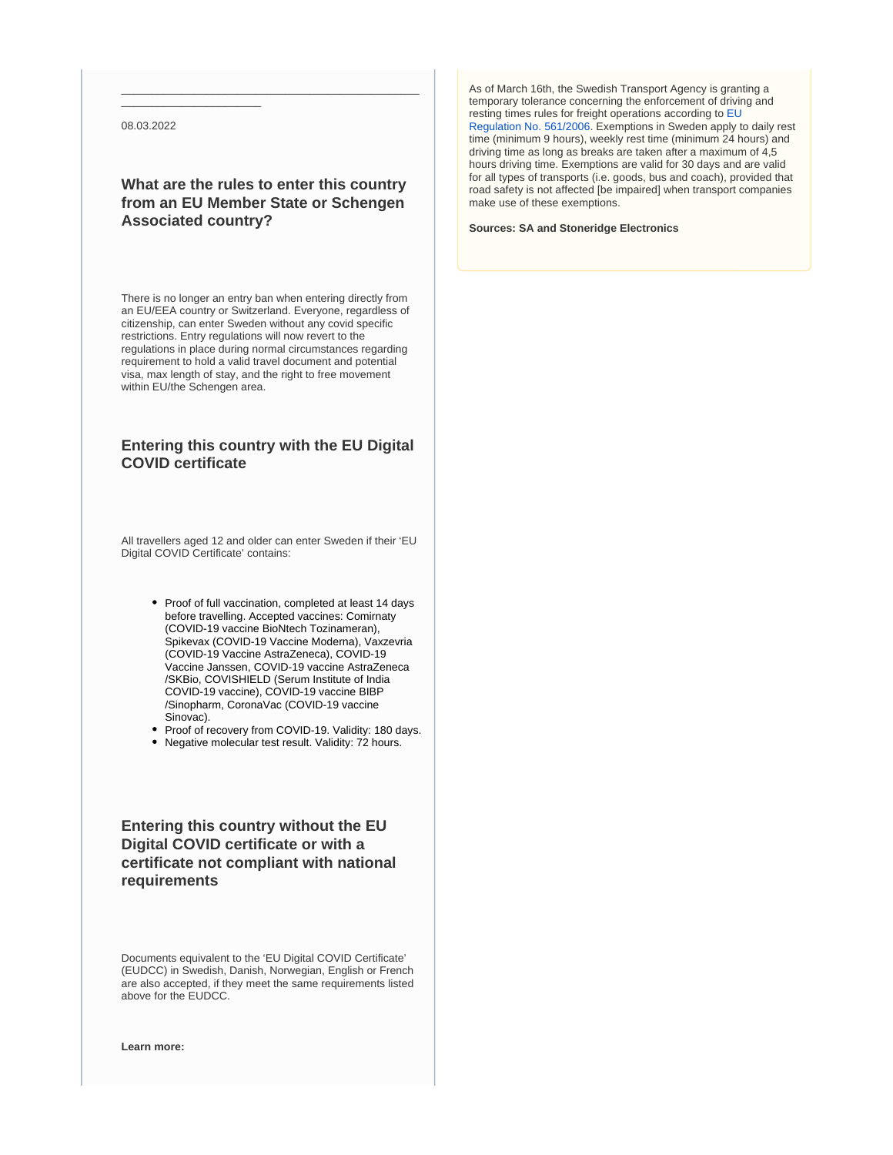08.03.2022

\_\_\_\_\_\_\_\_\_\_\_\_\_\_\_\_\_\_\_\_\_\_\_

### **What are the rules to enter this country from an EU Member State or Schengen Associated country?**

\_\_\_\_\_\_\_\_\_\_\_\_\_\_\_\_\_\_\_\_\_\_\_\_\_\_\_\_\_\_\_\_\_\_\_\_\_\_\_\_\_\_\_\_\_\_\_\_\_

There is no longer an entry ban when entering directly from an EU/EEA country or Switzerland. Everyone, regardless of citizenship, can enter Sweden without any covid specific restrictions. Entry regulations will now revert to the regulations in place during normal circumstances regarding requirement to hold a valid travel document and potential visa, max length of stay, and the right to free movement within EU/the Schengen area.

### **Entering this country with the EU Digital COVID certificate**

All travellers aged 12 and older can enter Sweden if their 'EU Digital COVID Certificate' contains:

- Proof of full vaccination, completed at least 14 days before travelling. Accepted vaccines: Comirnaty (COVID-19 vaccine BioNtech Tozinameran), Spikevax (COVID-19 Vaccine Moderna), Vaxzevria (COVID-19 Vaccine AstraZeneca), COVID-19 Vaccine Janssen, COVID-19 vaccine AstraZeneca /SKBio, COVISHIELD (Serum Institute of India COVID-19 vaccine), COVID-19 vaccine BIBP /Sinopharm, CoronaVac (COVID-19 vaccine Sinovac).
- Proof of recovery from COVID-19. Validity: 180 days.
- Negative molecular test result. Validity: 72 hours.

**Entering this country without the EU Digital COVID certificate or with a certificate not compliant with national requirements**

Documents equivalent to the 'EU Digital COVID Certificate' (EUDCC) in Swedish, Danish, Norwegian, English or French are also accepted, if they meet the same requirements listed above for the EUDCC.

**Learn more:**

As of March 16th, the Swedish Transport Agency is granting a temporary tolerance concerning the enforcement of driving and resting times rules for freight operations according to [EU](https://www.iru.org/apps/cms-filesystem-action?file=/flashinfo/EU%20Regulation%20No.%20561%202006.pdf)  [Regulation No. 561/2006.](https://www.iru.org/apps/cms-filesystem-action?file=/flashinfo/EU%20Regulation%20No.%20561%202006.pdf) Exemptions in Sweden apply to daily rest time (minimum 9 hours), weekly rest time (minimum 24 hours) and driving time as long as breaks are taken after a maximum of 4,5 hours driving time. Exemptions are valid for 30 days and are valid for all types of transports (i.e. goods, bus and coach), provided that road safety is not affected [be impaired] when transport companies make use of these exemptions.

**Sources: SA and Stoneridge Electronics**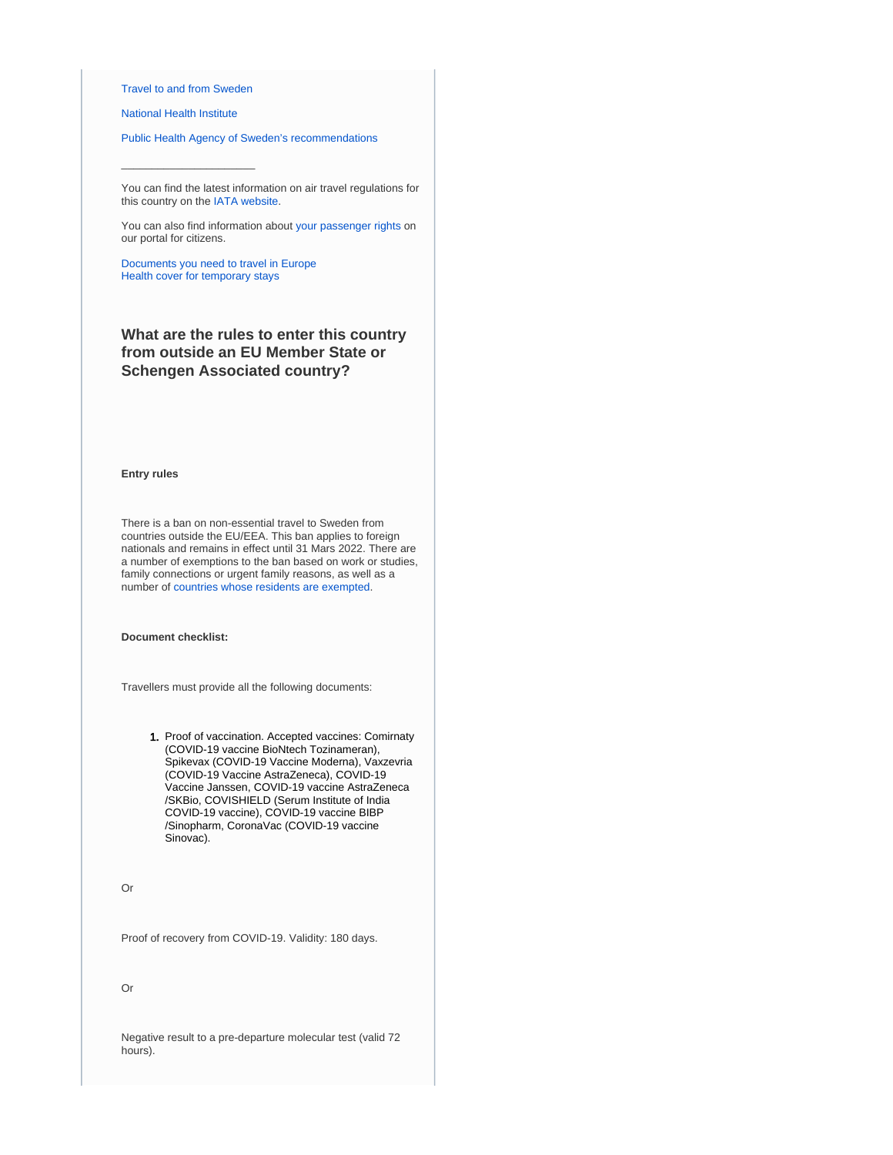#### [Travel to and from Sweden](https://polisen.se/en/the-swedish-police/the-coronavirus-and-the-swedish-police/travel-to-and-from-sweden/)

 $\_$ 

[National Health Institute](https://www.folkhalsomyndigheten.se/the-public-health-agency-of-sweden/communicable-disease-control/covid-19/)

[Public Health Agency of Sweden's recommendations](https://www.folkhalsomyndigheten.se/the-public-health-agency-of-sweden/communicable-disease-control/covid-19/if-you-are-planning-to-travel/recommendations-for-those-travelling/)

You can find the latest information on air travel regulations for this country on the [IATA website.](https://www.iatatravelcentre.com/international-travel-document-news/1580226297.htm)

You can also find information about [your passenger rights](https://europa.eu/youreurope/citizens/travel/passenger-rights/index_en.htm) on our portal for citizens.

[Documents you need to travel in Europe](https://europa.eu/youreurope/citizens/travel/entry-exit/index_en.htm) [Health cover for temporary stays](https://europa.eu/youreurope/citizens/health/unplanned-healthcare/temporary-stays/index_en.htm)

### **What are the rules to enter this country from outside an EU Member State or Schengen Associated country?**

#### **Entry rules**

There is a ban on non-essential travel to Sweden from countries outside the EU/EEA. This ban applies to foreign nationals and remains in effect until 31 Mars 2022. There are a number of exemptions to the ban based on work or studies, family connections or urgent family reasons, as well as a number of [countries whose residents are exempted.](https://polisen.se/en/the-swedish-police/the-coronavirus-and-the-swedish-police/travel-to-and-from-sweden/#exempted)

**Document checklist:**

Travellers must provide all the following documents:

1. Proof of vaccination. Accepted vaccines: Comirnaty (COVID-19 vaccine BioNtech Tozinameran), Spikevax (COVID-19 Vaccine Moderna), Vaxzevria (COVID-19 Vaccine AstraZeneca), COVID-19 Vaccine Janssen, COVID-19 vaccine AstraZeneca /SKBio, COVISHIELD (Serum Institute of India COVID-19 vaccine), COVID-19 vaccine BIBP /Sinopharm, CoronaVac (COVID-19 vaccine Sinovac).

Or

Proof of recovery from COVID-19. Validity: 180 days.

Or

Negative result to a pre-departure molecular test (valid 72 hours).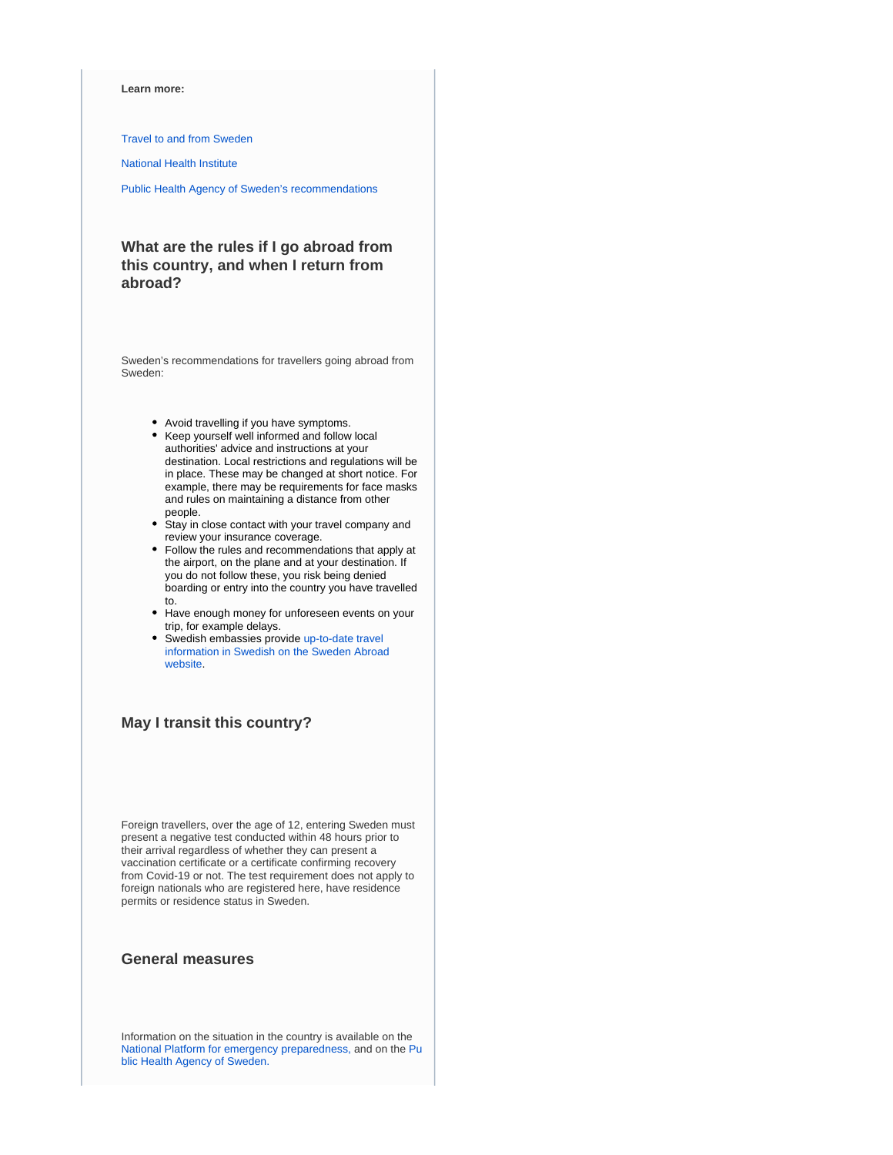#### **Learn more:**

[Travel to and from Sweden](https://polisen.se/en/the-swedish-police/the-coronavirus-and-the-swedish-police/travel-to-and-from-sweden/)

[National Health Institute](https://www.folkhalsomyndigheten.se/the-public-health-agency-of-sweden/communicable-disease-control/covid-19/)

[Public Health Agency of Sweden's recommendations](https://www.folkhalsomyndigheten.se/the-public-health-agency-of-sweden/communicable-disease-control/covid-19/if-you-are-planning-to-travel/recommendations-for-those-travelling/)

### **What are the rules if I go abroad from this country, and when I return from abroad?**

Sweden's recommendations for travellers going abroad from Sweden:

- Avoid travelling if you have symptoms.
- Keep yourself well informed and follow local authorities' advice and instructions at your destination. Local restrictions and regulations will be in place. These may be changed at short notice. For example, there may be requirements for face masks and rules on maintaining a distance from other people.
- Stay in close contact with your travel company and review your insurance coverage.
- Follow the rules and recommendations that apply at the airport, on the plane and at your destination. If you do not follow these, you risk being denied boarding or entry into the country you have travelled to.
- Have enough money for unforeseen events on your trip, for example delays.
- Swedish embassies provide up-to-date travel [information in Swedish on the Sweden Abroad](https://www.swedenabroad.se/en/)  [website.](https://www.swedenabroad.se/en/)

### **May I transit this country?**

Foreign travellers, over the age of 12, entering Sweden must present a negative test conducted within 48 hours prior to their arrival regardless of whether they can present a vaccination certificate or a certificate confirming recovery from Covid-19 or not. The test requirement does not apply to foreign nationals who are registered here, have residence permits or residence status in Sweden.

### **General measures**

Information on the situation in the country is available on the [National Platform for emergency preparedness,](https://www.krisinformation.se/en) and on the [Pu](https://www.folkhalsomyndigheten.se/the-public-health-agency-of-sweden/) [blic Health Agency of Sweden.](https://www.folkhalsomyndigheten.se/the-public-health-agency-of-sweden/)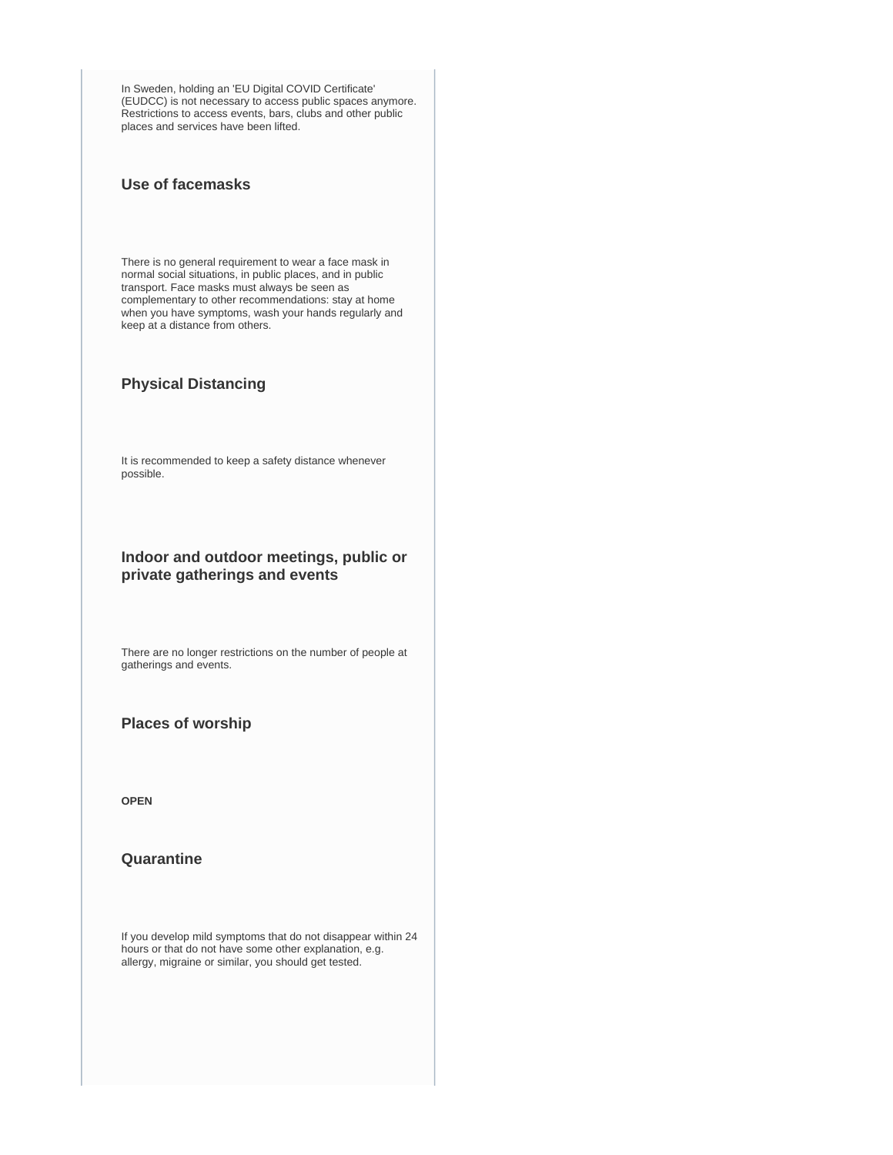In Sweden, holding an 'EU Digital COVID Certificate' (EUDCC) is not necessary to access public spaces anymore. Restrictions to access events, bars, clubs and other public places and services have been lifted.

### **Use of facemasks**

There is no general requirement to wear a face mask in normal social situations, in public places, and in public transport. Face masks must always be seen as complementary to other recommendations: stay at home when you have symptoms, wash your hands regularly and keep at a distance from others.

### **Physical Distancing**

It is recommended to keep a safety distance whenever possible.

### **Indoor and outdoor meetings, public or private gatherings and events**

There are no longer restrictions on the number of people at gatherings and events.

### **Places of worship**

**OPEN**

### **Quarantine**

If you develop mild symptoms that do not disappear within 24 hours or that do not have some other explanation, e.g. allergy, migraine or similar, you should get tested.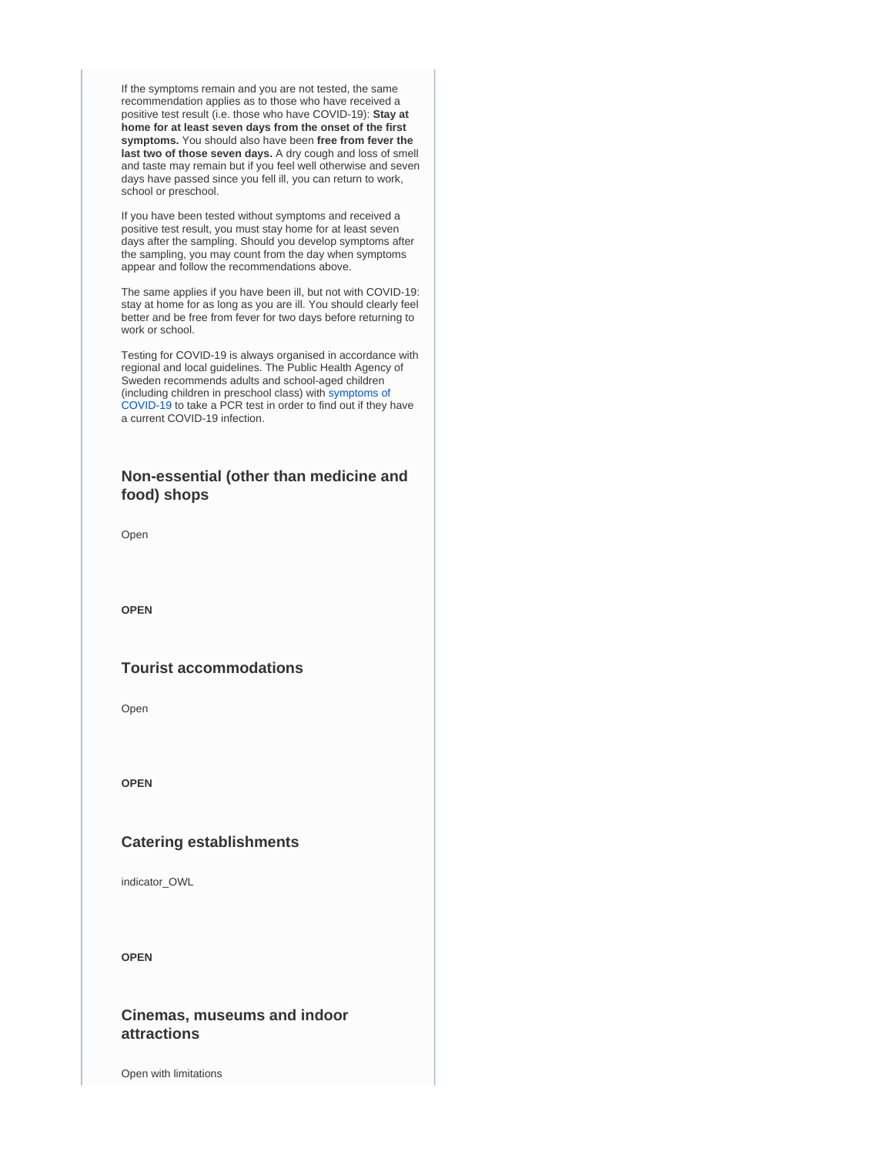If the symptoms remain and you are not tested, the same recommendation applies as to those who have received a positive test result (i.e. those who have COVID-19): **Stay at home for at least seven days from the onset of the first symptoms.** You should also have been **free from fever the last two of those seven days.** A dry cough and loss of smell and taste may remain but if you feel well otherwise and seven days have passed since you fell ill, you can return to work, school or preschool.

If you have been tested without symptoms and received a positive test result, you must stay home for at least seven days after the sampling. Should you develop symptoms after the sampling, you may count from the day when symptoms appear and follow the recommendations above.

The same applies if you have been ill, but not with COVID-19: stay at home for as long as you are ill. You should clearly feel better and be free from fever for two days before returning to work or school.

Testing for COVID-19 is always organised in accordance with regional and local guidelines. The Public Health Agency of Sweden recommends adults and school-aged children (including children in preschool class) with [symptoms of](https://www.folkhalsomyndigheten.se/the-public-health-agency-of-sweden/communicable-disease-control/covid-19/?exp=68197#_68197)  [COVID-19](https://www.folkhalsomyndigheten.se/the-public-health-agency-of-sweden/communicable-disease-control/covid-19/?exp=68197#_68197) to take a PCR test in order to find out if they have a current COVID-19 infection.

### **Non-essential (other than medicine and food) shops**

Open

**OPEN**

### **Tourist accommodations**

Open

**OPEN**

### **Catering establishments**

indicator\_OWL

**OPEN**

### **Cinemas, museums and indoor attractions**

Open with limitations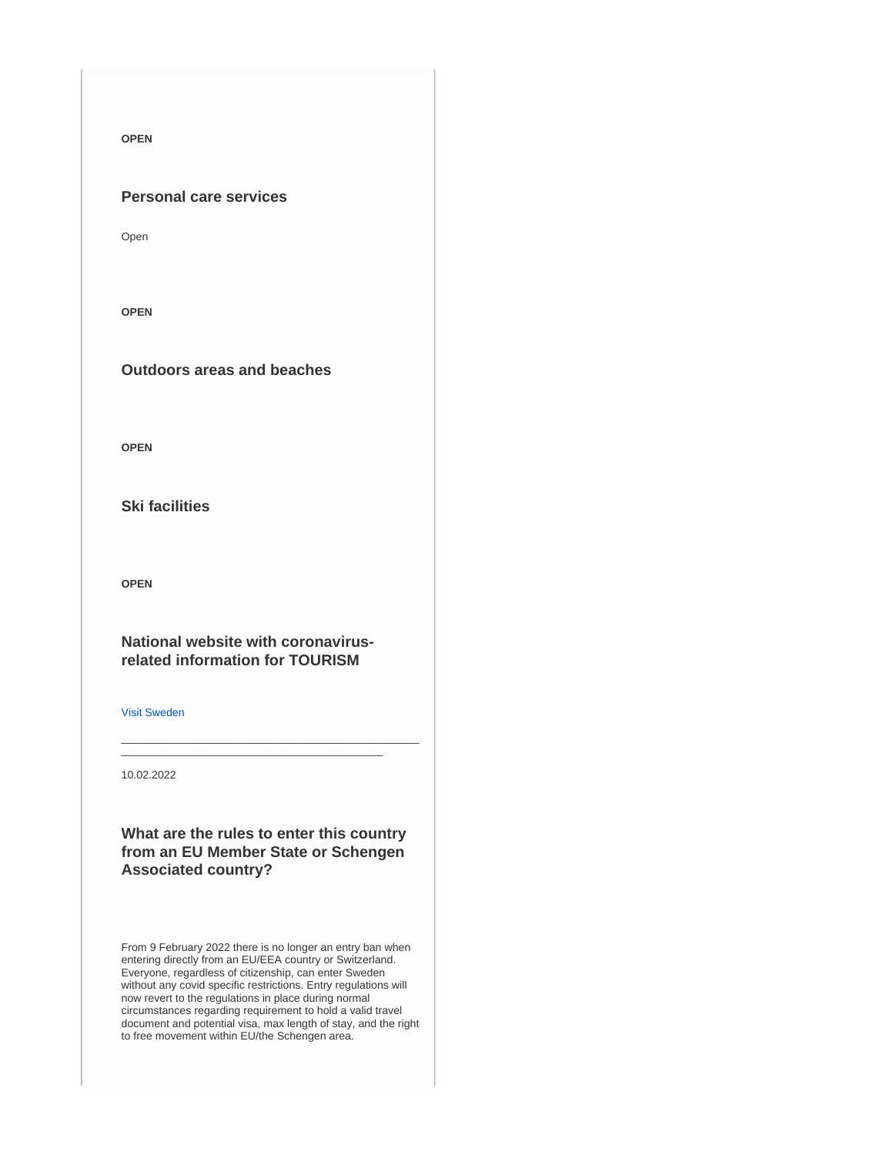**OPEN**

### **Personal care services**

Open

**OPEN**

**Outdoors areas and beaches**

**OPEN**

**Ski facilities**

**OPEN**

**National website with coronavirusrelated information for TOURISM**

[Visit Sweden](https://visitsweden.com/)

10.02.2022

**What are the rules to enter this country from an EU Member State or Schengen Associated country?**

\_\_\_\_\_\_\_\_\_\_\_\_\_\_\_\_\_\_\_\_\_\_\_\_\_\_\_\_\_\_\_\_\_\_\_\_\_\_\_\_\_\_\_\_\_\_\_\_\_ \_\_\_\_\_\_\_\_\_\_\_\_\_\_\_\_\_\_\_\_\_\_\_\_\_\_\_\_\_\_\_\_\_\_\_\_\_\_\_\_\_\_\_

From 9 February 2022 there is no longer an entry ban when entering directly from an EU/EEA country or Switzerland. Everyone, regardless of citizenship, can enter Sweden without any covid specific restrictions. Entry regulations will now revert to the regulations in place during normal circumstances regarding requirement to hold a valid travel document and potential visa, max length of stay, and the right to free movement within EU/the Schengen area.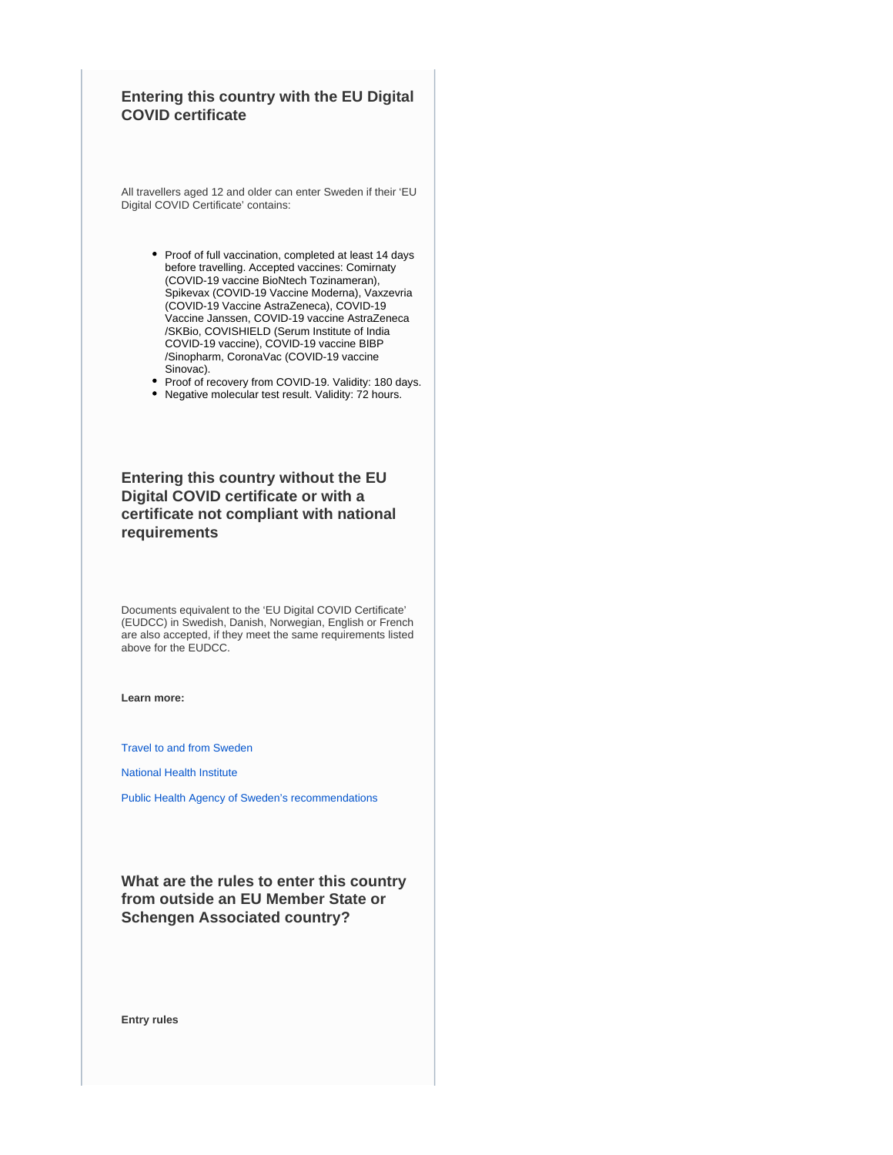### **Entering this country with the EU Digital COVID certificate**

All travellers aged 12 and older can enter Sweden if their 'EU Digital COVID Certificate' contains:

- Proof of full vaccination, completed at least 14 days before travelling. Accepted vaccines: Comirnaty (COVID-19 vaccine BioNtech Tozinameran), Spikevax (COVID-19 Vaccine Moderna), Vaxzevria (COVID-19 Vaccine AstraZeneca), COVID-19 Vaccine Janssen, COVID-19 vaccine AstraZeneca /SKBio, COVISHIELD (Serum Institute of India COVID-19 vaccine), COVID-19 vaccine BIBP /Sinopharm, CoronaVac (COVID-19 vaccine Sinovac).
- Proof of recovery from COVID-19. Validity: 180 days. Negative molecular test result. Validity: 72 hours.

**Entering this country without the EU Digital COVID certificate or with a certificate not compliant with national requirements**

Documents equivalent to the 'EU Digital COVID Certificate' (EUDCC) in Swedish, Danish, Norwegian, English or French are also accepted, if they meet the same requirements listed above for the EUDCC.

**Learn more:**

[Travel to and from Sweden](https://polisen.se/en/the-swedish-police/the-coronavirus-and-the-swedish-police/travel-to-and-from-sweden/)

[National Health Institute](https://www.folkhalsomyndigheten.se/the-public-health-agency-of-sweden/communicable-disease-control/covid-19/)

[Public Health Agency of Sweden's recommendations](https://www.folkhalsomyndigheten.se/the-public-health-agency-of-sweden/communicable-disease-control/covid-19/if-you-are-planning-to-travel/recommendations-for-those-travelling/)

**What are the rules to enter this country from outside an EU Member State or Schengen Associated country?**

**Entry rules**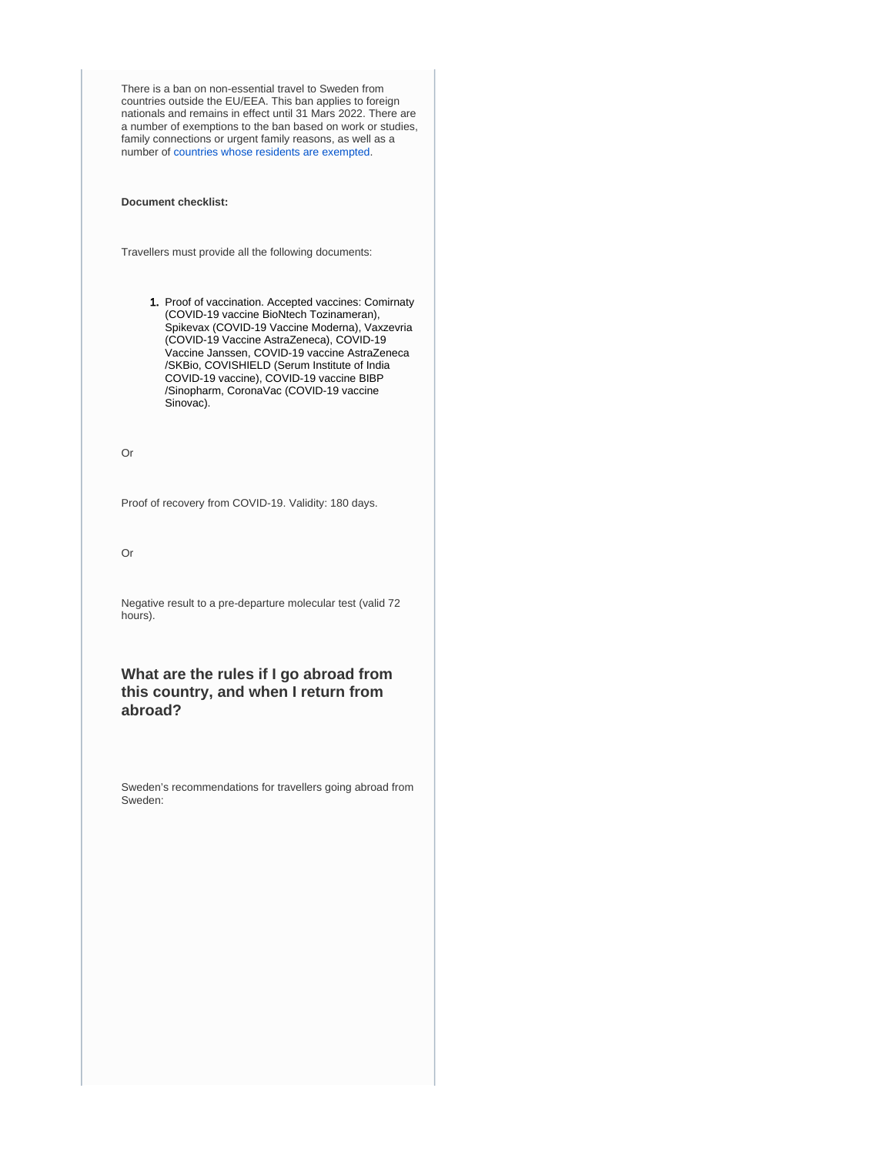There is a ban on non-essential travel to Sweden from countries outside the EU/EEA. This ban applies to foreign nationals and remains in effect until 31 Mars 2022. There are a number of exemptions to the ban based on work or studies, family connections or urgent family reasons, as well as a number of [countries whose residents are exempted.](https://polisen.se/en/the-swedish-police/the-coronavirus-and-the-swedish-police/travel-to-and-from-sweden/#exempted)

**Document checklist:**

Travellers must provide all the following documents:

1. Proof of vaccination. Accepted vaccines: Comirnaty (COVID-19 vaccine BioNtech Tozinameran), Spikevax (COVID-19 Vaccine Moderna), Vaxzevria (COVID-19 Vaccine AstraZeneca), COVID-19 Vaccine Janssen, COVID-19 vaccine AstraZeneca /SKBio, COVISHIELD (Serum Institute of India COVID-19 vaccine), COVID-19 vaccine BIBP /Sinopharm, CoronaVac (COVID-19 vaccine Sinovac).

Or

Proof of recovery from COVID-19. Validity: 180 days.

Or

Negative result to a pre-departure molecular test (valid 72 hours).

**What are the rules if I go abroad from this country, and when I return from abroad?**

Sweden's recommendations for travellers going abroad from Sweden: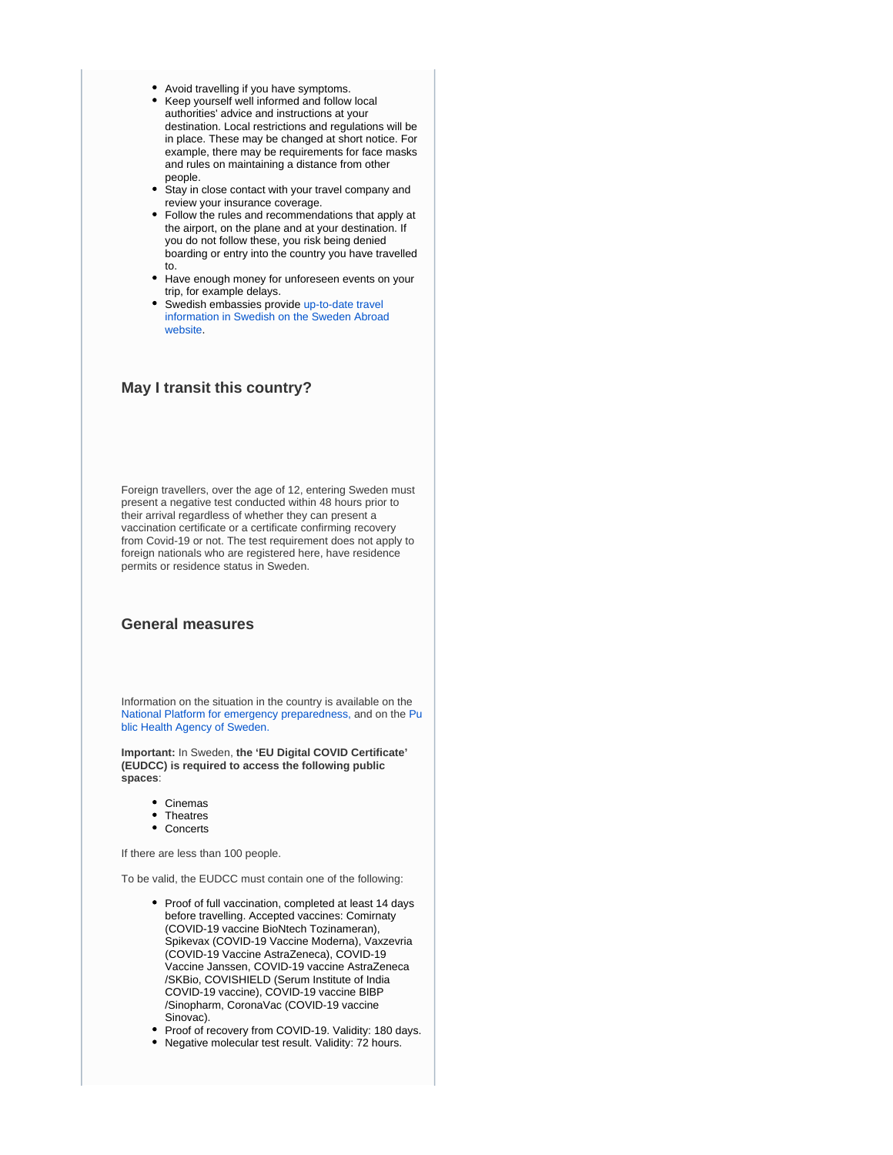- Avoid travelling if you have symptoms.
- Keep yourself well informed and follow local authorities' advice and instructions at your destination. Local restrictions and regulations will be in place. These may be changed at short notice. For example, there may be requirements for face masks and rules on maintaining a distance from other people.
- Stay in close contact with your travel company and review your insurance coverage.
- Follow the rules and recommendations that apply at the airport, on the plane and at your destination. If you do not follow these, you risk being denied boarding or entry into the country you have travelled to.
- Have enough money for unforeseen events on your trip, for example delays.
- $\bullet$ Swedish embassies provide [up-to-date travel](https://www.swedenabroad.se/en/)  [information in Swedish on the Sweden Abroad](https://www.swedenabroad.se/en/)  [website.](https://www.swedenabroad.se/en/)

### **May I transit this country?**

Foreign travellers, over the age of 12, entering Sweden must present a negative test conducted within 48 hours prior to their arrival regardless of whether they can present a vaccination certificate or a certificate confirming recovery from Covid-19 or not. The test requirement does not apply to foreign nationals who are registered here, have residence permits or residence status in Sweden.

### **General measures**

Information on the situation in the country is available on the [National Platform for emergency preparedness,](https://www.krisinformation.se/en) and on the [Pu](https://www.folkhalsomyndigheten.se/the-public-health-agency-of-sweden/) [blic Health Agency of Sweden.](https://www.folkhalsomyndigheten.se/the-public-health-agency-of-sweden/)

**Important:** In Sweden, **the 'EU Digital COVID Certificate' (EUDCC) is required to access the following public spaces**:

- Cinemas
- **Theatres**
- Concerts

If there are less than 100 people.

To be valid, the EUDCC must contain one of the following:

- Proof of full vaccination, completed at least 14 days before travelling. Accepted vaccines: Comirnaty (COVID-19 vaccine BioNtech Tozinameran), Spikevax (COVID-19 Vaccine Moderna), Vaxzevria (COVID-19 Vaccine AstraZeneca), COVID-19 Vaccine Janssen, COVID-19 vaccine AstraZeneca /SKBio, COVISHIELD (Serum Institute of India COVID-19 vaccine), COVID-19 vaccine BIBP /Sinopharm, CoronaVac (COVID-19 vaccine Sinovac).
- Proof of recovery from COVID-19. Validity: 180 days.
- Negative molecular test result. Validity: 72 hours.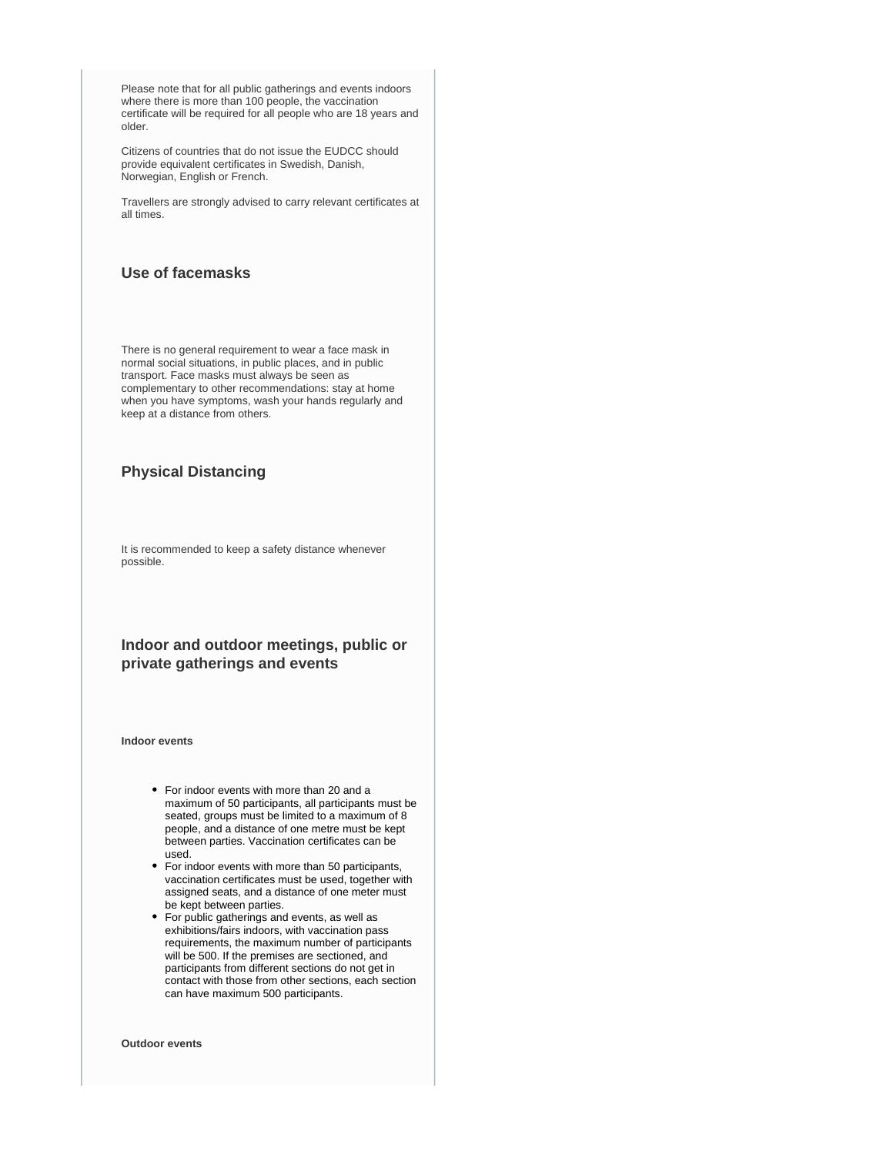Please note that for all public gatherings and events indoors where there is more than 100 people, the vaccination certificate will be required for all people who are 18 years and older.

Citizens of countries that do not issue the EUDCC should provide equivalent certificates in Swedish, Danish, Norwegian, English or French.

Travellers are strongly advised to carry relevant certificates at all times.

### **Use of facemasks**

There is no general requirement to wear a face mask in normal social situations, in public places, and in public transport. Face masks must always be seen as complementary to other recommendations: stay at home when you have symptoms, wash your hands regularly and keep at a distance from others.

### **Physical Distancing**

It is recommended to keep a safety distance whenever possible.

### **Indoor and outdoor meetings, public or private gatherings and events**

**Indoor events**

- For indoor events with more than 20 and a maximum of 50 participants, all participants must be seated, groups must be limited to a maximum of 8 people, and a distance of one metre must be kept between parties. Vaccination certificates can be used.
- For indoor events with more than 50 participants, vaccination certificates must be used, together with assigned seats, and a distance of one meter must be kept between parties.
- For public gatherings and events, as well as exhibitions/fairs indoors, with vaccination pass requirements, the maximum number of participants will be 500. If the premises are sectioned, and participants from different sections do not get in contact with those from other sections, each section can have maximum 500 participants.

**Outdoor events**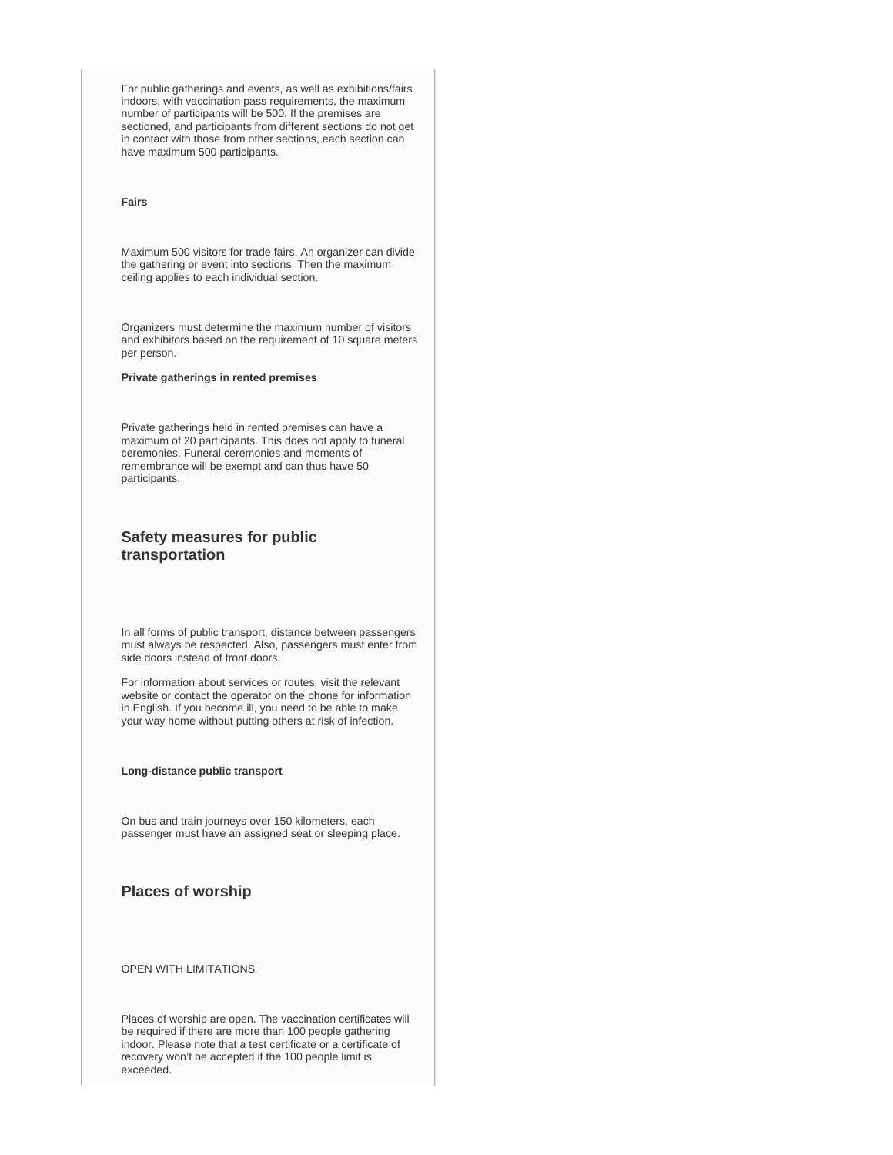For public gatherings and events, as well as exhibitions/fairs indoors, with vaccination pass requirements, the maximum number of participants will be 500. If the premises are sectioned, and participants from different sections do not get in contact with those from other sections, each section can have maximum 500 participants.

#### **Fairs**

Maximum 500 visitors for trade fairs. An organizer can divide the gathering or event into sections. Then the maximum ceiling applies to each individual section.

Organizers must determine the maximum number of visitors and exhibitors based on the requirement of 10 square meters per person.

#### **Private gatherings in rented premises**

Private gatherings held in rented premises can have a maximum of 20 participants. This does not apply to funeral ceremonies. Funeral ceremonies and moments of remembrance will be exempt and can thus have 50 participants.

### **Safety measures for public transportation**

In all forms of public transport, distance between passengers must always be respected. Also, passengers must enter from side doors instead of front doors.

For information about services or routes, visit the relevant website or contact the operator on the phone for information in English. If you become ill, you need to be able to make your way home without putting others at risk of infection.

#### **Long-distance public transport**

On bus and train journeys over 150 kilometers, each passenger must have an assigned seat or sleeping place.

### **Places of worship**

#### OPEN WITH LIMITATIONS

Places of worship are open. The vaccination certificates will be required if there are more than 100 people gathering indoor. Please note that a test certificate or a certificate of recovery won't be accepted if the 100 people limit is exceeded.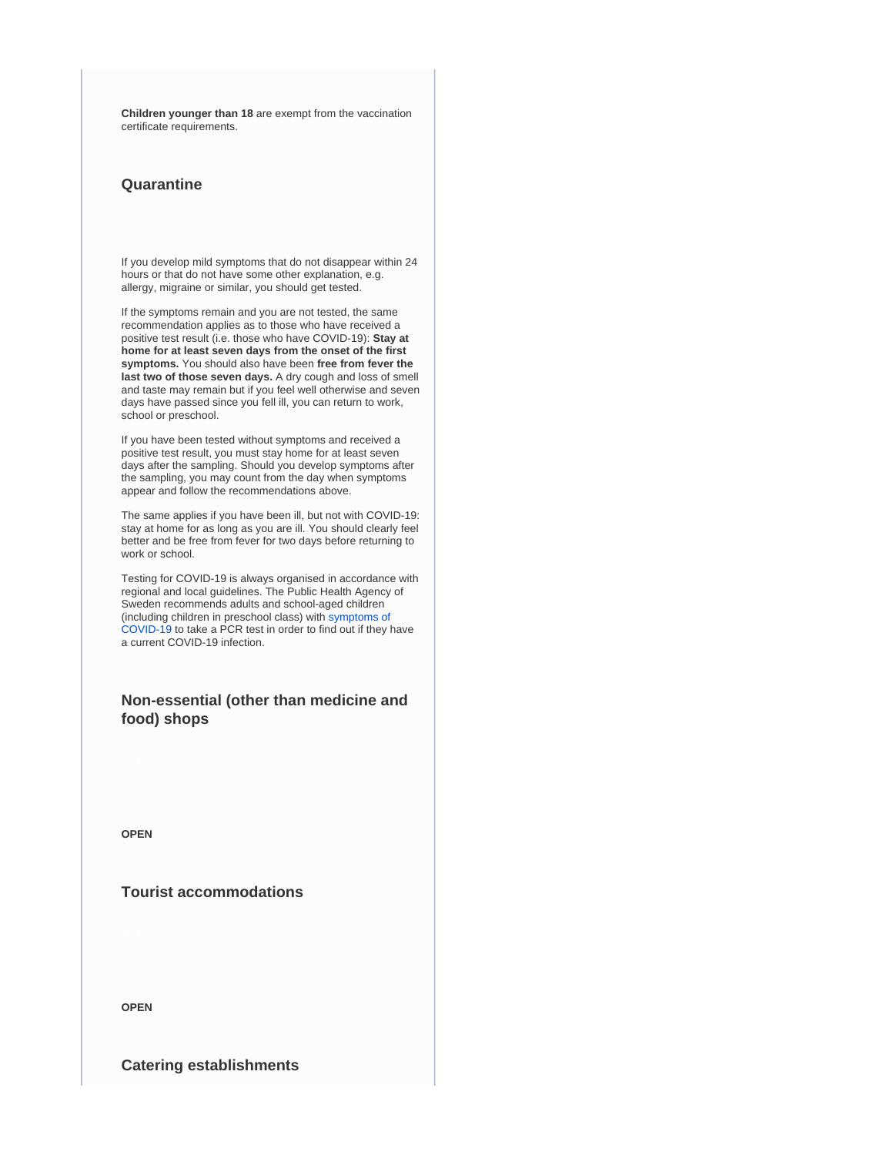**Children younger than 18** are exempt from the vaccination certificate requirements.

### **Quarantine**

If you develop mild symptoms that do not disappear within 24 hours or that do not have some other explanation, e.g. allergy, migraine or similar, you should get tested.

If the symptoms remain and you are not tested, the same recommendation applies as to those who have received a positive test result (i.e. those who have COVID-19): **Stay at home for at least seven days from the onset of the first symptoms.** You should also have been **free from fever the last two of those seven days.** A dry cough and loss of smell and taste may remain but if you feel well otherwise and seven days have passed since you fell ill, you can return to work, school or preschool.

If you have been tested without symptoms and received a positive test result, you must stay home for at least seven days after the sampling. Should you develop symptoms after the sampling, you may count from the day when symptoms appear and follow the recommendations above.

The same applies if you have been ill, but not with COVID-19: stay at home for as long as you are ill. You should clearly feel better and be free from fever for two days before returning to work or school.

Testing for COVID-19 is always organised in accordance with regional and local guidelines. The Public Health Agency of Sweden recommends adults and school-aged children (including children in preschool class) with [symptoms of](https://www.folkhalsomyndigheten.se/the-public-health-agency-of-sweden/communicable-disease-control/covid-19/?exp=68197#_68197)  [COVID-19](https://www.folkhalsomyndigheten.se/the-public-health-agency-of-sweden/communicable-disease-control/covid-19/?exp=68197#_68197) to take a PCR test in order to find out if they have a current COVID-19 infection.

### **Non-essential (other than medicine and food) shops**

**OPEN**

### **Tourist accommodations**

**OPEN**

**Catering establishments**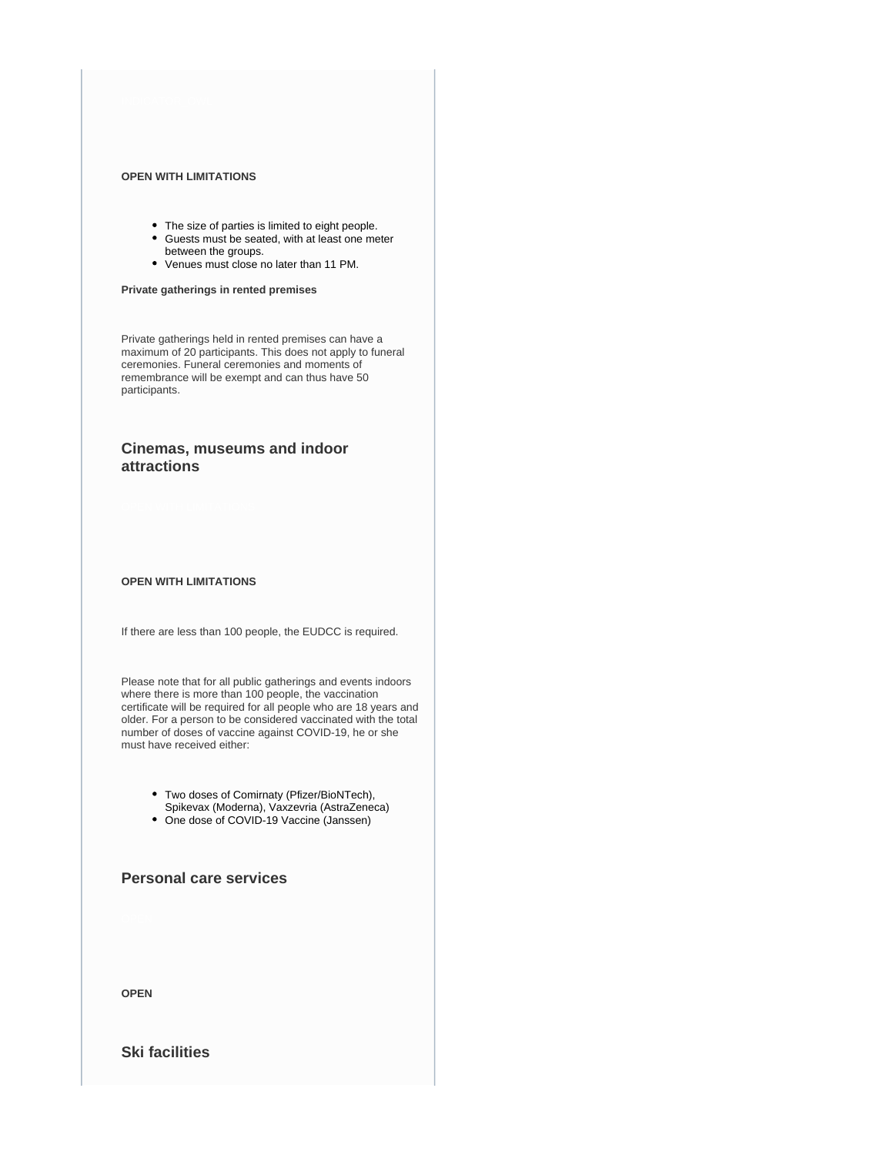#### **OPEN WITH LIMITATIONS**

- The size of parties is limited to eight people.
- Guests must be seated, with at least one meter between the groups.
- Venues must close no later than 11 PM.

#### **Private gatherings in rented premises**

Private gatherings held in rented premises can have a maximum of 20 participants. This does not apply to funeral ceremonies. Funeral ceremonies and moments of remembrance will be exempt and can thus have 50 participants.

### **Cinemas, museums and indoor attractions**

#### **OPEN WITH LIMITATIONS**

If there are less than 100 people, the EUDCC is required.

Please note that for all public gatherings and events indoors where there is more than 100 people, the vaccination certificate will be required for all people who are 18 years and older. For a person to be considered vaccinated with the total number of doses of vaccine against COVID-19, he or she must have received either:

> Two doses of Comirnaty (Pfizer/BioNTech), Spikevax (Moderna), Vaxzevria (AstraZeneca)

• One dose of COVID-19 Vaccine (Janssen)

### **Personal care services**

**OPEN**

### **Ski facilities**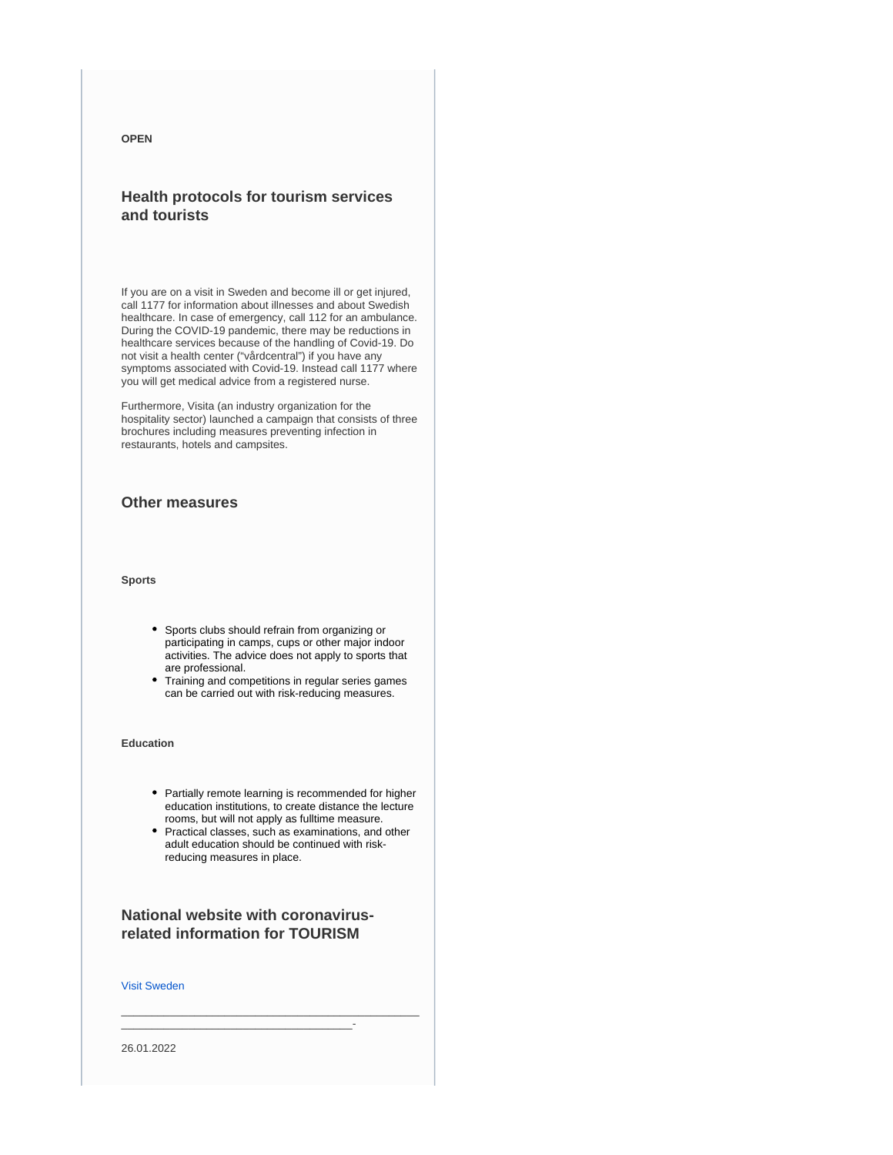#### **OPEN**

### **Health protocols for tourism services and tourists**

If you are on a visit in Sweden and become ill or get injured, call 1177 for information about illnesses and about Swedish healthcare. In case of emergency, call 112 for an ambulance. During the COVID-19 pandemic, there may be reductions in healthcare services because of the handling of Covid-19. Do not visit a health center ("vårdcentral") if you have any symptoms associated with Covid-19. Instead call 1177 where you will get medical advice from a registered nurse.

Furthermore, Visita (an industry organization for the hospitality sector) launched a campaign that consists of three brochures including measures preventing infection in restaurants, hotels and campsites.

### **Other measures**

#### **Sports**

- Sports clubs should refrain from organizing or participating in camps, cups or other major indoor activities. The advice does not apply to sports that are professional.
- Training and competitions in regular series games can be carried out with risk-reducing measures.

#### **Education**

- Partially remote learning is recommended for higher education institutions, to create distance the lecture rooms, but will not apply as fulltime measure.
- Practical classes, such as examinations, and other adult education should be continued with riskreducing measures in place.

### **National website with coronavirusrelated information for TOURISM**

\_\_\_\_\_\_\_\_\_\_\_\_\_\_\_\_\_\_\_\_\_\_\_\_\_\_\_\_\_\_\_\_\_\_\_\_\_\_-

\_\_\_\_\_\_\_\_\_\_\_\_\_\_\_\_\_\_\_\_\_\_\_\_\_\_\_\_\_\_\_\_\_\_\_\_\_\_\_\_\_\_\_\_\_\_\_\_\_

#### [Visit Sweden](https://visitsweden.com/)

26.01.2022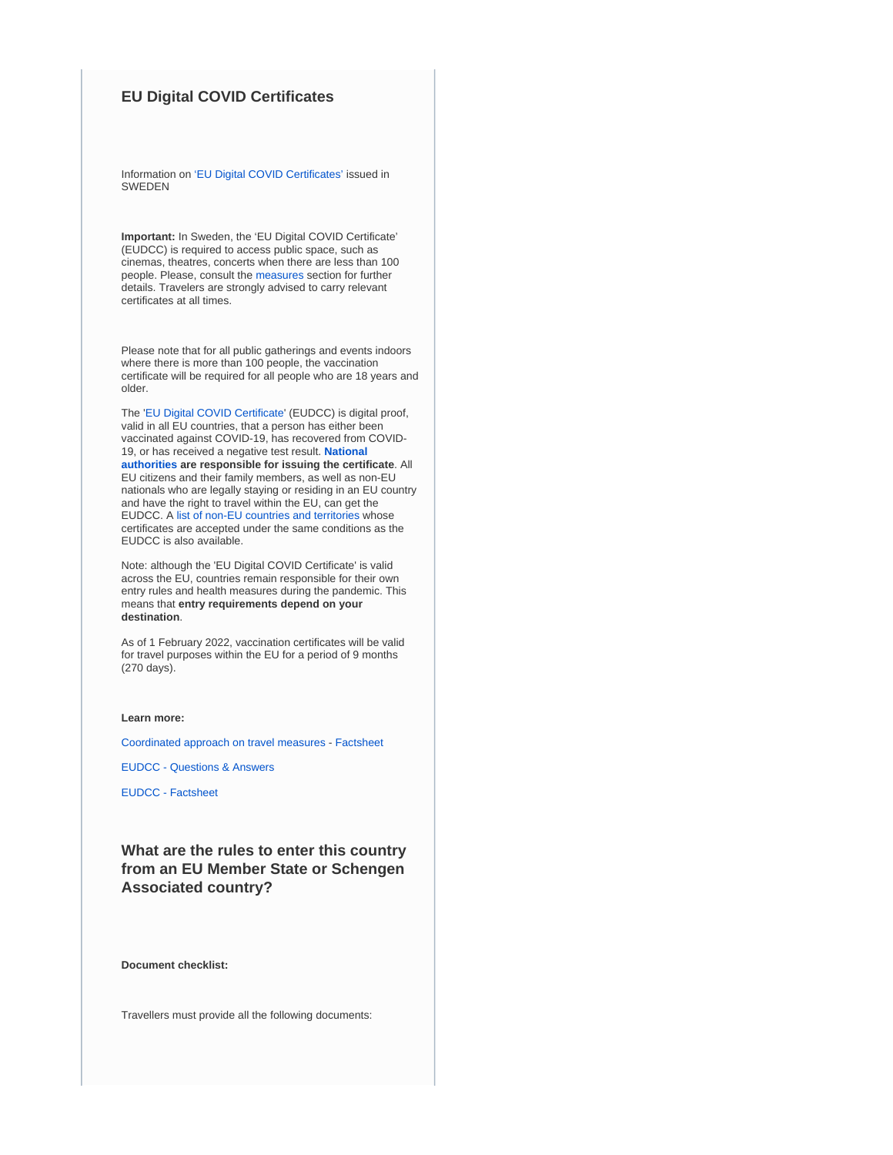### **EU Digital COVID Certificates**

Information on ['EU Digital COVID Certificates'](https://www.krisinformation.se/en/hazards-and-risks/disasters-and-incidents/2020/official-information-on-the-new-coronavirus/covid-certificate) issued in SWEDEN

**Important:** In Sweden, the 'EU Digital COVID Certificate' (EUDCC) is required to access public space, such as cinemas, theatres, concerts when there are less than 100 people. Please, consult the [measures](https://www.krisinformation.se/en/hazards-and-risks/disasters-and-incidents/2020/official-information-on-the-new-coronavirus/current-rules-and-recommendations) section for further details. Travelers are strongly advised to carry relevant certificates at all times.

Please note that for all public gatherings and events indoors where there is more than 100 people, the vaccination certificate will be required for all people who are 18 years and older.

The '[EU Digital COVID Certificate](https://ec.europa.eu/info/live-work-travel-eu/coronavirus-response/safe-covid-19-vaccines-europeans/eu-digital-covid-certificate_en)' (EUDCC) is digital proof, valid in all EU countries, that a person has either been vaccinated against COVID-19, has recovered from COVID-19, or has received a negative test result. **[National](https://ec.europa.eu/info/live-work-travel-eu/coronavirus-response/safe-covid-19-vaccines-europeans/eu-digital-covid-certificate_en#map)  [authorities](https://ec.europa.eu/info/live-work-travel-eu/coronavirus-response/safe-covid-19-vaccines-europeans/eu-digital-covid-certificate_en#map) are responsible for issuing the certificate**. All EU citizens and their family members, as well as non-EU nationals who are legally staying or residing in an EU country and have the right to travel within the EU, can get the EUDCC. A [list of non-EU countries and territories](https://ec.europa.eu/info/live-work-travel-eu/coronavirus-response/safe-covid-19-vaccines-europeans/eu-digital-covid-certificate_en#recognition-by-the-eu-of-covid-certificates-issued-by-third-non-eu-countries) whose certificates are accepted under the same conditions as the EUDCC is also available.

Note: although the 'EU Digital COVID Certificate' is valid across the EU, countries remain responsible for their own entry rules and health measures during the pandemic. This means that **entry requirements depend on your destination**.

As of 1 February 2022, vaccination certificates will be valid for travel purposes within the EU for a period of 9 months (270 days).

#### **Learn more:**

[Coordinated approach on travel measures](https://www.consilium.europa.eu/en/press/press-releases/2022/01/25/covid-19-council-adopts-new-person-based-recommendation-on-free-movement-restrictions/) - [Factsheet](https://ec.europa.eu/commission/presscorner/detail/en/fs_21_6216)

[EUDCC - Questions & Answers](https://ec.europa.eu/commission/presscorner/detail/en/QANDA_21_2781)

[EUDCC - Factsheet](https://ec.europa.eu/commission/presscorner/detail/en/FS_21_2793)

**What are the rules to enter this country from an EU Member State or Schengen Associated country?**

**Document checklist:**

Travellers must provide all the following documents: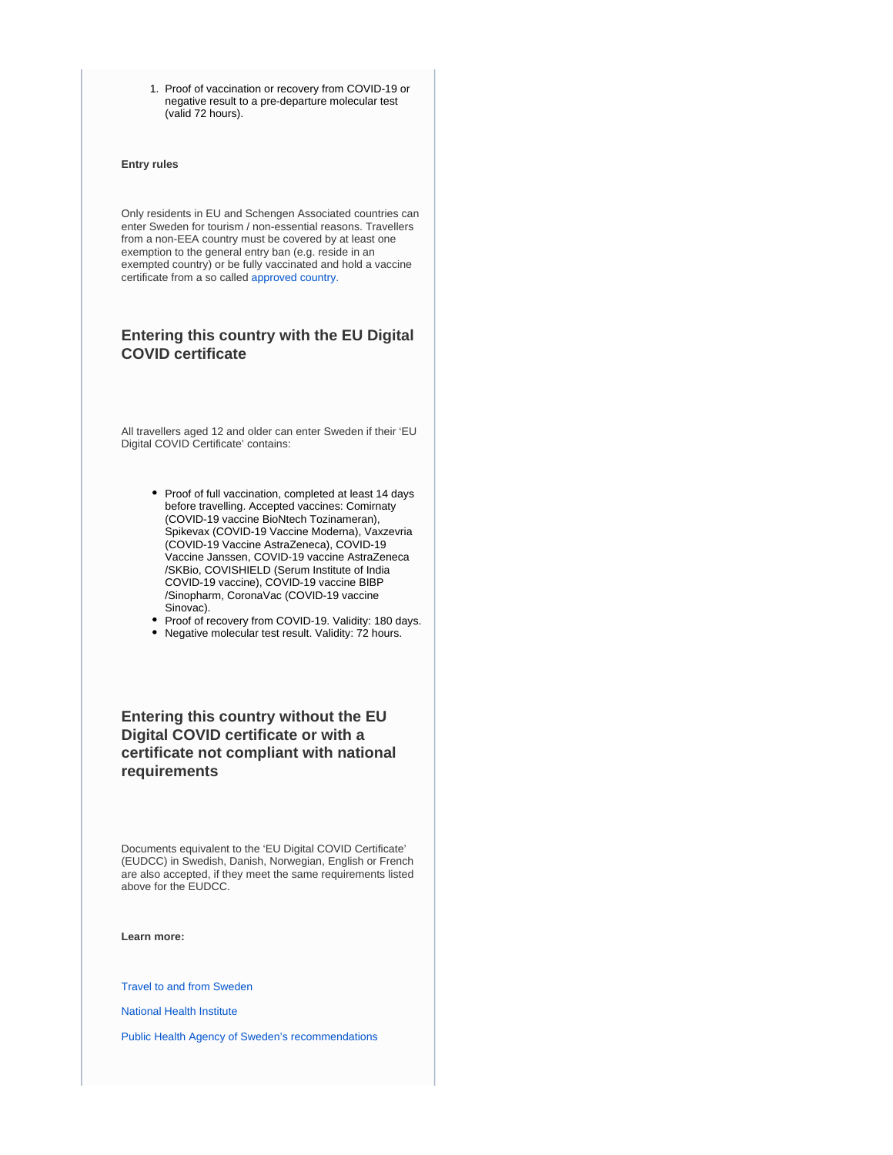1. Proof of vaccination or recovery from COVID-19 or negative result to a pre-departure molecular test (valid 72 hours).

#### **Entry rules**

Only residents in EU and Schengen Associated countries can enter Sweden for tourism / non-essential reasons. Travellers from a non-EEA country must be covered by at least one exemption to the general entry ban (e.g. reside in an exempted country) or be fully vaccinated and hold a vaccine certificate from a so called [approved country.](https://polisen.se/en/the-swedish-police/the-coronavirus-and-the-swedish-police/travel-to-and-from-sweden/#approved)

### **Entering this country with the EU Digital COVID certificate**

All travellers aged 12 and older can enter Sweden if their 'EU Digital COVID Certificate' contains:

- Proof of full vaccination, completed at least 14 days before travelling. Accepted vaccines: Comirnaty (COVID-19 vaccine BioNtech Tozinameran), Spikevax (COVID-19 Vaccine Moderna), Vaxzevria (COVID-19 Vaccine AstraZeneca), COVID-19 Vaccine Janssen, COVID-19 vaccine AstraZeneca /SKBio, COVISHIELD (Serum Institute of India COVID-19 vaccine), COVID-19 vaccine BIBP /Sinopharm, CoronaVac (COVID-19 vaccine Sinovac).
- Proof of recovery from COVID-19. Validity: 180 days.
- Negative molecular test result. Validity: 72 hours.

### **Entering this country without the EU Digital COVID certificate or with a certificate not compliant with national requirements**

Documents equivalent to the 'EU Digital COVID Certificate' (EUDCC) in Swedish, Danish, Norwegian, English or French are also accepted, if they meet the same requirements listed above for the EUDCC.

**Learn more:**

[Travel to and from Sweden](https://polisen.se/en/the-swedish-police/the-coronavirus-and-the-swedish-police/travel-to-and-from-sweden/)

[National Health Institute](https://www.folkhalsomyndigheten.se/the-public-health-agency-of-sweden/communicable-disease-control/covid-19/)

[Public Health Agency of Sweden's recommendations](https://www.folkhalsomyndigheten.se/the-public-health-agency-of-sweden/communicable-disease-control/covid-19/if-you-are-planning-to-travel/recommendations-for-those-travelling/)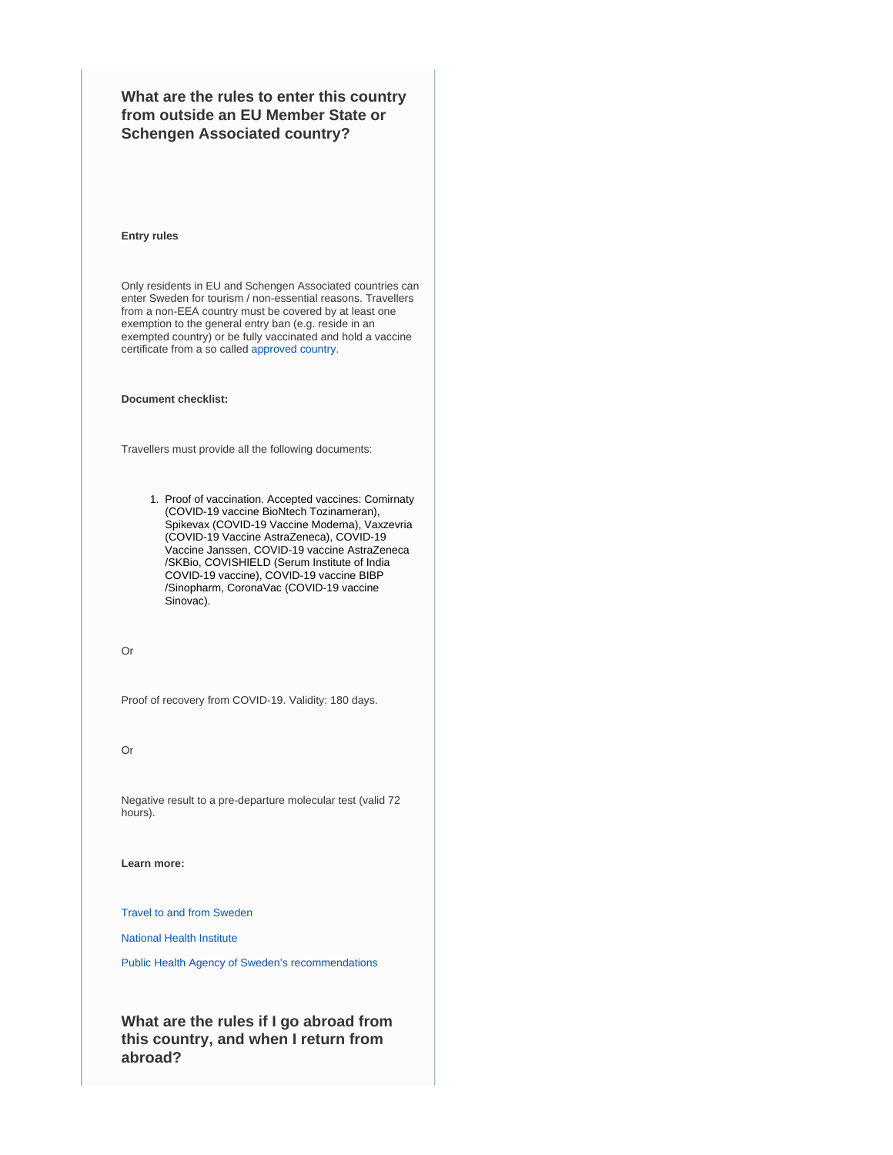**What are the rules to enter this country from outside an EU Member State or Schengen Associated country?**

#### **Entry rules**

Only residents in EU and Schengen Associated countries can enter Sweden for tourism / non-essential reasons. Travellers from a non-EEA country must be covered by at least one exemption to the general entry ban (e.g. reside in an exempted country) or be fully vaccinated and hold a vaccine certificate from a so called [approved country.](https://polisen.se/en/the-swedish-police/the-coronavirus-and-the-swedish-police/travel-to-and-from-sweden/#approved)

#### **Document checklist:**

Travellers must provide all the following documents:

1. Proof of vaccination. Accepted vaccines: Comirnaty (COVID-19 vaccine BioNtech Tozinameran), Spikevax (COVID-19 Vaccine Moderna), Vaxzevria (COVID-19 Vaccine AstraZeneca), COVID-19 Vaccine Janssen, COVID-19 vaccine AstraZeneca /SKBio, COVISHIELD (Serum Institute of India COVID-19 vaccine), COVID-19 vaccine BIBP /Sinopharm, CoronaVac (COVID-19 vaccine Sinovac).

Or

Proof of recovery from COVID-19. Validity: 180 days.

Or

Negative result to a pre-departure molecular test (valid 72 hours).

**Learn more:**

[Travel to and from Sweden](https://polisen.se/en/the-swedish-police/the-coronavirus-and-the-swedish-police/travel-to-and-from-sweden/)

[National Health Institute](https://www.folkhalsomyndigheten.se/the-public-health-agency-of-sweden/communicable-disease-control/covid-19/)

[Public Health Agency of Sweden's recommendations](https://www.folkhalsomyndigheten.se/the-public-health-agency-of-sweden/communicable-disease-control/covid-19/if-you-are-planning-to-travel/recommendations-for-those-travelling/)

**What are the rules if I go abroad from this country, and when I return from abroad?**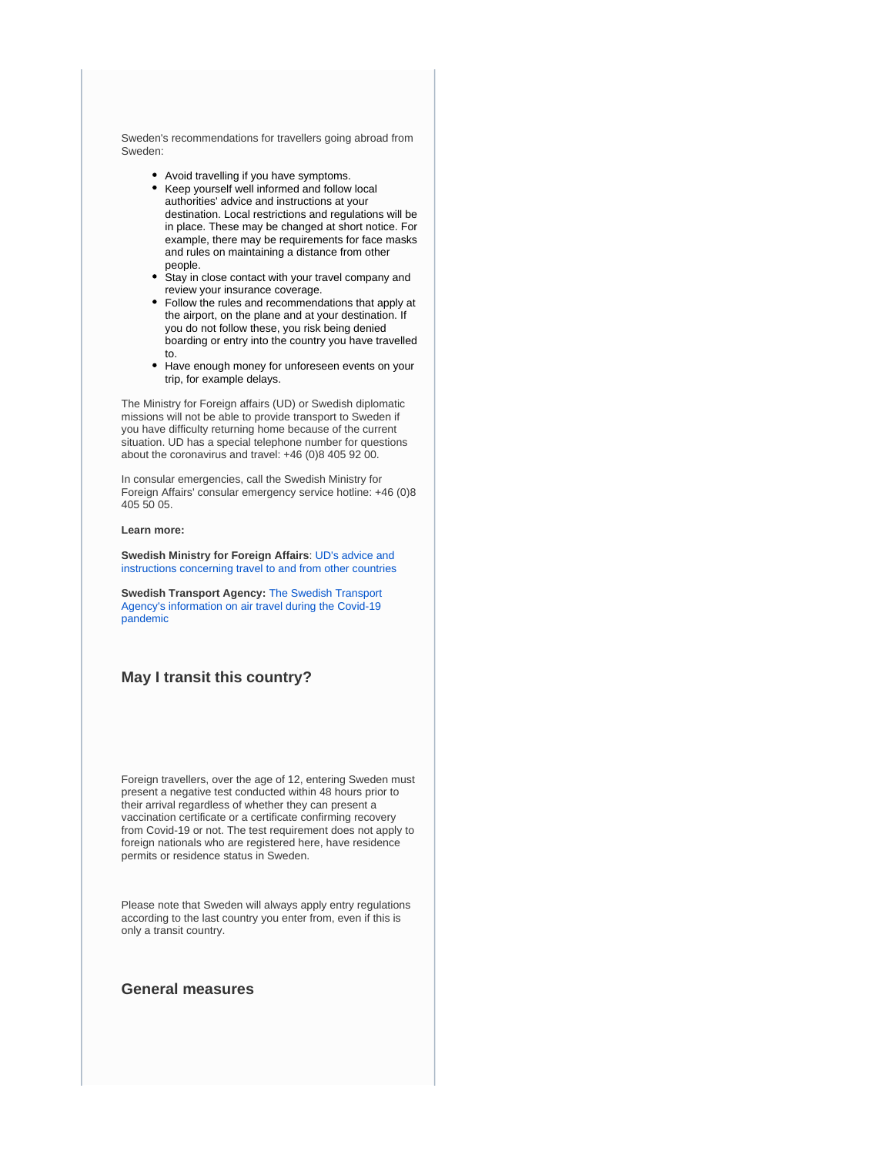Sweden's recommendations for travellers going abroad from Sweden:

- Avoid travelling if you have symptoms.
- Keep yourself well informed and follow local authorities' advice and instructions at your destination. Local restrictions and regulations will be in place. These may be changed at short notice. For example, there may be requirements for face masks and rules on maintaining a distance from other people.
- Stay in close contact with your travel company and review your insurance coverage.
- Follow the rules and recommendations that apply at the airport, on the plane and at your destination. If you do not follow these, you risk being denied boarding or entry into the country you have travelled to.
- Have enough money for unforeseen events on your trip, for example delays.

The Ministry for Foreign affairs (UD) or Swedish diplomatic missions will not be able to provide transport to Sweden if you have difficulty returning home because of the current situation. UD has a special telephone number for questions about the coronavirus and travel: +46 (0)8 405 92 00.

In consular emergencies, call the Swedish Ministry for Foreign Affairs' consular emergency service hotline: +46 (0)8 405 50 05.

#### **Learn more:**

**Swedish Ministry for Foreign Affairs**: [UD's advice and](https://www.government.se/government-of-sweden/ministry-for-foreign-affairs/)  [instructions concerning travel to and from other countries](https://www.government.se/government-of-sweden/ministry-for-foreign-affairs/)

**Swedish Transport Agency:** [The Swedish Transport](https://transportstyrelsen.se/en/About-us/coronavirus-covid-19/)  [Agency's information on air travel during the Covid-19](https://transportstyrelsen.se/en/About-us/coronavirus-covid-19/)  [pandemic](https://transportstyrelsen.se/en/About-us/coronavirus-covid-19/)

### **May I transit this country?**

Foreign travellers, over the age of 12, entering Sweden must present a negative test conducted within 48 hours prior to their arrival regardless of whether they can present a vaccination certificate or a certificate confirming recovery from Covid-19 or not. The test requirement does not apply to foreign nationals who are registered here, have residence permits or residence status in Sweden.

Please note that Sweden will always apply entry regulations according to the last country you enter from, even if this is only a transit country.

### **General measures**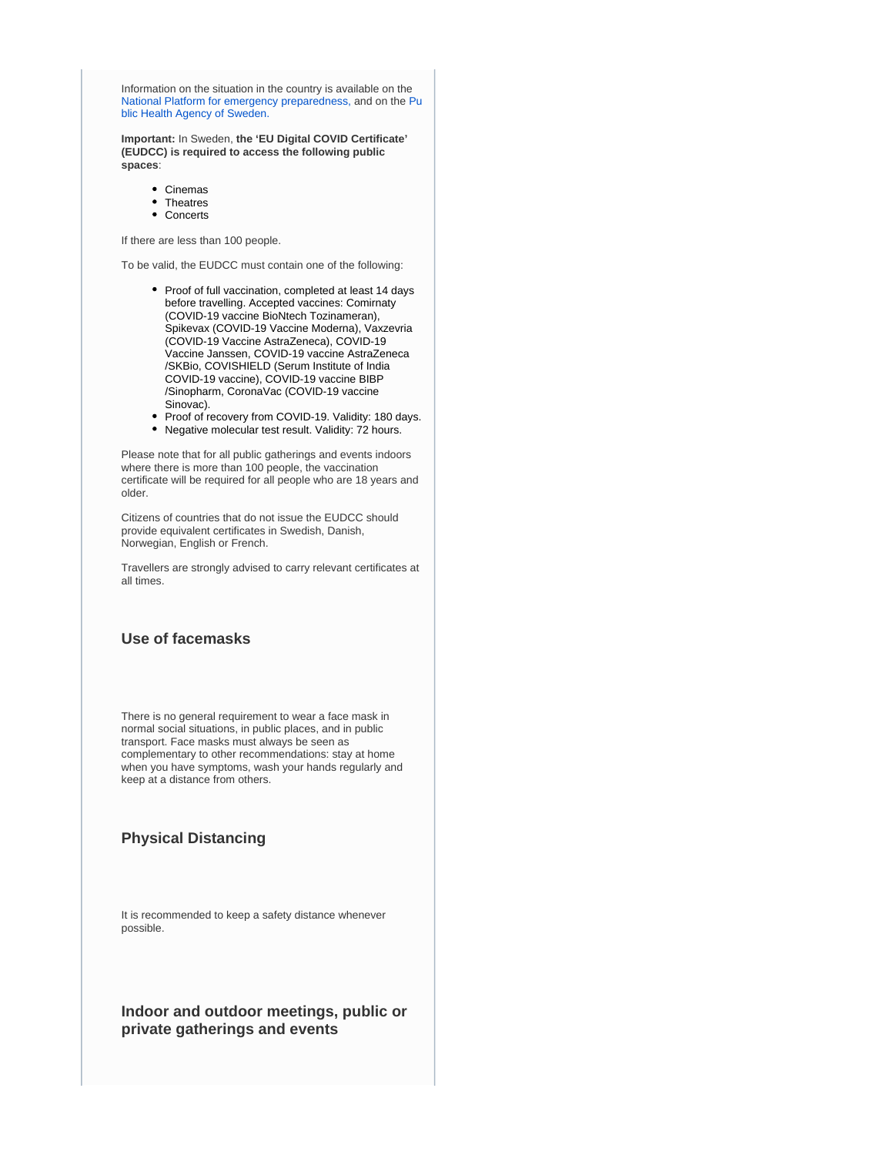Information on the situation in the country is available on the [National Platform for emergency preparedness,](https://www.krisinformation.se/en) and on the [Pu](https://www.folkhalsomyndigheten.se/the-public-health-agency-of-sweden/) [blic Health Agency of Sweden.](https://www.folkhalsomyndigheten.se/the-public-health-agency-of-sweden/)

**Important:** In Sweden, **the 'EU Digital COVID Certificate' (EUDCC) is required to access the following public spaces**:

- Cinemas
- Theatres
- Concerts

If there are less than 100 people.

To be valid, the EUDCC must contain one of the following:

- Proof of full vaccination, completed at least 14 days before travelling. Accepted vaccines: Comirnaty (COVID-19 vaccine BioNtech Tozinameran), Spikevax (COVID-19 Vaccine Moderna), Vaxzevria (COVID-19 Vaccine AstraZeneca), COVID-19 Vaccine Janssen, COVID-19 vaccine AstraZeneca /SKBio, COVISHIELD (Serum Institute of India COVID-19 vaccine), COVID-19 vaccine BIBP /Sinopharm, CoronaVac (COVID-19 vaccine Sinovac).
- Proof of recovery from COVID-19. Validity: 180 days. Negative molecular test result. Validity: 72 hours.

Please note that for all public gatherings and events indoors where there is more than 100 people, the vaccination certificate will be required for all people who are 18 years and older.

Citizens of countries that do not issue the EUDCC should provide equivalent certificates in Swedish, Danish, Norwegian, English or French.

Travellers are strongly advised to carry relevant certificates at all times.

### **Use of facemasks**

There is no general requirement to wear a face mask in normal social situations, in public places, and in public transport. Face masks must always be seen as complementary to other recommendations: stay at home when you have symptoms, wash your hands regularly and keep at a distance from others.

### **Physical Distancing**

It is recommended to keep a safety distance whenever possible.

**Indoor and outdoor meetings, public or private gatherings and events**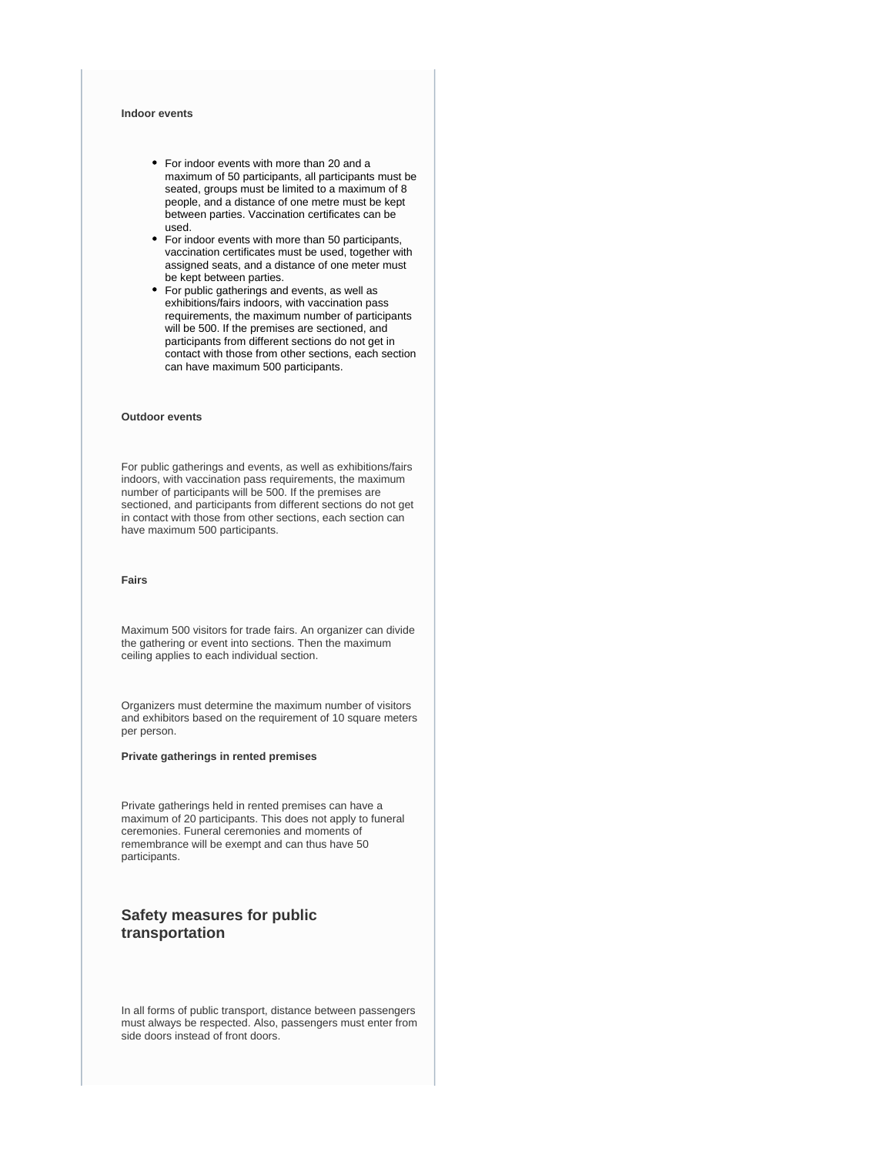#### **Indoor events**

- For indoor events with more than 20 and a maximum of 50 participants, all participants must be seated, groups must be limited to a maximum of 8 people, and a distance of one metre must be kept between parties. Vaccination certificates can be used.
- For indoor events with more than 50 participants, vaccination certificates must be used, together with assigned seats, and a distance of one meter must be kept between parties.
- For public gatherings and events, as well as exhibitions/fairs indoors, with vaccination pass requirements, the maximum number of participants will be 500. If the premises are sectioned, and participants from different sections do not get in contact with those from other sections, each section can have maximum 500 participants.

#### **Outdoor events**

For public gatherings and events, as well as exhibitions/fairs indoors, with vaccination pass requirements, the maximum number of participants will be 500. If the premises are sectioned, and participants from different sections do not get in contact with those from other sections, each section can have maximum 500 participants.

#### **Fairs**

Maximum 500 visitors for trade fairs. An organizer can divide the gathering or event into sections. Then the maximum ceiling applies to each individual section.

Organizers must determine the maximum number of visitors and exhibitors based on the requirement of 10 square meters per person.

**Private gatherings in rented premises**

Private gatherings held in rented premises can have a maximum of 20 participants. This does not apply to funeral ceremonies. Funeral ceremonies and moments of remembrance will be exempt and can thus have 50 participants.

### **Safety measures for public transportation**

In all forms of public transport, distance between passengers must always be respected. Also, passengers must enter from side doors instead of front doors.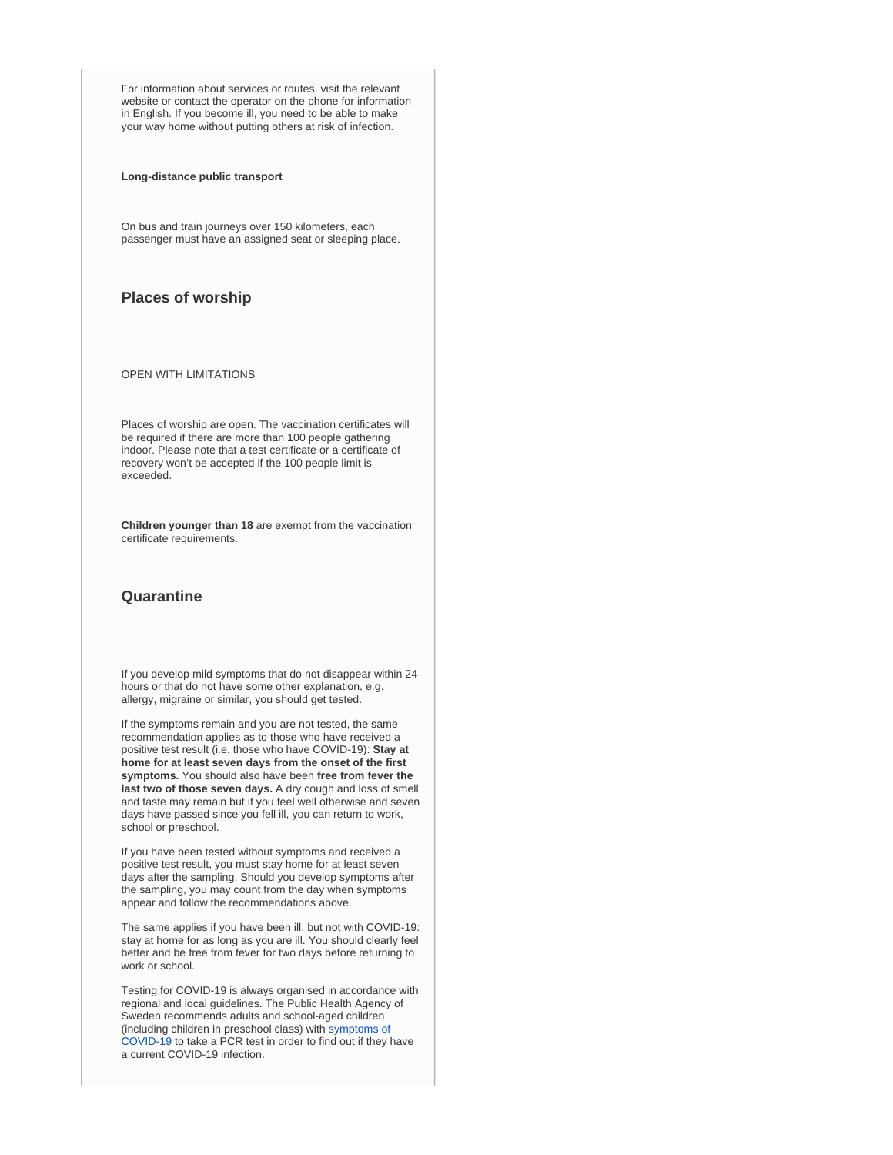For information about services or routes, visit the relevant website or contact the operator on the phone for information in English. If you become ill, you need to be able to make your way home without putting others at risk of infection.

**Long-distance public transport**

On bus and train journeys over 150 kilometers, each passenger must have an assigned seat or sleeping place.

### **Places of worship**

OPEN WITH LIMITATIONS

Places of worship are open. The vaccination certificates will be required if there are more than 100 people gathering indoor. Please note that a test certificate or a certificate of recovery won't be accepted if the 100 people limit is exceeded.

**Children younger than 18** are exempt from the vaccination certificate requirements.

### **Quarantine**

If you develop mild symptoms that do not disappear within 24 hours or that do not have some other explanation, e.g. allergy, migraine or similar, you should get tested.

If the symptoms remain and you are not tested, the same recommendation applies as to those who have received a positive test result (i.e. those who have COVID-19): **Stay at home for at least seven days from the onset of the first symptoms.** You should also have been **free from fever the last two of those seven days.** A dry cough and loss of smell and taste may remain but if you feel well otherwise and seven days have passed since you fell ill, you can return to work, school or preschool.

If you have been tested without symptoms and received a positive test result, you must stay home for at least seven days after the sampling. Should you develop symptoms after the sampling, you may count from the day when symptoms appear and follow the recommendations above.

The same applies if you have been ill, but not with COVID-19: stay at home for as long as you are ill. You should clearly feel better and be free from fever for two days before returning to work or school.

Testing for COVID-19 is always organised in accordance with regional and local guidelines. The Public Health Agency of Sweden recommends adults and school-aged children (including children in preschool class) with [symptoms of](https://www.folkhalsomyndigheten.se/the-public-health-agency-of-sweden/communicable-disease-control/covid-19/?exp=68197#_68197)  [COVID-19](https://www.folkhalsomyndigheten.se/the-public-health-agency-of-sweden/communicable-disease-control/covid-19/?exp=68197#_68197) to take a PCR test in order to find out if they have a current COVID-19 infection.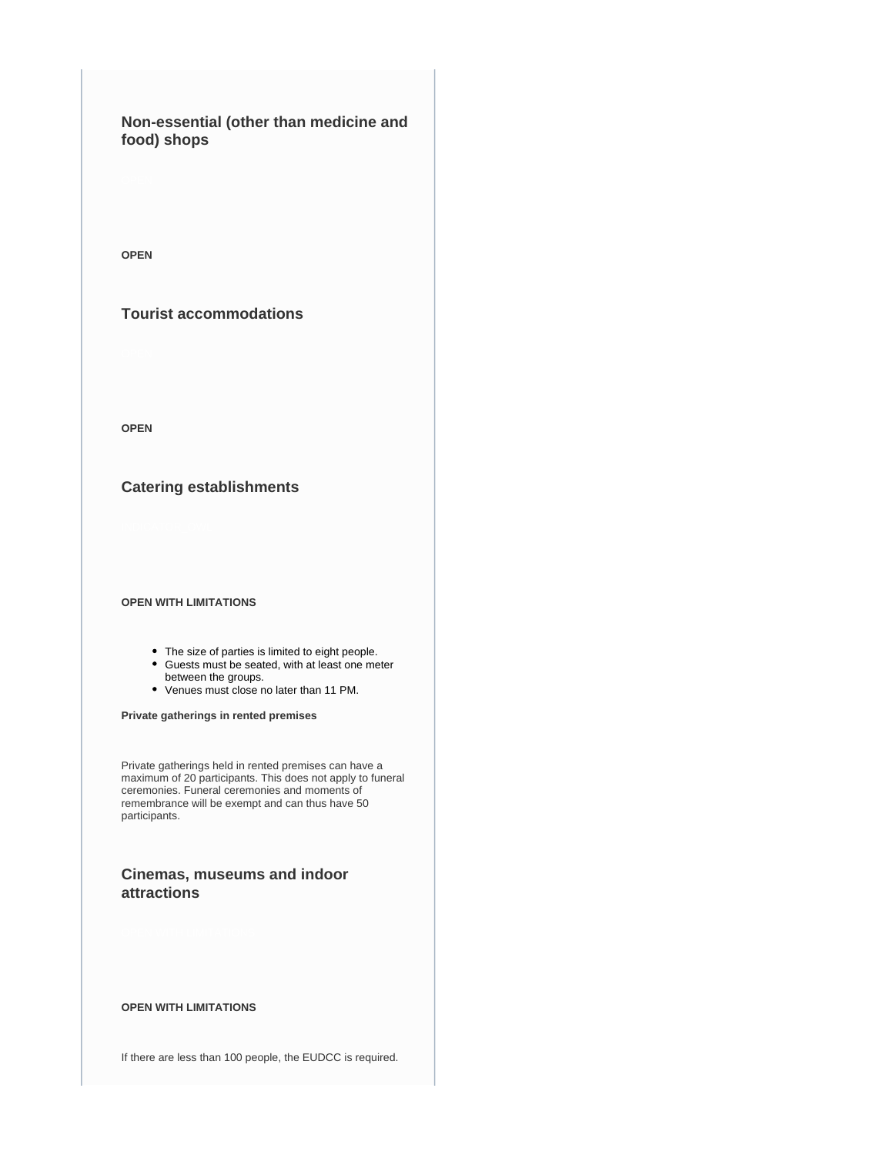## **Non-essential (other than medicine and food) shops**

**OPEN**

### **Tourist accommodations**

**OPEN**

### **Catering establishments**

#### **OPEN WITH LIMITATIONS**

- The size of parties is limited to eight people.
- Guests must be seated, with at least one meter between the groups.
- Venues must close no later than 11 PM.

**Private gatherings in rented premises**

Private gatherings held in rented premises can have a maximum of 20 participants. This does not apply to funeral ceremonies. Funeral ceremonies and moments of remembrance will be exempt and can thus have 50 participants.

### **Cinemas, museums and indoor attractions**

### **OPEN WITH LIMITATIONS**

If there are less than 100 people, the EUDCC is required.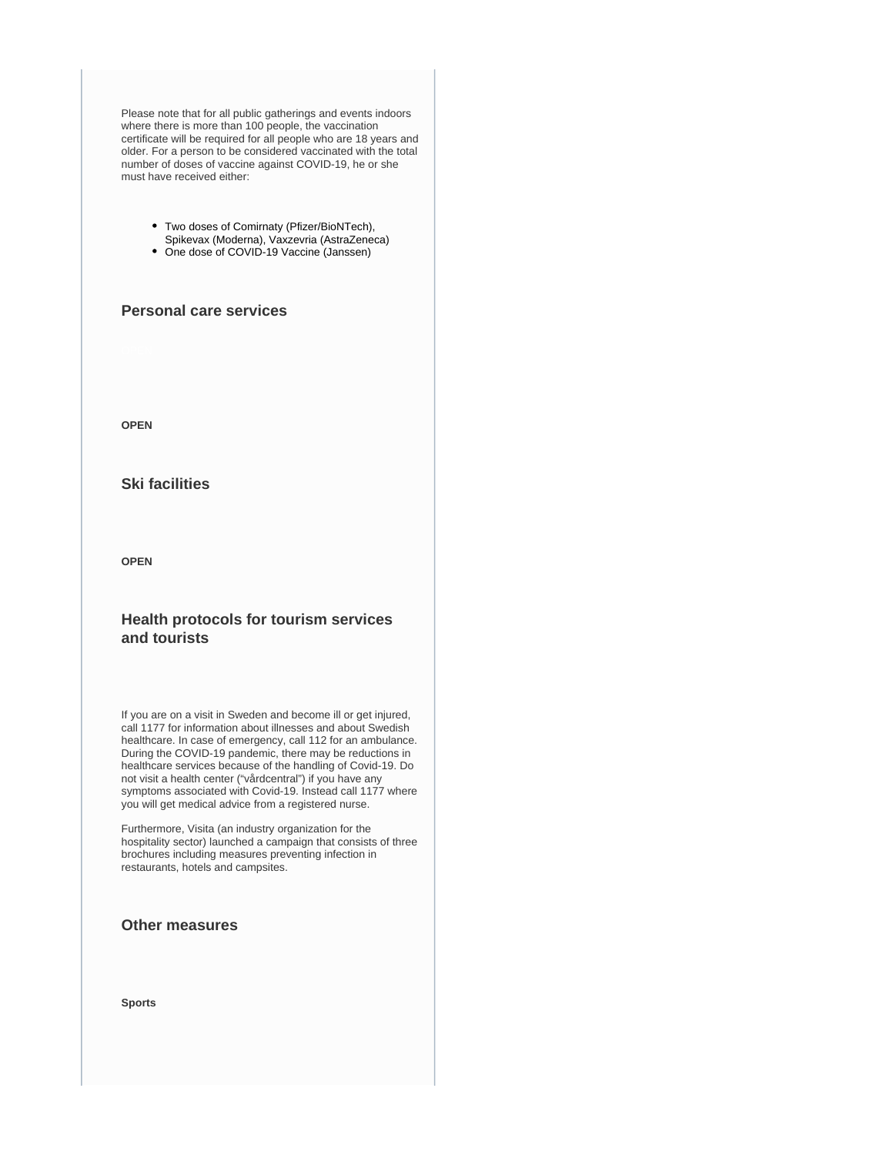Please note that for all public gatherings and events indoors where there is more than 100 people, the vaccination certificate will be required for all people who are 18 years and older. For a person to be considered vaccinated with the total number of doses of vaccine against COVID-19, he or she must have received either:

- Two doses of Comirnaty (Pfizer/BioNTech), Spikevax (Moderna), Vaxzevria (AstraZeneca)
- One dose of COVID-19 Vaccine (Janssen)

### **Personal care services**

**OPEN**

### **Ski facilities**

**OPEN**

### **Health protocols for tourism services and tourists**

If you are on a visit in Sweden and become ill or get injured, call 1177 for information about illnesses and about Swedish healthcare. In case of emergency, call 112 for an ambulance. During the COVID-19 pandemic, there may be reductions in healthcare services because of the handling of Covid-19. Do not visit a health center ("vårdcentral") if you have any symptoms associated with Covid-19. Instead call 1177 where you will get medical advice from a registered nurse.

Furthermore, Visita (an industry organization for the hospitality sector) launched a campaign that consists of three brochures including measures preventing infection in restaurants, hotels and campsites.

### **Other measures**

**Sports**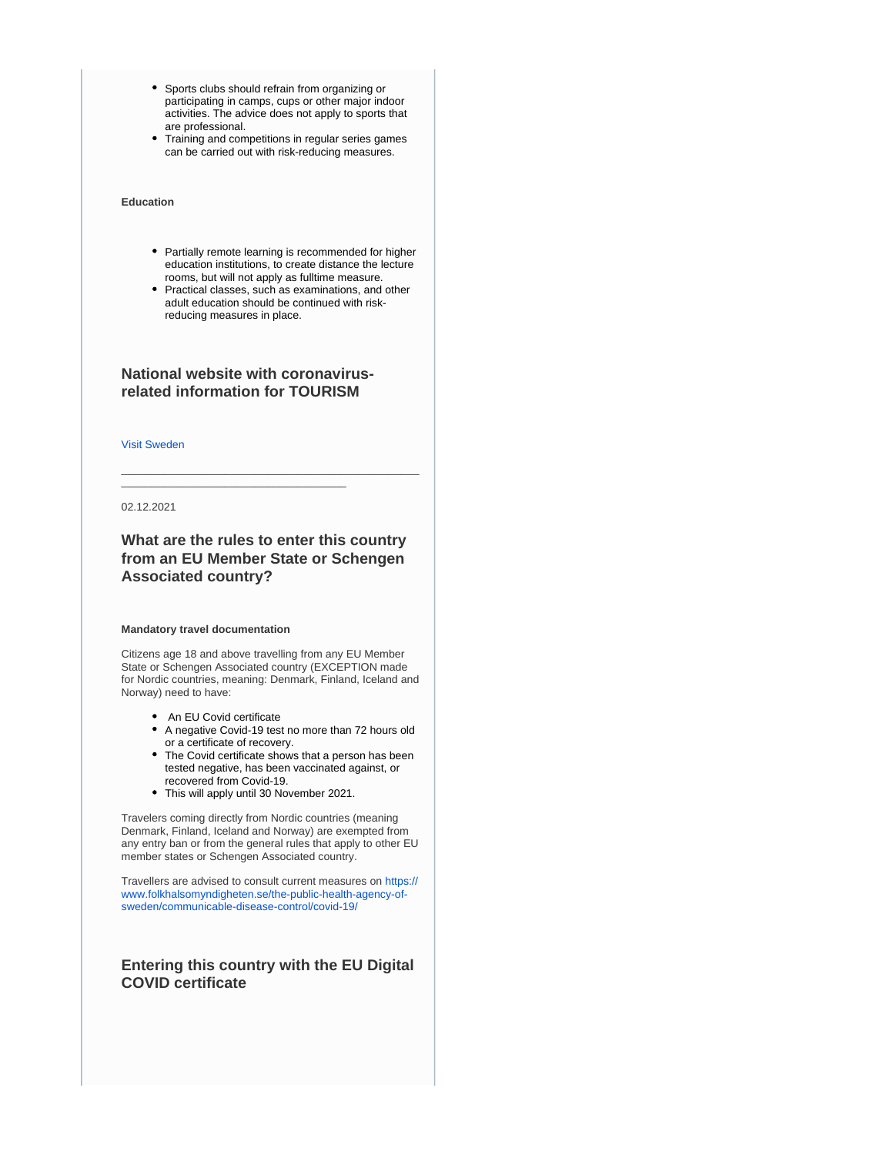- Sports clubs should refrain from organizing or participating in camps, cups or other major indoor activities. The advice does not apply to sports that are professional.
- Training and competitions in regular series games can be carried out with risk-reducing measures.

#### **Education**

- Partially remote learning is recommended for higher education institutions, to create distance the lecture rooms, but will not apply as fulltime measure.
- Practical classes, such as examinations, and other adult education should be continued with riskreducing measures in place.

### **National website with coronavirusrelated information for TOURISM**

\_\_\_\_\_\_\_\_\_\_\_\_\_\_\_\_\_\_\_\_\_\_\_\_\_\_\_\_\_\_\_\_\_\_\_\_\_

[Visit Sweden](https://visitsweden.com/)

02.12.2021

### **What are the rules to enter this country from an EU Member State or Schengen Associated country?**

\_\_\_\_\_\_\_\_\_\_\_\_\_\_\_\_\_\_\_\_\_\_\_\_\_\_\_\_\_\_\_\_\_\_\_\_\_\_\_\_\_\_\_\_\_\_\_\_\_

#### **Mandatory travel documentation**

Citizens age 18 and above travelling from any EU Member State or Schengen Associated country (EXCEPTION made for Nordic countries, meaning: Denmark, Finland, Iceland and Norway) need to have:

- An EU Covid certificate
- A negative Covid-19 test no more than 72 hours old or a certificate of recovery.
- The Covid certificate shows that a person has been tested negative, has been vaccinated against, or recovered from Covid-19.
- This will apply until 30 November 2021.

Travelers coming directly from Nordic countries (meaning Denmark, Finland, Iceland and Norway) are exempted from any entry ban or from the general rules that apply to other EU member states or Schengen Associated country.

Travellers are advised to consult current measures on [https://](https://www.folkhalsomyndigheten.se/the-public-health-agency-of-sweden/communicable-disease-control/covid-19/) [www.folkhalsomyndigheten.se/the-public-health-agency-of](https://www.folkhalsomyndigheten.se/the-public-health-agency-of-sweden/communicable-disease-control/covid-19/)[sweden/communicable-disease-control/covid-19/](https://www.folkhalsomyndigheten.se/the-public-health-agency-of-sweden/communicable-disease-control/covid-19/)

### **Entering this country with the EU Digital COVID certificate**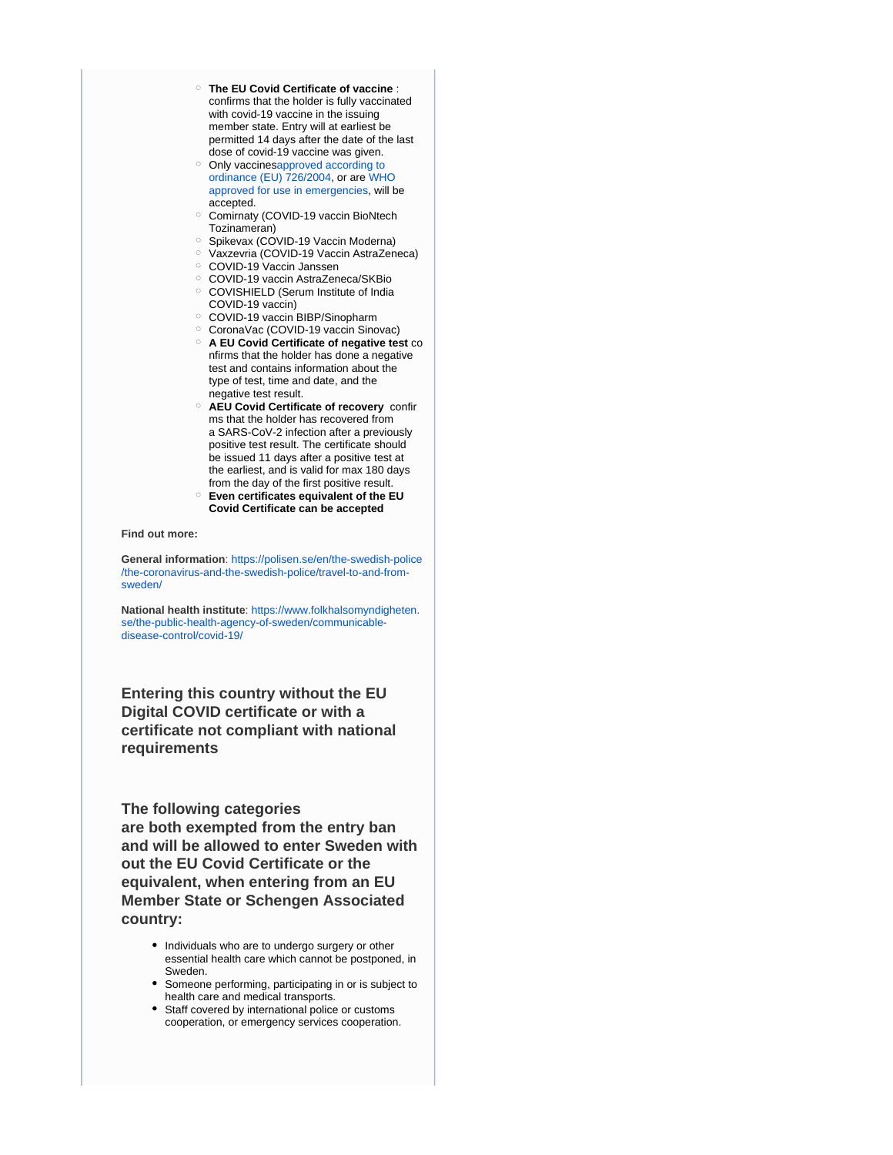- **The EU Covid Certificate of vaccine** : confirms that the holder is fully vaccinated with covid-19 vaccine in the issuing member state. Entry will at earliest be permitted 14 days after the date of the last dose of covid-19 vaccine was given.
- o Only vaccinesapproved according to [ordinance \(EU\) 726/2004](https://www.ema.europa.eu/en/human-regulatory/overview/public-health-threats/coronavirus-disease-covid-19/treatments-vaccines/vaccines-covid-19/covid-19-vaccines-authorised#authorised-covid-19-vaccines-section), or are [WHO](https://extranet.who.int/pqweb/vaccines/covid-19-vaccines)  [approved for use in emergencies](https://extranet.who.int/pqweb/vaccines/covid-19-vaccines), will be accepted.
- Comirnaty (COVID-19 vaccin BioNtech Tozinameran)
- <sup>o</sup> Spikevax (COVID-19 Vaccin Moderna)
- Vaxzevria (COVID-19 Vaccin AstraZeneca)
- COVID-19 Vaccin Janssen
- COVID-19 vaccin AstraZeneca/SKBio
- COVISHIELD (Serum Institute of India COVID-19 vaccin)
- COVID-19 vaccin BIBP/Sinopharm
- CoronaVac (COVID-19 vaccin Sinovac)
- **A EU Covid Certificate of negative test** co nfirms that the holder has done a negative test and contains information about the type of test, time and date, and the negative test result.
- **AEU Covid Certificate of recovery** confir ms that the holder has recovered from a SARS-CoV-2 infection after a previously positive test result. The certificate should be issued 11 days after a positive test at the earliest, and is valid for max 180 days from the day of the first positive result.
- **Even certificates equivalent of the EU Covid Certificate can be accepted**

**Find out more:**

**General information**: [https://polisen.se/en/the-swedish-police](https://polisen.se/en/the-swedish-police/the-coronavirus-and-the-swedish-police/travel-to-and-from-sweden/) [/the-coronavirus-and-the-swedish-police/travel-to-and-from](https://polisen.se/en/the-swedish-police/the-coronavirus-and-the-swedish-police/travel-to-and-from-sweden/)[sweden/](https://polisen.se/en/the-swedish-police/the-coronavirus-and-the-swedish-police/travel-to-and-from-sweden/)

**National health institute**: [https://www.folkhalsomyndigheten.](https://www.folkhalsomyndigheten.se/the-public-health-agency-of-sweden/communicable-disease-control/covid-19/) [se/the-public-health-agency-of-sweden/communicable](https://www.folkhalsomyndigheten.se/the-public-health-agency-of-sweden/communicable-disease-control/covid-19/)[disease-control/covid-19/](https://www.folkhalsomyndigheten.se/the-public-health-agency-of-sweden/communicable-disease-control/covid-19/)

**Entering this country without the EU Digital COVID certificate or with a certificate not compliant with national requirements**

**The following categories** 

**are both exempted from the entry ban and will be allowed to enter Sweden with out the EU Covid Certificate or the equivalent, when entering from an EU Member State or Schengen Associated country:**

- Individuals who are to undergo surgery or other essential health care which cannot be postponed, in Sweden.
- Someone performing, participating in or is subject to health care and medical transports.
- Staff covered by international police or customs cooperation, or emergency services cooperation.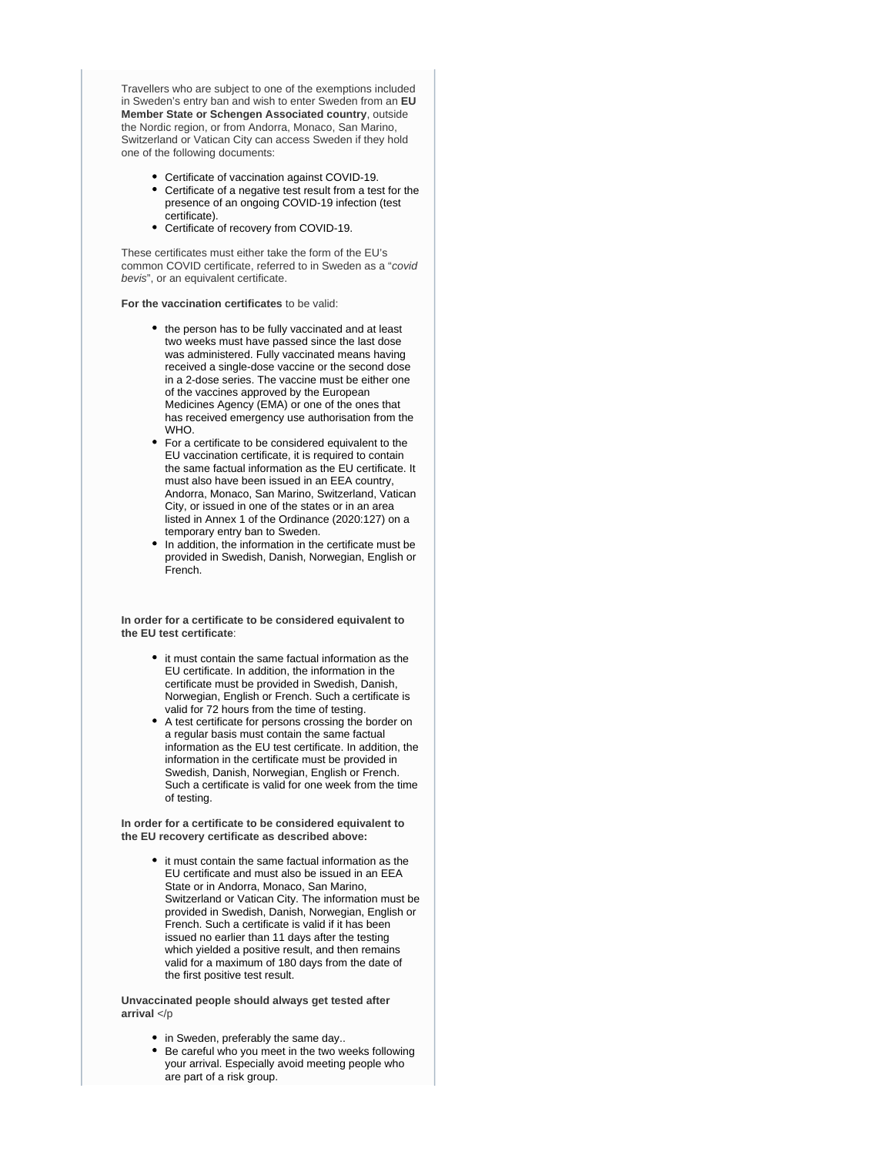Travellers who are subject to one of the exemptions included in Sweden's entry ban and wish to enter Sweden from an **EU Member State or Schengen Associated country**, outside the Nordic region, or from Andorra, Monaco, San Marino, Switzerland or Vatican City can access Sweden if they hold one of the following documents:

- Certificate of vaccination against COVID-19.
- Certificate of a negative test result from a test for the presence of an ongoing COVID-19 infection (test certificate).
- Certificate of recovery from COVID-19.

These certificates must either take the form of the EU's common COVID certificate, referred to in Sweden as a "covid bevis", or an equivalent certificate.

**For the vaccination certificates** to be valid:

- the person has to be fully vaccinated and at least two weeks must have passed since the last dose was administered. Fully vaccinated means having received a single-dose vaccine or the second dose in a 2-dose series. The vaccine must be either one of the vaccines approved by the European Medicines Agency (EMA) or one of the ones that has received emergency use authorisation from the WHO.
- For a certificate to be considered equivalent to the EU vaccination certificate, it is required to contain the same factual information as the EU certificate. It must also have been issued in an EEA country, Andorra, Monaco, San Marino, Switzerland, Vatican City, or issued in one of the states or in an area listed in Annex 1 of the Ordinance (2020:127) on a temporary entry ban to Sweden.
- In addition, the information in the certificate must be provided in Swedish, Danish, Norwegian, English or French.

**In order for a certificate to be considered equivalent to the EU test certificate**:

- it must contain the same factual information as the EU certificate. In addition, the information in the certificate must be provided in Swedish, Danish, Norwegian, English or French. Such a certificate is valid for 72 hours from the time of testing.
- A test certificate for persons crossing the border on a regular basis must contain the same factual information as the EU test certificate. In addition, the information in the certificate must be provided in Swedish, Danish, Norwegian, English or French. Such a certificate is valid for one week from the time of testing.

**In order for a certificate to be considered equivalent to the EU recovery certificate as described above:**

> it must contain the same factual information as the EU certificate and must also be issued in an EEA State or in Andorra, Monaco, San Marino, Switzerland or Vatican City. The information must be provided in Swedish, Danish, Norwegian, English or French. Such a certificate is valid if it has been issued no earlier than 11 days after the testing which yielded a positive result, and then remains valid for a maximum of 180 days from the date of the first positive test result.

**Unvaccinated people should always get tested after arrival** </p

- in Sweden, preferably the same day..
- Be careful who you meet in the two weeks following your arrival. Especially avoid meeting people who are part of a risk group.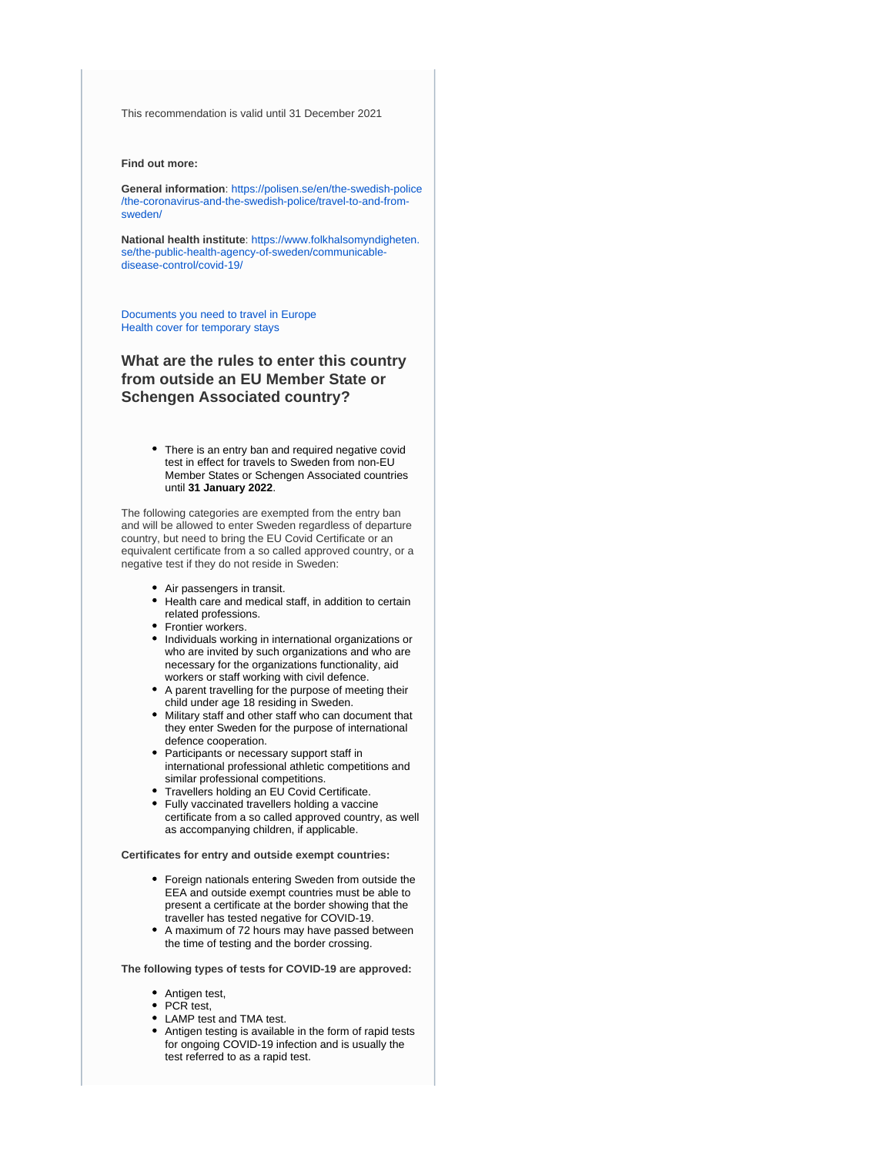This recommendation is valid until 31 December 2021

#### **Find out more:**

**General information**: [https://polisen.se/en/the-swedish-police](https://polisen.se/en/the-swedish-police/the-coronavirus-and-the-swedish-police/travel-to-and-from-sweden/) [/the-coronavirus-and-the-swedish-police/travel-to-and-from](https://polisen.se/en/the-swedish-police/the-coronavirus-and-the-swedish-police/travel-to-and-from-sweden/)[sweden/](https://polisen.se/en/the-swedish-police/the-coronavirus-and-the-swedish-police/travel-to-and-from-sweden/)

**National health institute**: [https://www.folkhalsomyndigheten.](https://www.folkhalsomyndigheten.se/the-public-health-agency-of-sweden/communicable-disease-control/covid-19/) [se/the-public-health-agency-of-sweden/communicable](https://www.folkhalsomyndigheten.se/the-public-health-agency-of-sweden/communicable-disease-control/covid-19/)[disease-control/covid-19/](https://www.folkhalsomyndigheten.se/the-public-health-agency-of-sweden/communicable-disease-control/covid-19/)

[Documents you need to travel in Europe](https://europa.eu/youreurope/citizens/travel/entry-exit/index_en.htm) [Health cover for temporary stays](https://europa.eu/youreurope/citizens/health/unplanned-healthcare/temporary-stays/index_en.htm)

### **What are the rules to enter this country from outside an EU Member State or Schengen Associated country?**

There is an entry ban and required negative covid test in effect for travels to Sweden from non-EU Member States or Schengen Associated countries until **31 January 2022**.

The following categories are exempted from the entry ban and will be allowed to enter Sweden regardless of departure country, but need to bring the EU Covid Certificate or an equivalent certificate from a so called approved country, or a negative test if they do not reside in Sweden:

- Air passengers in transit.
- Health care and medical staff, in addition to certain  $\bullet$ related professions.
- Frontier workers.
- Individuals working in international organizations or who are invited by such organizations and who are necessary for the organizations functionality, aid workers or staff working with civil defence.
- A parent travelling for the purpose of meeting their child under age 18 residing in Sweden.
- Military staff and other staff who can document that they enter Sweden for the purpose of international defence cooperation.
- Participants or necessary support staff in international professional athletic competitions and similar professional competitions.
- Travellers holding an EU Covid Certificate. Fully vaccinated travellers holding a vaccine
- certificate from a so called approved country, as well as accompanying children, if applicable.

**Certificates for entry and outside exempt countries:**

- Foreign nationals entering Sweden from outside the EEA and outside exempt countries must be able to present a certificate at the border showing that the traveller has tested negative for COVID-19.
- A maximum of 72 hours may have passed between the time of testing and the border crossing.

**The following types of tests for COVID-19 are approved:**

- Antigen test,
- PCR test,
- LAMP test and TMA test.
- Antigen testing is available in the form of rapid tests for ongoing COVID-19 infection and is usually the test referred to as a rapid test.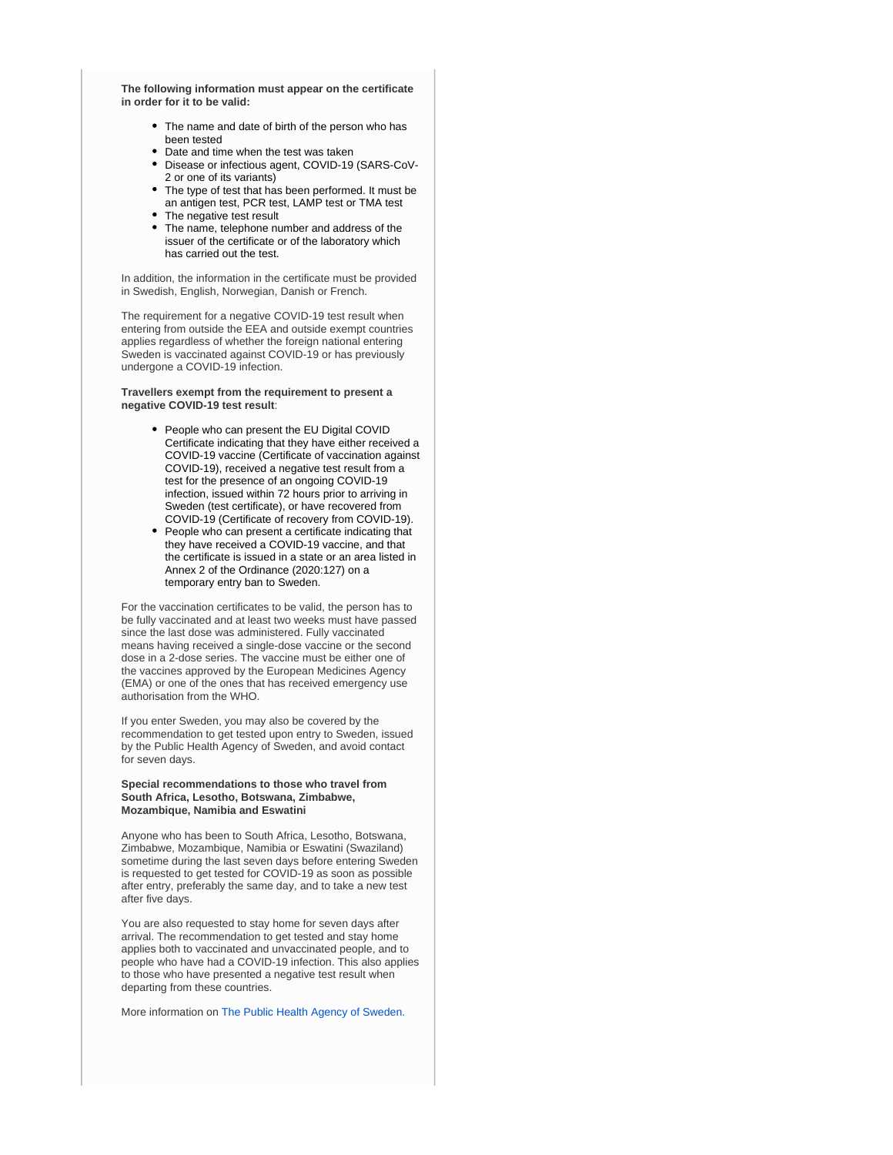**The following information must appear on the certificate in order for it to be valid:**

- The name and date of birth of the person who has been tested
- Date and time when the test was taken
- Disease or infectious agent, COVID-19 (SARS-CoV-2 or one of its variants)
- The type of test that has been performed. It must be an antigen test, PCR test, LAMP test or TMA test
- The negative test result
- The name, telephone number and address of the issuer of the certificate or of the laboratory which has carried out the test.

In addition, the information in the certificate must be provided in Swedish, English, Norwegian, Danish or French.

The requirement for a negative COVID-19 test result when entering from outside the EEA and outside exempt countries applies regardless of whether the foreign national entering Sweden is vaccinated against COVID-19 or has previously undergone a COVID-19 infection.

**Travellers exempt from the requirement to present a negative COVID-19 test result**:

- People who can present the EU Digital COVID Certificate indicating that they have either received a COVID-19 vaccine (Certificate of vaccination against COVID-19), received a negative test result from a test for the presence of an ongoing COVID-19 infection, issued within 72 hours prior to arriving in Sweden (test certificate), or have recovered from COVID-19 (Certificate of recovery from COVID-19).
- People who can present a certificate indicating that they have received a COVID-19 vaccine, and that the certificate is issued in a state or an area listed in Annex 2 of the Ordinance (2020:127) on a temporary entry ban to Sweden.

For the vaccination certificates to be valid, the person has to be fully vaccinated and at least two weeks must have passed since the last dose was administered. Fully vaccinated means having received a single-dose vaccine or the second dose in a 2-dose series. The vaccine must be either one of the vaccines approved by the European Medicines Agency (EMA) or one of the ones that has received emergency use authorisation from the WHO.

If you enter Sweden, you may also be covered by the recommendation to get tested upon entry to Sweden, issued by the Public Health Agency of Sweden, and avoid contact for seven days.

#### **Special recommendations to those who travel from South Africa, Lesotho, Botswana, Zimbabwe, Mozambique, Namibia and Eswatini**

Anyone who has been to South Africa, Lesotho, Botswana, Zimbabwe, Mozambique, Namibia or Eswatini (Swaziland) sometime during the last seven days before entering Sweden is requested to get tested for COVID-19 as soon as possible after entry, preferably the same day, and to take a new test after five days.

You are also requested to stay home for seven days after arrival. The recommendation to get tested and stay home applies both to vaccinated and unvaccinated people, and to people who have had a COVID-19 infection. This also applies to those who have presented a negative test result when departing from these countries.

More information on [The Public Health Agency of Sweden.](https://www.folkhalsomyndigheten.se/the-public-health-agency-of-sweden/communicable-disease-control/covid-19/if-you-are-planning-to-travel/recommendations-for-those-travelling/)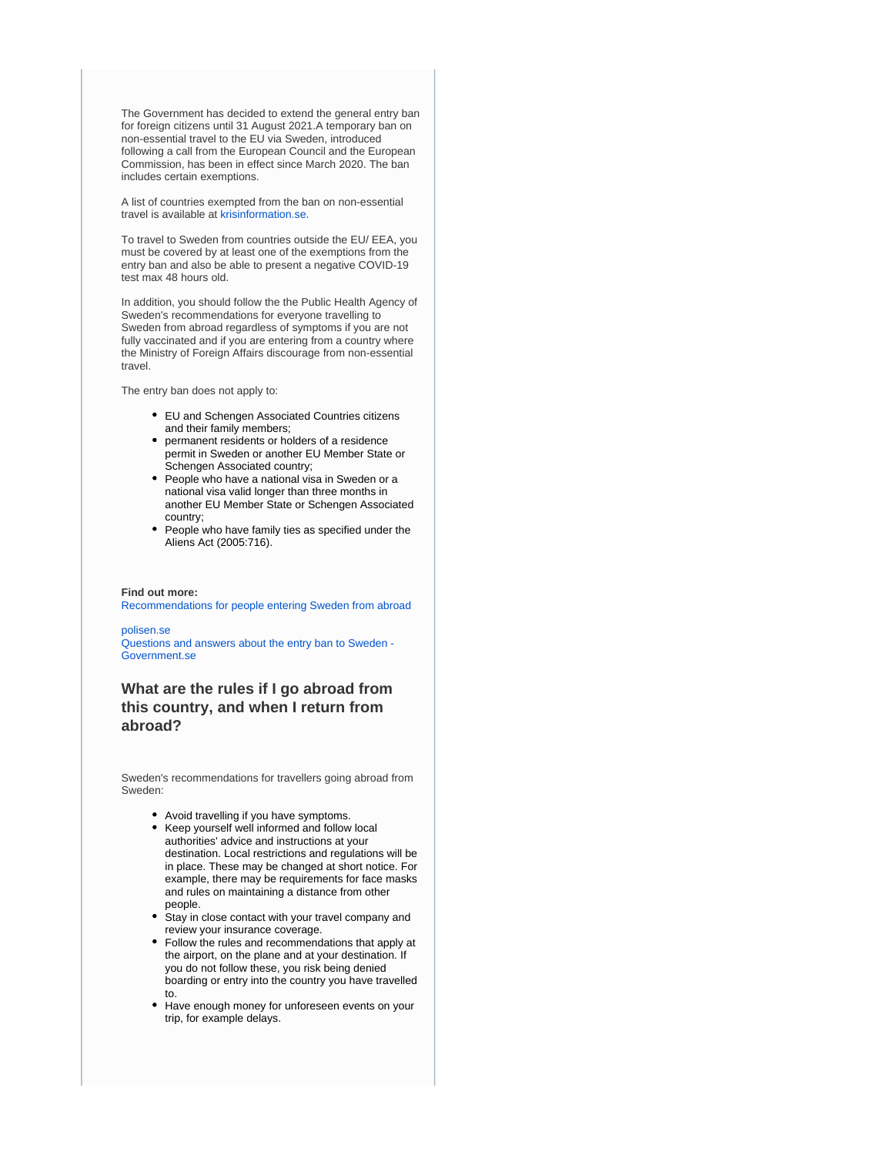The Government has decided to extend the general entry ban for foreign citizens until 31 August 2021.A temporary ban on non-essential travel to the EU via Sweden, introduced following a call from the European Council and the European Commission, has been in effect since March 2020. The ban includes certain exemptions.

A list of countries exempted from the ban on non-essential travel is available at [krisinformation.se.](https://www.krisinformation.se/en/hazards-and-risks/disasters-and-incidents/2020/official-information-on-the-new-coronavirus/travel-restrictions)

To travel to Sweden from countries outside the EU/ EEA, you must be covered by at least one of the exemptions from the entry ban and also be able to present a negative COVID-19 test max 48 hours old.

In addition, you should follow the the Public Health Agency of Sweden's recommendations for everyone travelling to Sweden from abroad regardless of symptoms if you are not fully vaccinated and if you are entering from a country where the Ministry of Foreign Affairs discourage from non-essential travel.

The entry ban does not apply to:

- EU and Schengen Associated Countries citizens and their family members;
- permanent residents or holders of a residence permit in Sweden or another EU Member State or Schengen Associated country;
- People who have a national visa in Sweden or a national visa valid longer than three months in another EU Member State or Schengen Associated country;
- People who have family ties as specified under the Aliens Act (2005:716).

**Find out more:** [Recommendations for people entering Sweden from abroad](https://www.folkhalsomyndigheten.se/the-public-health-agency-of-sweden/communicable-disease-control/covid-19/if-you-are-planning-to-travel/recommendations-for-those-travelling/)

[polisen.se](https://polisen.se/en/the-swedish-police/the-coronavirus-and-the-swedish-police/faq) [Questions and answers about the entry ban to Sweden -](https://www.government.se/articles/2020/04/questions-and-answers-about-the-entry-ban-to-sweden/)  [Government.se](https://www.government.se/articles/2020/04/questions-and-answers-about-the-entry-ban-to-sweden/)

### **What are the rules if I go abroad from this country, and when I return from abroad?**

Sweden's recommendations for travellers going abroad from Sweden:

- Avoid travelling if you have symptoms.
- Keep yourself well informed and follow local authorities' advice and instructions at your destination. Local restrictions and regulations will be in place. These may be changed at short notice. For example, there may be requirements for face masks and rules on maintaining a distance from other people.
- Stay in close contact with your travel company and review your insurance coverage.
- Follow the rules and recommendations that apply at the airport, on the plane and at your destination. If you do not follow these, you risk being denied boarding or entry into the country you have travelled to.
- Have enough money for unforeseen events on your trip, for example delays.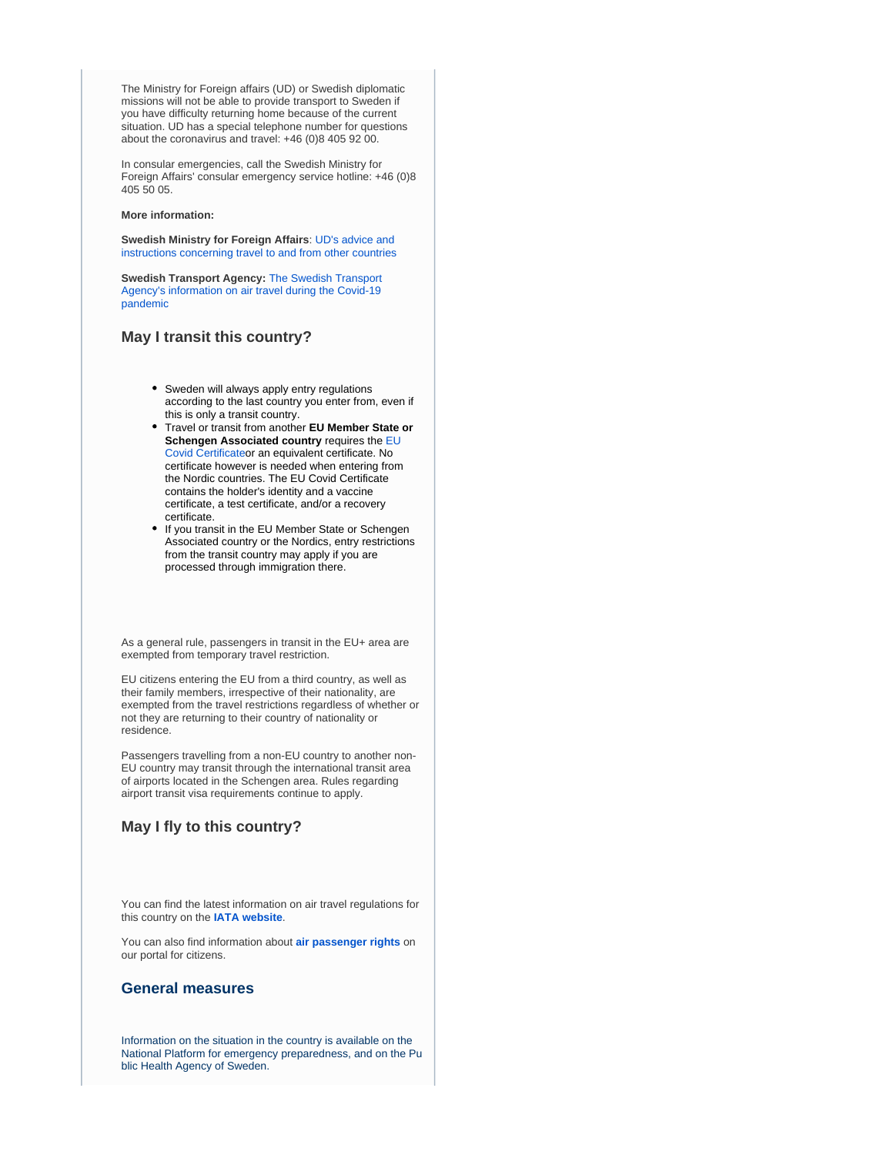The Ministry for Foreign affairs (UD) or Swedish diplomatic missions will not be able to provide transport to Sweden if you have difficulty returning home because of the current situation. UD has a special telephone number for questions about the coronavirus and travel: +46 (0)8 405 92 00.

In consular emergencies, call the Swedish Ministry for Foreign Affairs' consular emergency service hotline: +46 (0)8 405 50 05.

#### **More information:**

**Swedish Ministry for Foreign Affairs**: [UD's advice and](https://www.government.se/government-of-sweden/ministry-for-foreign-affairs/)  [instructions concerning travel to and from other countries](https://www.government.se/government-of-sweden/ministry-for-foreign-affairs/)

**Swedish Transport Agency:** [The Swedish Transport](https://transportstyrelsen.se/en/About-us/coronavirus-covid-19/)  [Agency's information on air travel during the Covid-19](https://transportstyrelsen.se/en/About-us/coronavirus-covid-19/)  [pandemic](https://transportstyrelsen.se/en/About-us/coronavirus-covid-19/)

### **May I transit this country?**

- Sweden will always apply entry regulations according to the last country you enter from, even if this is only a transit country.
- Travel or transit from another **EU Member State or Schengen Associated country** requires the [EU](https://ec.europa.eu/info/live-work-travel-eu/coronavirus-response/safe-covid-19-vaccines-europeans/eu-digital-covid-certificate_en)  [Covid Certificate](https://ec.europa.eu/info/live-work-travel-eu/coronavirus-response/safe-covid-19-vaccines-europeans/eu-digital-covid-certificate_en)or an equivalent certificate. No certificate however is needed when entering from the Nordic countries. The EU Covid Certificate contains the holder's identity and a vaccine certificate, a test certificate, and/or a recovery certificate.
- If you transit in the EU Member State or Schengen Associated country or the Nordics, entry restrictions from the transit country may apply if you are processed through immigration there.

As a general rule, passengers in transit in the EU+ area are exempted from temporary travel restriction.

EU citizens entering the EU from a third country, as well as their family members, irrespective of their nationality, are exempted from the travel restrictions regardless of whether or not they are returning to their country of nationality or residence.

Passengers travelling from a non-EU country to another non-EU country may transit through the international transit area of airports located in the Schengen area. Rules regarding airport transit visa requirements continue to apply.

### **May I fly to this country?**

You can find the latest information on air travel regulations for this country on the **[IATA website](https://www.iatatravelcentre.com/international-travel-document-news/1580226297.htm)**.

You can also find information about **[air passenger rights](https://europa.eu/youreurope/citizens/travel/passenger-rights/air/index_en.htm)** on our portal for citizens.

### **General measures**

Information on the situation in the country is available on the [National Platform for emergency preparedness,](https://www.krisinformation.se/en) and on the [Pu](https://www.folkhalsomyndigheten.se/the-public-health-agency-of-sweden/) [blic Health Agency of Sweden.](https://www.folkhalsomyndigheten.se/the-public-health-agency-of-sweden/)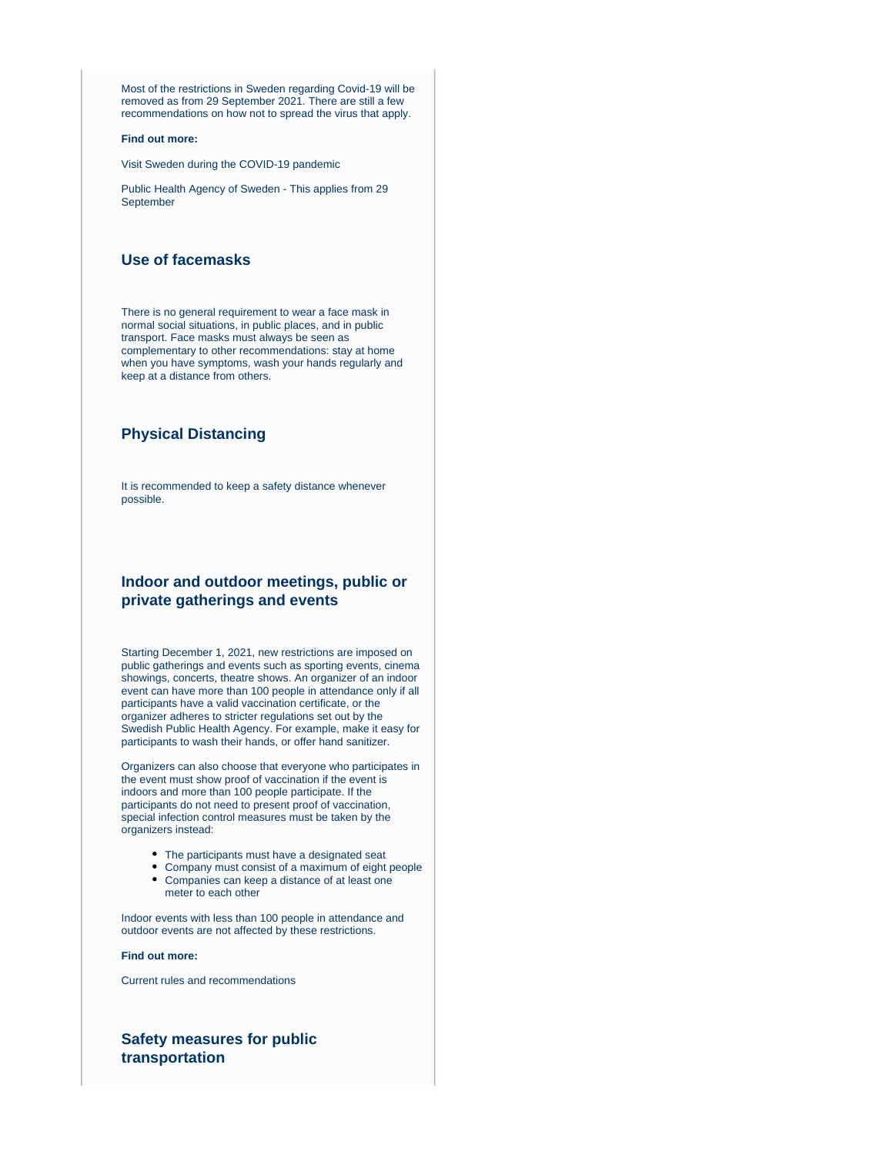Most of the restrictions in Sweden regarding Covid-19 will be removed as from 29 September 2021. There are still a few recommendations on how not to spread the virus that apply.

#### **Find out more:**

[Visit Sweden during the COVID-19 pandemic](https://www.krisinformation.se/en/hazards-and-risks/disasters-and-incidents/2020/official-information-on-the-new-coronavirus/visiting-sweden)

[Public Health Agency of Sweden - This applies from 29](https://www.folkhalsomyndigheten.se/the-public-health-agency-of-sweden/)  [September](https://www.folkhalsomyndigheten.se/the-public-health-agency-of-sweden/)

### **Use of facemasks**

There is no general requirement to wear a face mask in normal social situations, in public places, and in public transport. Face masks must always be seen as complementary to other recommendations: stay at home when you have symptoms, wash your hands regularly and keep at a distance from others.

### **Physical Distancing**

It is recommended to keep a safety distance whenever possible.

### **Indoor and outdoor meetings, public or private gatherings and events**

Starting December 1, 2021, new restrictions are imposed on public gatherings and events such as sporting events, cinema showings, concerts, theatre shows. An organizer of an indoor event can have more than 100 people in attendance only if all participants have a valid vaccination certificate, or the organizer adheres to stricter regulations set out by the Swedish Public Health Agency. For example, make it easy for participants to wash their hands, or offer hand sanitizer.

Organizers can also choose that everyone who participates in the event must show proof of vaccination if the event is indoors and more than 100 people participate. If the participants do not need to present proof of vaccination, special infection control measures must be taken by the organizers instead:

- The participants must have a designated seat
- Company must consist of a maximum of eight people Companies can keep a distance of at least one meter to each other

Indoor events with less than 100 people in attendance and outdoor events are not affected by these restrictions.

#### **Find out more:**

[Current rules and recommendations](https://www.krisinformation.se/en/hazards-and-risks/disasters-and-incidents/2020/official-information-on-the-new-coronavirus/current-rules-and-recommendations)

### **Safety measures for public transportation**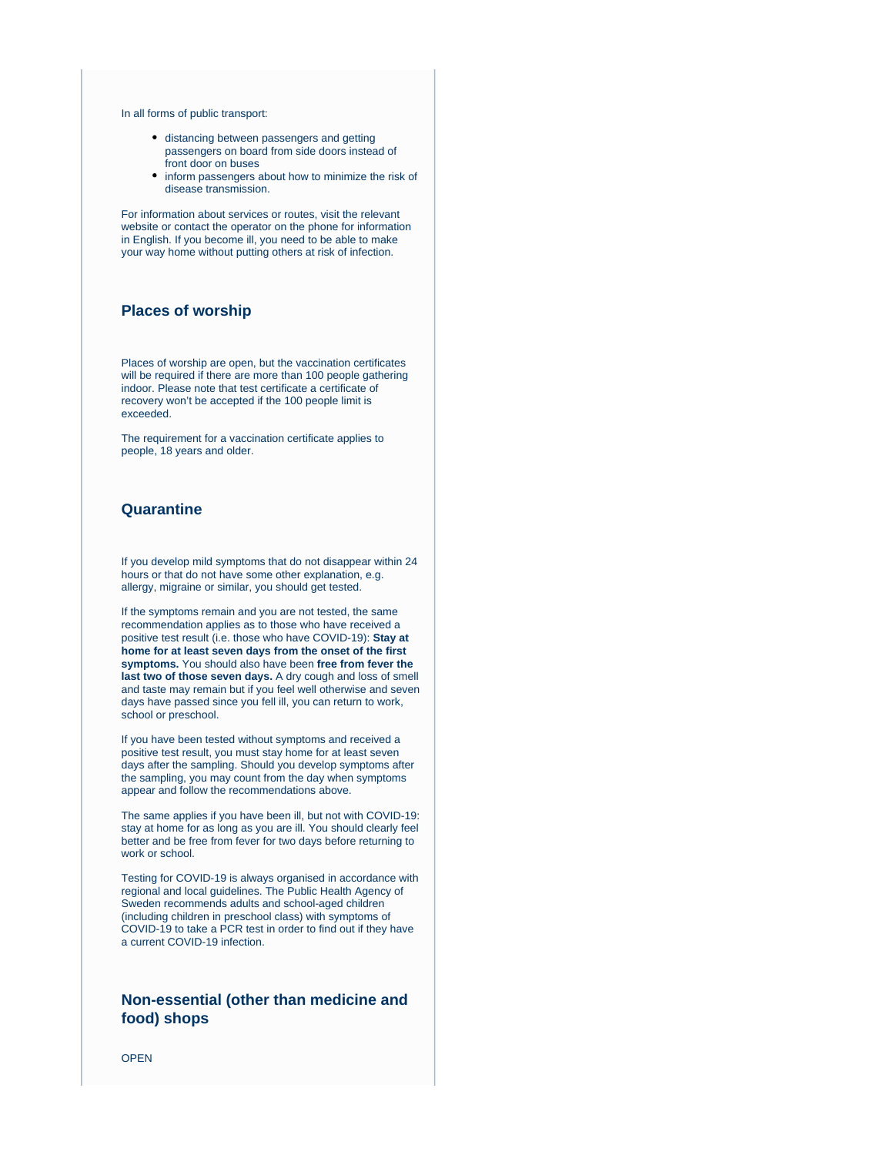#### In all forms of public transport:

- distancing between passengers and getting passengers on board from side doors instead of front door on buses
- inform passengers about how to minimize the risk of disease transmission.

For information about services or routes, visit the relevant website or contact the operator on the phone for information in English. If you become ill, you need to be able to make your way home without putting others at risk of infection.

### **Places of worship**

Places of worship are open, but the vaccination certificates will be required if there are more than 100 people gathering indoor. Please note that test certificate a certificate of recovery won't be accepted if the 100 people limit is exceeded.

The requirement for a vaccination certificate applies to people, 18 years and older.

### **Quarantine**

If you develop mild symptoms that do not disappear within 24 hours or that do not have some other explanation, e.g. allergy, migraine or similar, you should get tested.

If the symptoms remain and you are not tested, the same recommendation applies as to those who have received a positive test result (i.e. those who have COVID-19): **Stay at home for at least seven days from the onset of the first symptoms.** You should also have been **free from fever the last two of those seven days.** A dry cough and loss of smell and taste may remain but if you feel well otherwise and seven days have passed since you fell ill, you can return to work, school or preschool.

If you have been tested without symptoms and received a positive test result, you must stay home for at least seven days after the sampling. Should you develop symptoms after the sampling, you may count from the day when symptoms appear and follow the recommendations above.

The same applies if you have been ill, but not with COVID-19: stay at home for as long as you are ill. You should clearly feel better and be free from fever for two days before returning to work or school.

Testing for COVID-19 is always organised in accordance with regional and local guidelines. The Public Health Agency of Sweden recommends adults and school-aged children (including children in preschool class) with [symptoms of](https://www.folkhalsomyndigheten.se/the-public-health-agency-of-sweden/communicable-disease-control/covid-19/?exp=68197#_68197)  [COVID-19](https://www.folkhalsomyndigheten.se/the-public-health-agency-of-sweden/communicable-disease-control/covid-19/?exp=68197#_68197) to take a PCR test in order to find out if they have a current COVID-19 infection.

### **Non-essential (other than medicine and food) shops**

**OPEN**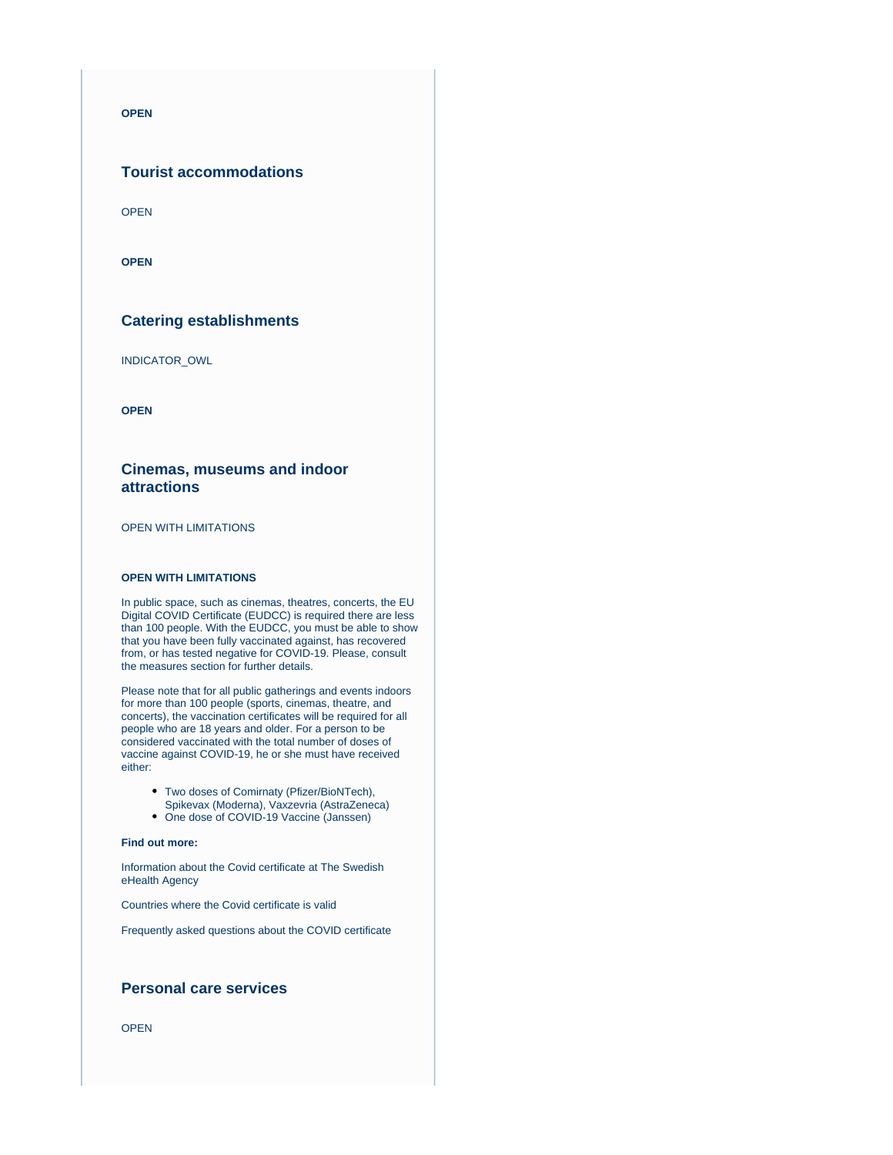**OPEN**

### **Tourist accommodations**

OPEN

**OPEN**

### **Catering establishments**

INDICATOR\_OWL

**OPEN**

### **Cinemas, museums and indoor attractions**

OPEN WITH LIMITATIONS

#### **OPEN WITH LIMITATIONS**

In public space, such as cinemas, theatres, concerts, the EU Digital COVID Certificate (EUDCC) is required there are less than 100 people. With the EUDCC, you must be able to show that you have been fully vaccinated against, has recovered from, or has tested negative for COVID-19. Please, consult the [measures](https://www.krisinformation.se/en/hazards-and-risks/disasters-and-incidents/2020/official-information-on-the-new-coronavirus/current-rules-and-recommendations) section for further details.

Please note that for all public gatherings and events indoors for more than 100 people (sports, cinemas, theatre, and concerts), the vaccination certificates will be required for all people who are 18 years and older. For a person to be considered vaccinated with the total number of doses of vaccine against COVID-19, he or she must have received either:

- Two doses of Comirnaty (Pfizer/BioNTech),
- Spikevax (Moderna), Vaxzevria (AstraZeneca)
- One dose of COVID-19 Vaccine (Janssen)

#### **Find out more:**

[Information about the Covid certificate at The Swedish](https://www.ehalsomyndigheten.se/tjanster/covid-certificate/)  [eHealth Agency](https://www.ehalsomyndigheten.se/tjanster/covid-certificate/)

[Countries where the Covid certificate is valid](https://www.ehalsomyndigheten.se/tjanster/covid-certificate/countries-where-the-covid-certificate-are-valid/)

[Frequently asked questions about the COVID certificate](https://www.ehalsomyndigheten.se/tjanster/covid-certificate/frequently-asked-questions/)

### **Personal care services**

OPEN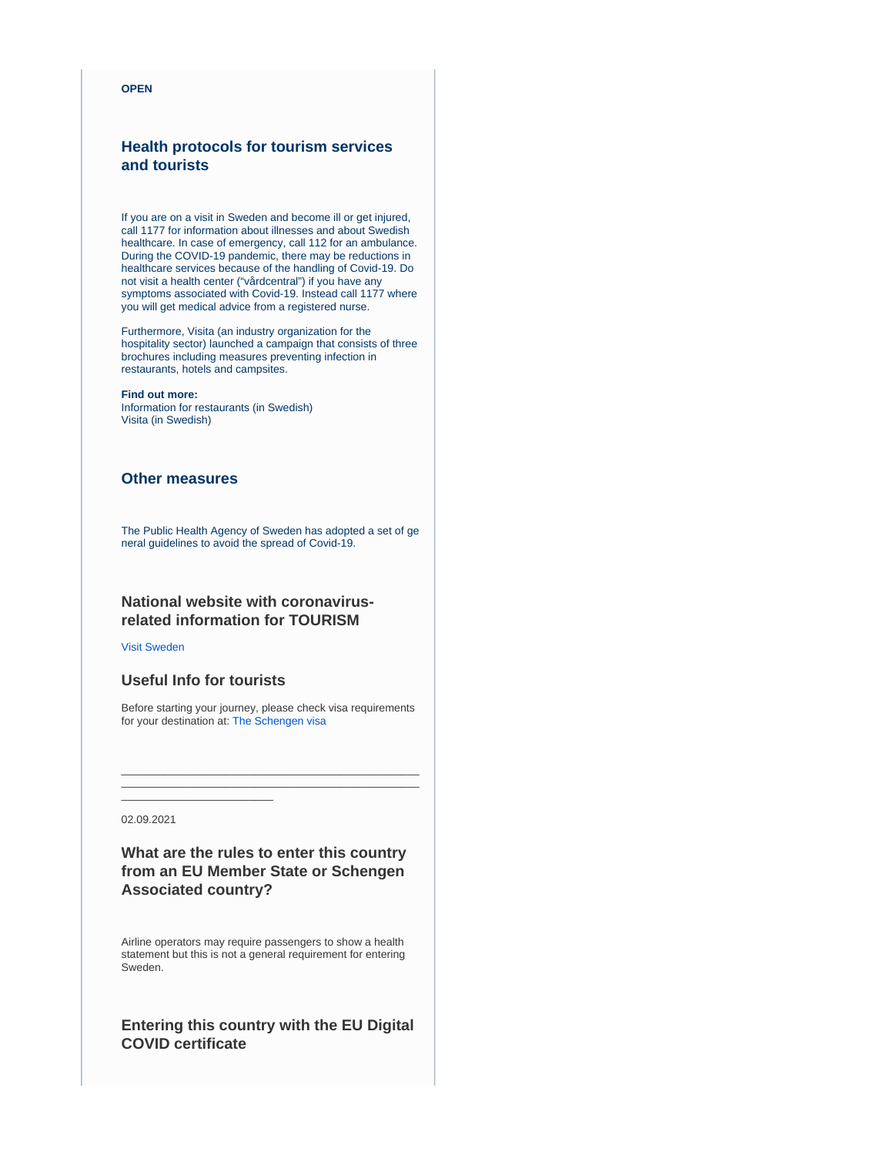#### **OPEN**

## **Health protocols for tourism services and tourists**

If you are on a visit in Sweden and become ill or get injured, call 1177 for information about illnesses and about Swedish healthcare. In case of emergency, call 112 for an ambulance. During the COVID-19 pandemic, there may be reductions in healthcare services because of the handling of Covid-19. Do not visit a health center ("vårdcentral") if you have any symptoms associated with Covid-19. Instead call 1177 where you will get medical advice from a registered nurse.

Furthermore, Visita (an industry organization for the hospitality sector) launched a campaign that consists of three brochures including measures preventing infection in restaurants, hotels and campsites.

#### **Find out more:**

[Information for restaurants](https://www.folkhalsomyndigheten.se/smittskydd-beredskap/utbrott/aktuella-utbrott/covid-19/verksamheter/restauranger-och-krogar/) (in Swedish) [Visita](https://visita.se/visitas-arbete-under-coronakrisen-covid-19/) (in Swedish)

## **Other measures**

The Public Health Agency of Sweden has adopted a set o[f ge](https://www.folkhalsomyndigheten.se/the-public-health-agency-of-sweden/communicable-disease-control/covid-19/local-general-guidelines/) [neral guidelines to avoid the spread of Covid-19.](https://www.folkhalsomyndigheten.se/the-public-health-agency-of-sweden/communicable-disease-control/covid-19/local-general-guidelines/)

# **National website with coronavirusrelated information for TOURISM**

[Visit Sweden](https://visitsweden.com/)

### **Useful Info for tourists**

\_\_\_\_\_\_\_\_\_\_\_\_\_\_\_\_\_\_\_\_\_\_\_\_\_

Before starting your journey, please check visa requirements for your destination at: [The Schengen visa](https://ec.europa.eu/home-affairs/what-we-do/policies/borders-and-visas/visa-policy/schengen_visa_en)

\_\_\_\_\_\_\_\_\_\_\_\_\_\_\_\_\_\_\_\_\_\_\_\_\_\_\_\_\_\_\_\_\_\_\_\_\_\_\_\_\_\_\_\_\_\_\_\_\_

02.09.2021

# **What are the rules to enter this country from an EU Member State or Schengen Associated country?**

Airline operators may require passengers to show a health statement but this is not a general requirement for entering Sweden.

# **Entering this country with the EU Digital COVID certificate**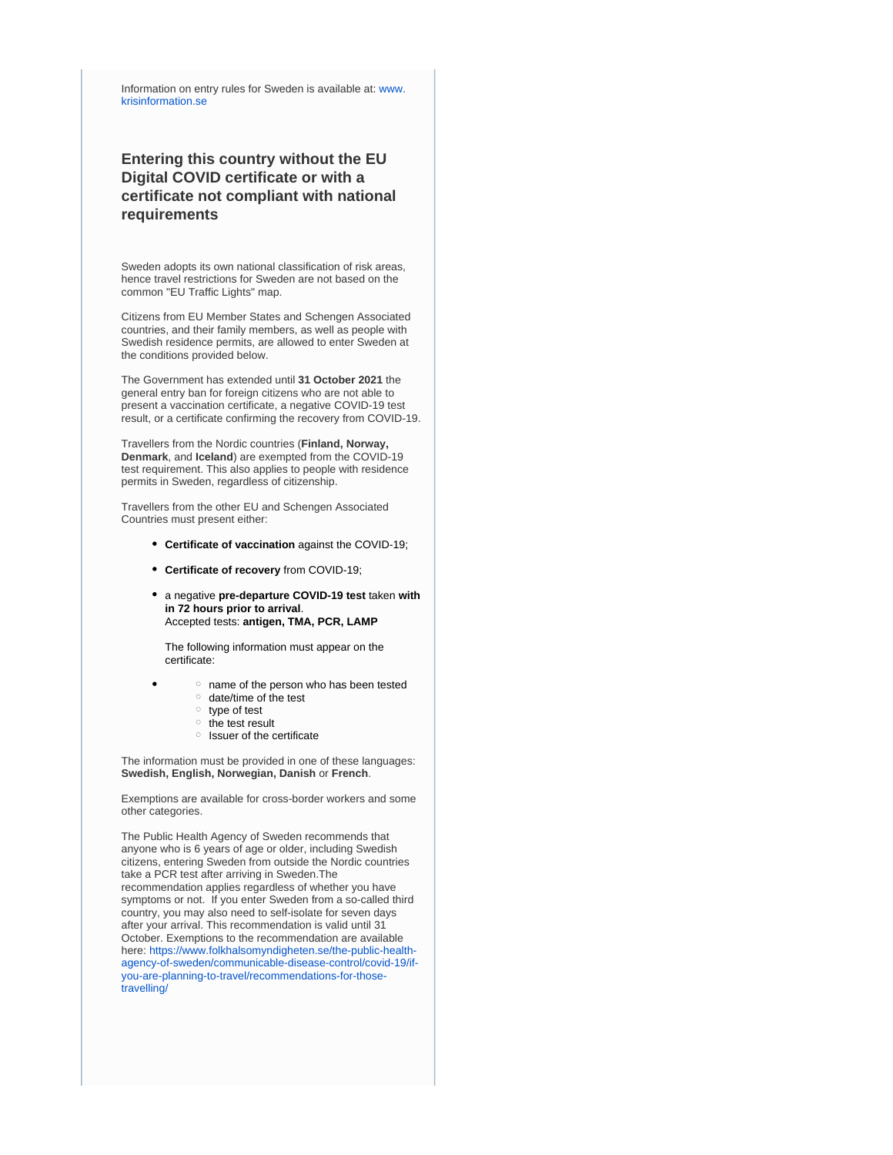Information on entry rules for Sweden is available at: [www.](https://www.krisinformation.se/en/hazards-and-risks/disasters-and-incidents/2020/official-information-on-the-new-coronavirus/travel-restrictions) [krisinformation.se](https://www.krisinformation.se/en/hazards-and-risks/disasters-and-incidents/2020/official-information-on-the-new-coronavirus/travel-restrictions)

# **Entering this country without the EU Digital COVID certificate or with a certificate not compliant with national requirements**

Sweden adopts its own national classification of risk areas, hence travel restrictions for Sweden are not based on the common "EU Traffic Lights" map.

Citizens from EU Member States and Schengen Associated countries, and their family members, as well as people with Swedish residence permits, are allowed to enter Sweden at the conditions provided below.

The Government has extended until **31 October 2021** the general entry ban for foreign citizens who are not able to present a vaccination certificate, a negative COVID-19 test result, or a certificate confirming the recovery from COVID-19.

Travellers from the Nordic countries (**Finland, Norway, Denmark**, and **Iceland**) are exempted from the COVID-19 test requirement. This also applies to people with residence permits in Sweden, regardless of citizenship.

Travellers from the other EU and Schengen Associated Countries must present either:

- **Certificate of vaccination** against the COVID-19;
- **Certificate of recovery** from COVID-19;
- a negative **pre-departure COVID-19 test** taken **with in 72 hours prior to arrival**. Accepted tests: **antigen, TMA, PCR, LAMP**

The following information must appear on the certificate:

- $\circ$  name of the person who has been tested
	- $\circ$  date/time of the test
	- $\circ$  type of test
	- $\circ$  the test result
	- $\circ$  Issuer of the certificate

The information must be provided in one of these languages: **Swedish, English, Norwegian, Danish** or **French**.

Exemptions are available for cross-border workers and some other categories.

The Public Health Agency of Sweden recommends that anyone who is 6 years of age or older, including Swedish citizens, entering Sweden from outside the Nordic countries take a PCR test after arriving in Sweden.The recommendation applies regardless of whether you have symptoms or not. If you enter Sweden from a so-called third country, you may also need to self-isolate for seven days after your arrival. This recommendation is valid until 31 October. Exemptions to the recommendation are available here: [https://www.folkhalsomyndigheten.se/the-public-health](https://www.folkhalsomyndigheten.se/the-public-health-agency-of-sweden/communicable-disease-control/covid-19/if-you-are-planning-to-travel/recommendations-for-those-travelling/)[agency-of-sweden/communicable-disease-control/covid-19/if](https://www.folkhalsomyndigheten.se/the-public-health-agency-of-sweden/communicable-disease-control/covid-19/if-you-are-planning-to-travel/recommendations-for-those-travelling/)[you-are-planning-to-travel/recommendations-for-those](https://www.folkhalsomyndigheten.se/the-public-health-agency-of-sweden/communicable-disease-control/covid-19/if-you-are-planning-to-travel/recommendations-for-those-travelling/)[travelling/](https://www.folkhalsomyndigheten.se/the-public-health-agency-of-sweden/communicable-disease-control/covid-19/if-you-are-planning-to-travel/recommendations-for-those-travelling/)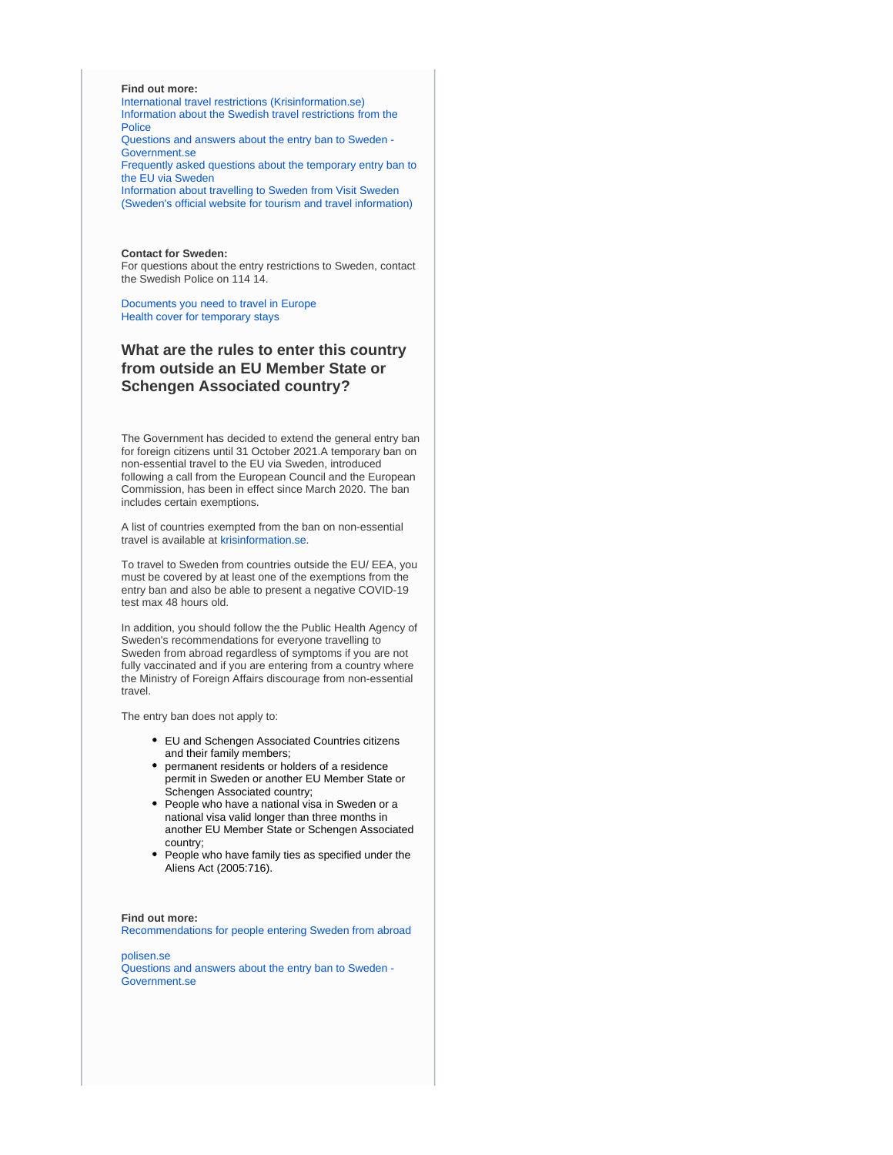#### **Find out more:**

[International travel restrictions \(Krisinformation.se\)](https://www.krisinformation.se/en/hazards-and-risks/disasters-and-incidents/2020/official-information-on-the-new-coronavirus/travel-restrictions) [Information about the Swedish travel restrictions from the](https://polisen.se/en/the-swedish-police/the-coronavirus-and-the-swedish-police/travel-to-and-from-sweden/)  [Police](https://polisen.se/en/the-swedish-police/the-coronavirus-and-the-swedish-police/travel-to-and-from-sweden/) [Questions and answers about the entry ban to Sweden -](https://www.government.se/articles/2020/04/questions-and-answers-about-the-entry-ban-to-sweden/) 

[Government.se](https://www.government.se/articles/2020/04/questions-and-answers-about-the-entry-ban-to-sweden/) [Frequently asked questions about the temporary entry ban to](https://polisen.se/en/the-swedish-police/the-coronavirus-and-the-swedish-police/faq/) 

[the EU via Sweden](https://polisen.se/en/the-swedish-police/the-coronavirus-and-the-swedish-police/faq/)

[Information about travelling to Sweden from Visit Sweden](https://visitsweden.com/about-sweden/information-for-travellers-corona-virus/)  [\(Sweden's official website for tourism and travel information\)](https://visitsweden.com/about-sweden/information-for-travellers-corona-virus/)

#### **Contact for Sweden:**

For questions about the entry restrictions to Sweden, contact the Swedish Police on 114 14.

[Documents you need to travel in Europe](https://europa.eu/youreurope/citizens/travel/entry-exit/index_en.htm) [Health cover for temporary stays](https://europa.eu/youreurope/citizens/health/unplanned-healthcare/temporary-stays/index_en.htm)

# **What are the rules to enter this country from outside an EU Member State or Schengen Associated country?**

The Government has decided to extend the general entry ban for foreign citizens until 31 October 2021.A temporary ban on non-essential travel to the EU via Sweden, introduced following a call from the European Council and the European Commission, has been in effect since March 2020. The ban includes certain exemptions.

A list of countries exempted from the ban on non-essential travel is available at [krisinformation.se.](https://www.krisinformation.se/en/hazards-and-risks/disasters-and-incidents/2020/official-information-on-the-new-coronavirus/travel-restrictions)

To travel to Sweden from countries outside the EU/ EEA, you must be covered by at least one of the exemptions from the entry ban and also be able to present a negative COVID-19 test max 48 hours old.

In addition, you should follow the the Public Health Agency of Sweden's recommendations for everyone travelling to Sweden from abroad regardless of symptoms if you are not fully vaccinated and if you are entering from a country where the Ministry of Foreign Affairs discourage from non-essential travel.

The entry ban does not apply to:

- EU and Schengen Associated Countries citizens and their family members;
- permanent residents or holders of a residence permit in Sweden or another EU Member State or Schengen Associated country;
- People who have a national visa in Sweden or a national visa valid longer than three months in another EU Member State or Schengen Associated country;
- People who have family ties as specified under the Aliens Act (2005:716).

#### **Find out more:**

[Recommendations for people entering Sweden from abroad](https://www.folkhalsomyndigheten.se/the-public-health-agency-of-sweden/communicable-disease-control/covid-19/if-you-are-planning-to-travel/recommendations-for-those-travelling/)

[polisen.se](https://polisen.se/en/the-swedish-police/the-coronavirus-and-the-swedish-police/faq) [Questions and answers about the entry ban to Sweden -](https://www.government.se/articles/2020/04/questions-and-answers-about-the-entry-ban-to-sweden/)  [Government.se](https://www.government.se/articles/2020/04/questions-and-answers-about-the-entry-ban-to-sweden/)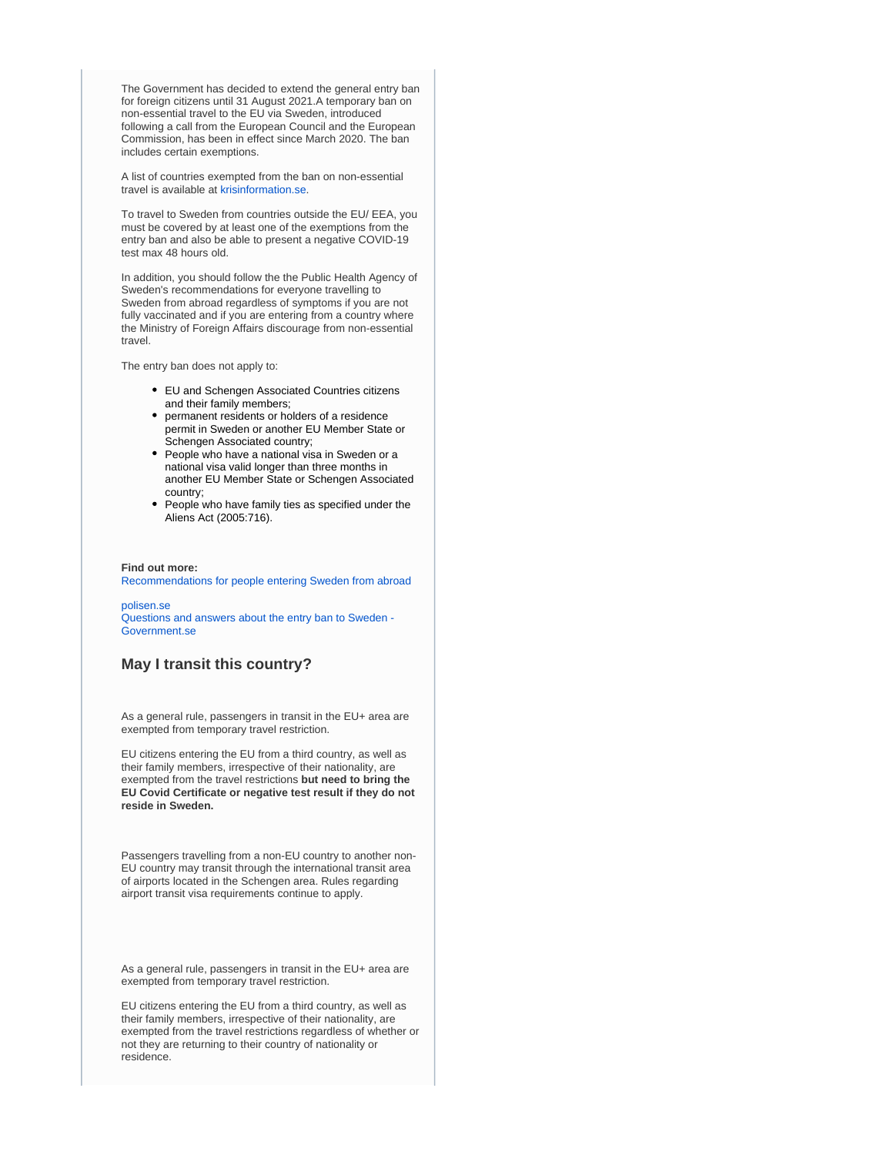The Government has decided to extend the general entry ban for foreign citizens until 31 August 2021.A temporary ban on non-essential travel to the EU via Sweden, introduced following a call from the European Council and the European Commission, has been in effect since March 2020. The ban includes certain exemptions.

A list of countries exempted from the ban on non-essential travel is available at [krisinformation.se.](https://www.krisinformation.se/en/hazards-and-risks/disasters-and-incidents/2020/official-information-on-the-new-coronavirus/travel-restrictions)

To travel to Sweden from countries outside the EU/ EEA, you must be covered by at least one of the exemptions from the entry ban and also be able to present a negative COVID-19 test max 48 hours old.

In addition, you should follow the the Public Health Agency of Sweden's recommendations for everyone travelling to Sweden from abroad regardless of symptoms if you are not fully vaccinated and if you are entering from a country where the Ministry of Foreign Affairs discourage from non-essential travel.

The entry ban does not apply to:

- EU and Schengen Associated Countries citizens and their family members;
- permanent residents or holders of a residence permit in Sweden or another EU Member State or Schengen Associated country;
- People who have a national visa in Sweden or a national visa valid longer than three months in another EU Member State or Schengen Associated country;
- People who have family ties as specified under the Aliens Act (2005:716).

#### **Find out more:**

[Recommendations for people entering Sweden from abroad](https://www.folkhalsomyndigheten.se/the-public-health-agency-of-sweden/communicable-disease-control/covid-19/if-you-are-planning-to-travel/recommendations-for-those-travelling/)

#### [polisen.se](https://polisen.se/en/the-swedish-police/the-coronavirus-and-the-swedish-police/faq)

[Questions and answers about the entry ban to Sweden -](https://www.government.se/articles/2020/04/questions-and-answers-about-the-entry-ban-to-sweden/)  [Government.se](https://www.government.se/articles/2020/04/questions-and-answers-about-the-entry-ban-to-sweden/)

## **May I transit this country?**

As a general rule, passengers in transit in the EU+ area are exempted from temporary travel restriction.

EU citizens entering the EU from a third country, as well as their family members, irrespective of their nationality, are exempted from the travel restrictions **but need to bring the EU Covid Certificate or negative test result if they do not reside in Sweden.**

Passengers travelling from a non-EU country to another non-EU country may transit through the international transit area of airports located in the Schengen area. Rules regarding airport transit visa requirements continue to apply.

As a general rule, passengers in transit in the EU+ area are exempted from temporary travel restriction.

EU citizens entering the EU from a third country, as well as their family members, irrespective of their nationality, are exempted from the travel restrictions regardless of whether or not they are returning to their country of nationality or residence.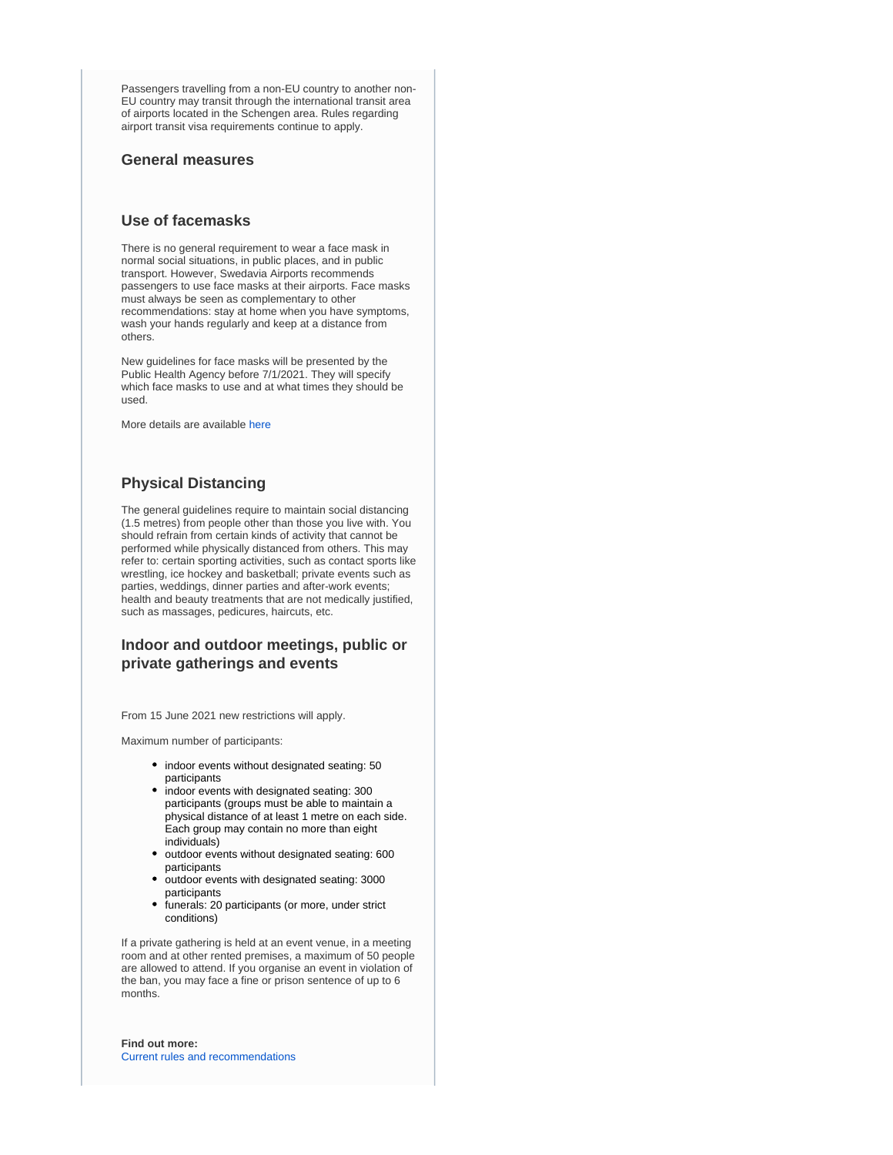Passengers travelling from a non-EU country to another non-EU country may transit through the international transit area of airports located in the Schengen area. Rules regarding airport transit visa requirements continue to apply.

### **General measures**

### **Use of facemasks**

There is no general requirement to wear a face mask in normal social situations, in public places, and in public transport. However, Swedavia Airports recommends passengers to use face masks at their airports. Face masks must always be seen as complementary to other recommendations: stay at home when you have symptoms, wash your hands regularly and keep at a distance from others.

New guidelines for face masks will be presented by the Public Health Agency before 7/1/2021. They will specify which face masks to use and at what times they should be used.

More details are available [here](https://www.folkhalsomyndigheten.se/smittskydd-beredskap/utbrott/aktuella-utbrott/covid-19/om-sjukdomen-och-smittspridning/smittspridning/munskydd/)

## **Physical Distancing**

The general guidelines require to maintain social distancing (1.5 metres) from people other than those you live with. You should refrain from certain kinds of activity that cannot be performed while physically distanced from others. This may refer to: certain sporting activities, such as contact sports like wrestling, ice hockey and basketball; private events such as parties, weddings, dinner parties and after-work events; health and beauty treatments that are not medically justified, such as massages, pedicures, haircuts, etc.

## **Indoor and outdoor meetings, public or private gatherings and events**

From 15 June 2021 new restrictions will apply.

Maximum number of participants:

- indoor events without designated seating: 50 participants
- indoor events with designated seating: 300 participants (groups must be able to maintain a physical distance of at least 1 metre on each side. Each group may contain no more than eight individuals)
- outdoor events without designated seating: 600 participants
- outdoor events with designated seating: 3000 participants
- funerals: 20 participants (or more, under strict conditions)

If a private gathering is held at an event venue, in a meeting room and at other rented premises, a maximum of 50 people are allowed to attend. If you organise an event in violation of the ban, you may face a fine or prison sentence of up to 6 months.

**Find out more:** [Current rules and recommendations](https://www.krisinformation.se/en/hazards-and-risks/disasters-and-incidents/2020/official-information-on-the-new-coronavirus/current-rules-and-recommendations)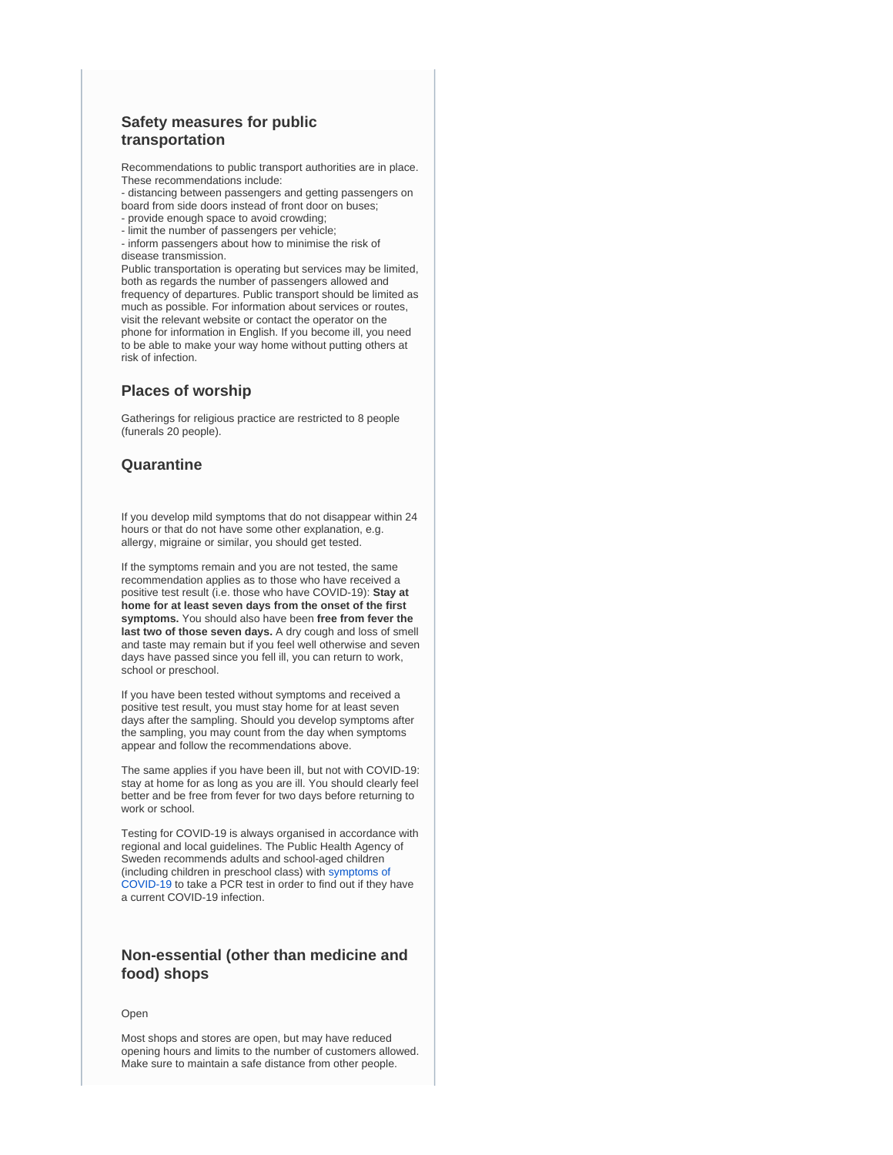## **Safety measures for public transportation**

Recommendations to public transport authorities are in place. These recommendations include:

- distancing between passengers and getting passengers on board from side doors instead of front door on buses;

- provide enough space to avoid crowding;
- limit the number of passengers per vehicle;

- inform passengers about how to minimise the risk of disease transmission.

Public transportation is operating but services may be limited, both as regards the number of passengers allowed and frequency of departures. Public transport should be limited as much as possible. For information about services or routes, visit the relevant website or contact the operator on the phone for information in English. If you become ill, you need to be able to make your way home without putting others at risk of infection.

### **Places of worship**

Gatherings for religious practice are restricted to 8 people (funerals 20 people).

## **Quarantine**

If you develop mild symptoms that do not disappear within 24 hours or that do not have some other explanation, e.g. allergy, migraine or similar, you should get tested.

If the symptoms remain and you are not tested, the same recommendation applies as to those who have received a positive test result (i.e. those who have COVID-19): **Stay at home for at least seven days from the onset of the first symptoms.** You should also have been **free from fever the last two of those seven days.** A dry cough and loss of smell and taste may remain but if you feel well otherwise and seven days have passed since you fell ill, you can return to work, school or preschool.

If you have been tested without symptoms and received a positive test result, you must stay home for at least seven days after the sampling. Should you develop symptoms after the sampling, you may count from the day when symptoms appear and follow the recommendations above.

The same applies if you have been ill, but not with COVID-19: stay at home for as long as you are ill. You should clearly feel better and be free from fever for two days before returning to work or school.

Testing for COVID-19 is always organised in accordance with regional and local guidelines. The Public Health Agency of Sweden recommends adults and school-aged children (including children in preschool class) with [symptoms of](https://www.folkhalsomyndigheten.se/the-public-health-agency-of-sweden/communicable-disease-control/covid-19/?exp=68197#_68197)  [COVID-19](https://www.folkhalsomyndigheten.se/the-public-health-agency-of-sweden/communicable-disease-control/covid-19/?exp=68197#_68197) to take a PCR test in order to find out if they have a current COVID-19 infection.

# **Non-essential (other than medicine and food) shops**

#### Open

Most shops and stores are open, but may have reduced opening hours and limits to the number of customers allowed. Make sure to maintain a safe distance from other people.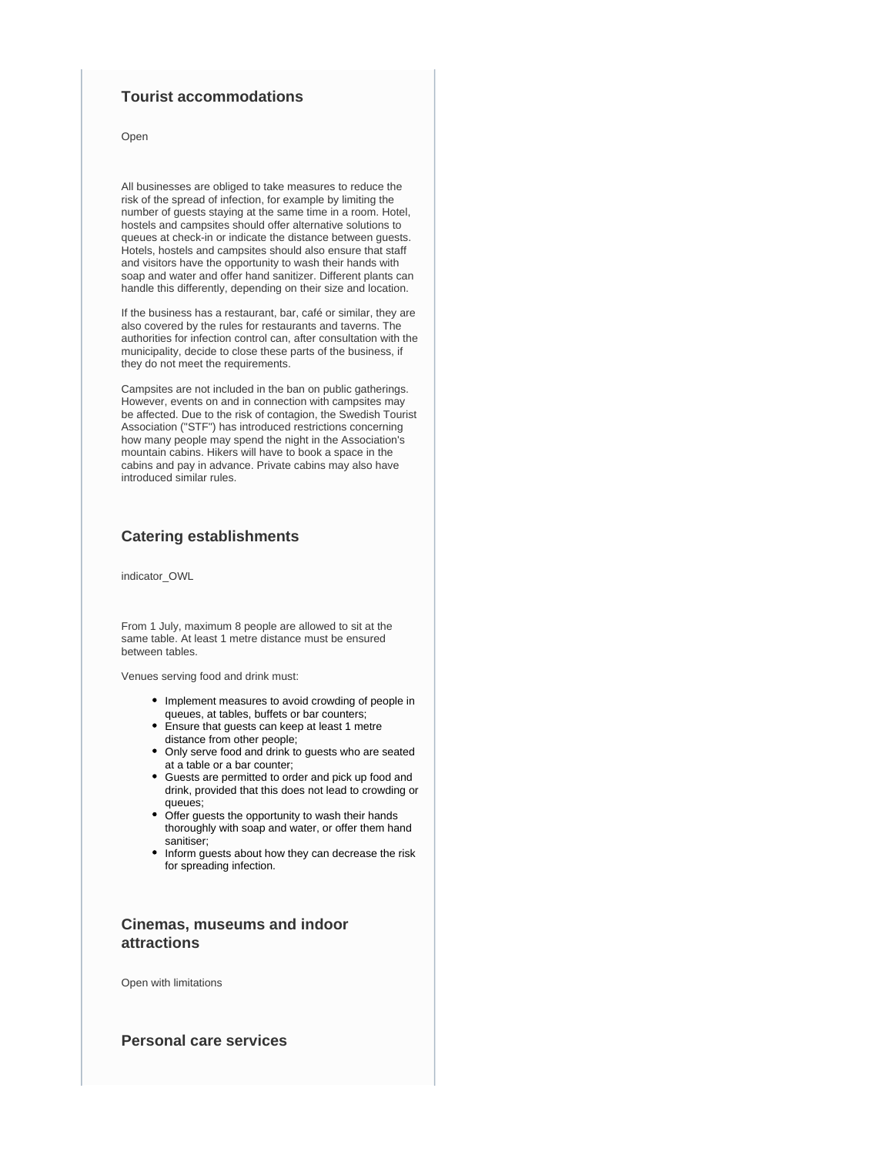## **Tourist accommodations**

Open

All businesses are obliged to take measures to reduce the risk of the spread of infection, for example by limiting the number of guests staying at the same time in a room. Hotel, hostels and campsites should offer alternative solutions to queues at check-in or indicate the distance between guests. Hotels, hostels and campsites should also ensure that staff and visitors have the opportunity to wash their hands with soap and water and offer hand sanitizer. Different plants can handle this differently, depending on their size and location.

If the business has a restaurant, bar, café or similar, they are also covered by the rules for restaurants and taverns. The authorities for infection control can, after consultation with the municipality, decide to close these parts of the business, if they do not meet the requirements.

Campsites are not included in the ban on public gatherings. However, events on and in connection with campsites may be affected. Due to the risk of contagion, the Swedish Tourist Association ("STF") has introduced restrictions concerning how many people may spend the night in the Association's mountain cabins. Hikers will have to book a space in the cabins and pay in advance. Private cabins may also have introduced similar rules.

### **Catering establishments**

indicator\_OWL

From 1 July, maximum 8 people are allowed to sit at the same table. At least 1 metre distance must be ensured between tables.

Venues serving food and drink must:

- Implement measures to avoid crowding of people in queues, at tables, buffets or bar counters;
- Ensure that guests can keep at least 1 metre distance from other people;
- Only serve food and drink to guests who are seated at a table or a bar counter;
- Guests are permitted to order and pick up food and drink, provided that this does not lead to crowding or queues;
- Offer guests the opportunity to wash their hands thoroughly with soap and water, or offer them hand sanitiser;
- Inform guests about how they can decrease the risk for spreading infection.

# **Cinemas, museums and indoor attractions**

Open with limitations

**Personal care services**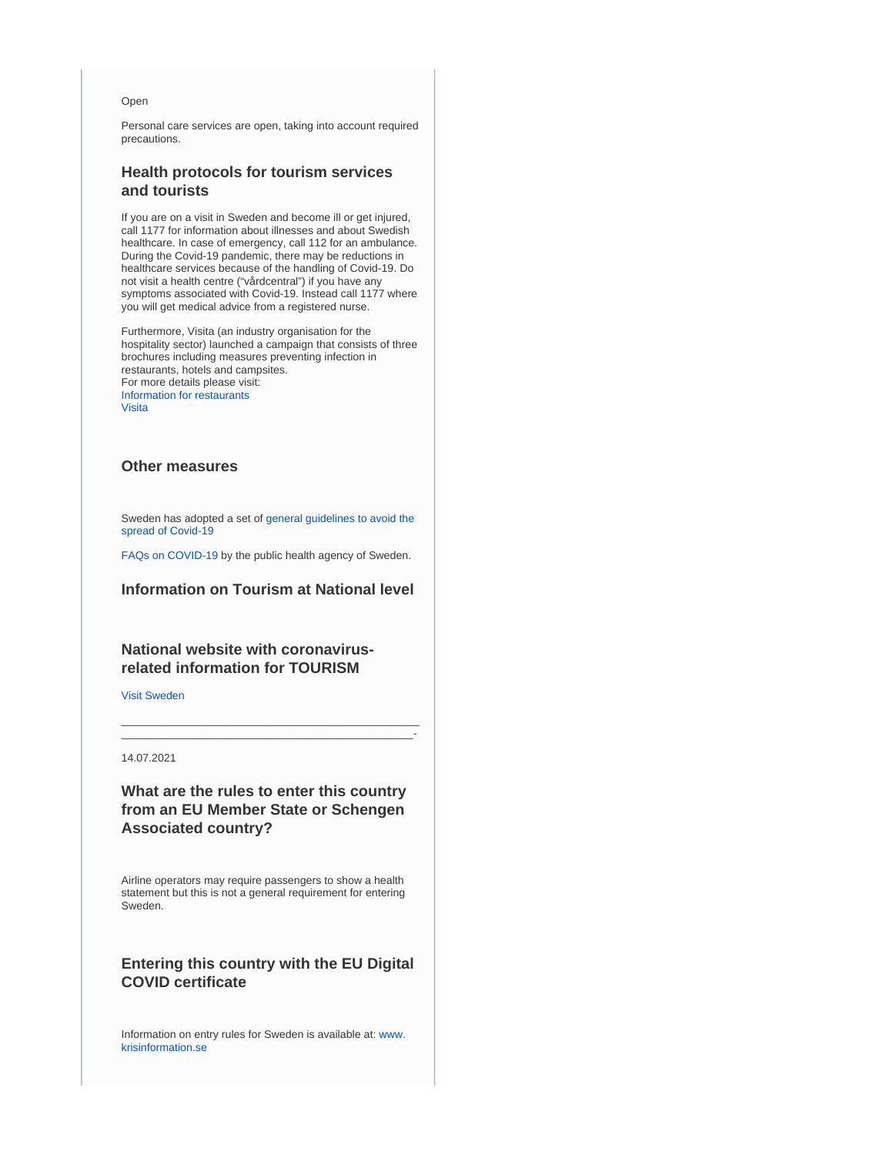#### Open

Personal care services are open, taking into account required precautions.

## **Health protocols for tourism services and tourists**

If you are on a visit in Sweden and become ill or get injured, call 1177 for information about illnesses and about Swedish healthcare. In case of emergency, call 112 for an ambulance. During the Covid-19 pandemic, there may be reductions in healthcare services because of the handling of Covid-19. Do not visit a health centre ("vårdcentral") if you have any symptoms associated with Covid-19. Instead call 1177 where you will get medical advice from a registered nurse.

Furthermore, Visita (an industry organisation for the hospitality sector) launched a campaign that consists of three brochures including measures preventing infection in restaurants, hotels and campsites. For more details please visit: [Information for restaurants](https://www.folkhalsomyndigheten.se/smittskydd-beredskap/utbrott/aktuella-utbrott/covid-19/verksamheter/restauranger-och-krogar/) [Visita](https://visita.se/visitas-arbete-under-coronakrisen-covid-19/)

## **Other measures**

Sweden has adopted a set o[f general guidelines to avoid the](https://www.folkhalsomyndigheten.se/the-public-health-agency-of-sweden/communicable-disease-control/covid-19/local-general-guidelines/)  [spread of Covid-19](https://www.folkhalsomyndigheten.se/the-public-health-agency-of-sweden/communicable-disease-control/covid-19/local-general-guidelines/)

[FAQs on COVID-19 b](https://www.folkhalsomyndigheten.se/the-public-health-agency-of-sweden/communicable-disease-control/covid-19/)y the public health agency of Sweden.

### **Information on Tourism at National level**

## **National website with coronavirusrelated information for TOURISM**

[Visit Sweden](https://visitsweden.com/)

#### 14.07.2021

**What are the rules to enter this country from an EU Member State or Schengen Associated country?**

\_\_\_\_\_\_\_\_\_\_\_\_\_\_\_\_\_\_\_\_\_\_\_\_\_\_\_\_\_\_\_\_\_\_\_\_\_\_\_\_\_\_\_\_\_\_\_\_\_ \_\_\_\_\_\_\_\_\_\_\_\_\_\_\_\_\_\_\_\_\_\_\_\_\_\_\_\_\_\_\_\_\_\_\_\_\_\_\_\_\_\_\_\_\_\_\_\_-

Airline operators may require passengers to show a health statement but this is not a general requirement for entering Sweden.

# **Entering this country with the EU Digital COVID certificate**

Information on entry rules for Sweden is available at: [www.](https://www.krisinformation.se/en/hazards-and-risks/disasters-and-incidents/2020/official-information-on-the-new-coronavirus/travel-restrictions) [krisinformation.se](https://www.krisinformation.se/en/hazards-and-risks/disasters-and-incidents/2020/official-information-on-the-new-coronavirus/travel-restrictions)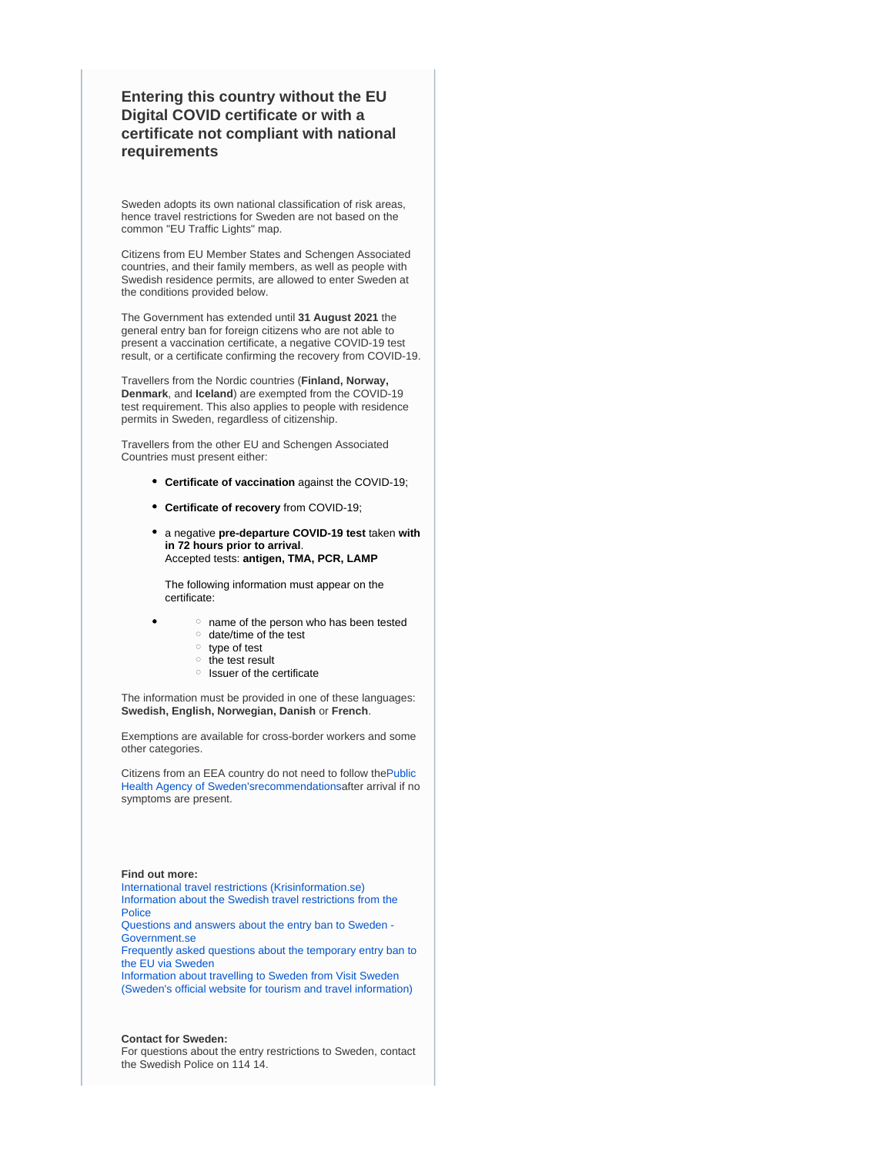# **Entering this country without the EU Digital COVID certificate or with a certificate not compliant with national requirements**

Sweden adopts its own national classification of risk areas, hence travel restrictions for Sweden are not based on the common "EU Traffic Lights" map.

Citizens from EU Member States and Schengen Associated countries, and their family members, as well as people with Swedish residence permits, are allowed to enter Sweden at the conditions provided below.

The Government has extended until **31 August 2021** the general entry ban for foreign citizens who are not able to present a vaccination certificate, a negative COVID-19 test result, or a certificate confirming the recovery from COVID-19.

Travellers from the Nordic countries (**Finland, Norway, Denmark**, and **Iceland**) are exempted from the COVID-19 test requirement. This also applies to people with residence permits in Sweden, regardless of citizenship.

Travellers from the other EU and Schengen Associated Countries must present either:

- **Certificate of vaccination** against the COVID-19;
- **Certificate of recovery** from COVID-19;
- a negative **pre-departure COVID-19 test** taken **with in 72 hours prior to arrival**. Accepted tests: **antigen, TMA, PCR, LAMP**

The following information must appear on the certificate:

- $\circ$  name of the person who has been tested
- o date/time of the test
- $\circ$  type of test
- $\circ$  the test result
- $\circ$  Issuer of the certificate

The information must be provided in one of these languages: **Swedish, English, Norwegian, Danish** or **French**.

Exemptions are available for cross-border workers and some other categories.

Citizens from an EEA country do not need to follow th[ePublic](https://www.folkhalsomyndigheten.se/the-public-health-agency-of-sweden/communicable-disease-control/covid-19/if-you-are-planning-to-travel/recommendations-for-those-travelling/)  [Health Agency of Sweden'srecommendations](https://www.folkhalsomyndigheten.se/the-public-health-agency-of-sweden/communicable-disease-control/covid-19/if-you-are-planning-to-travel/recommendations-for-those-travelling/)after arrival if no symptoms are present.

#### **Find out more:**

[International travel restrictions \(Krisinformation.se\)](https://www.krisinformation.se/en/hazards-and-risks/disasters-and-incidents/2020/official-information-on-the-new-coronavirus/travel-restrictions) [Information about the Swedish travel restrictions from the](https://polisen.se/en/the-swedish-police/the-coronavirus-and-the-swedish-police/travel-to-and-from-sweden/)  [Police](https://polisen.se/en/the-swedish-police/the-coronavirus-and-the-swedish-police/travel-to-and-from-sweden/)

[Questions and answers about the entry ban to Sweden -](https://www.government.se/articles/2020/04/questions-and-answers-about-the-entry-ban-to-sweden/)  [Government.se](https://www.government.se/articles/2020/04/questions-and-answers-about-the-entry-ban-to-sweden/)

[Frequently asked questions about the temporary entry ban to](https://polisen.se/en/the-swedish-police/the-coronavirus-and-the-swedish-police/faq/)  [the EU via Sweden](https://polisen.se/en/the-swedish-police/the-coronavirus-and-the-swedish-police/faq/)

[Information about travelling to Sweden from Visit Sweden](https://visitsweden.com/about-sweden/information-for-travellers-corona-virus/)  [\(Sweden's official website for tourism and travel information\)](https://visitsweden.com/about-sweden/information-for-travellers-corona-virus/)

#### **Contact for Sweden:**

For questions about the entry restrictions to Sweden, contact the Swedish Police on 114 14.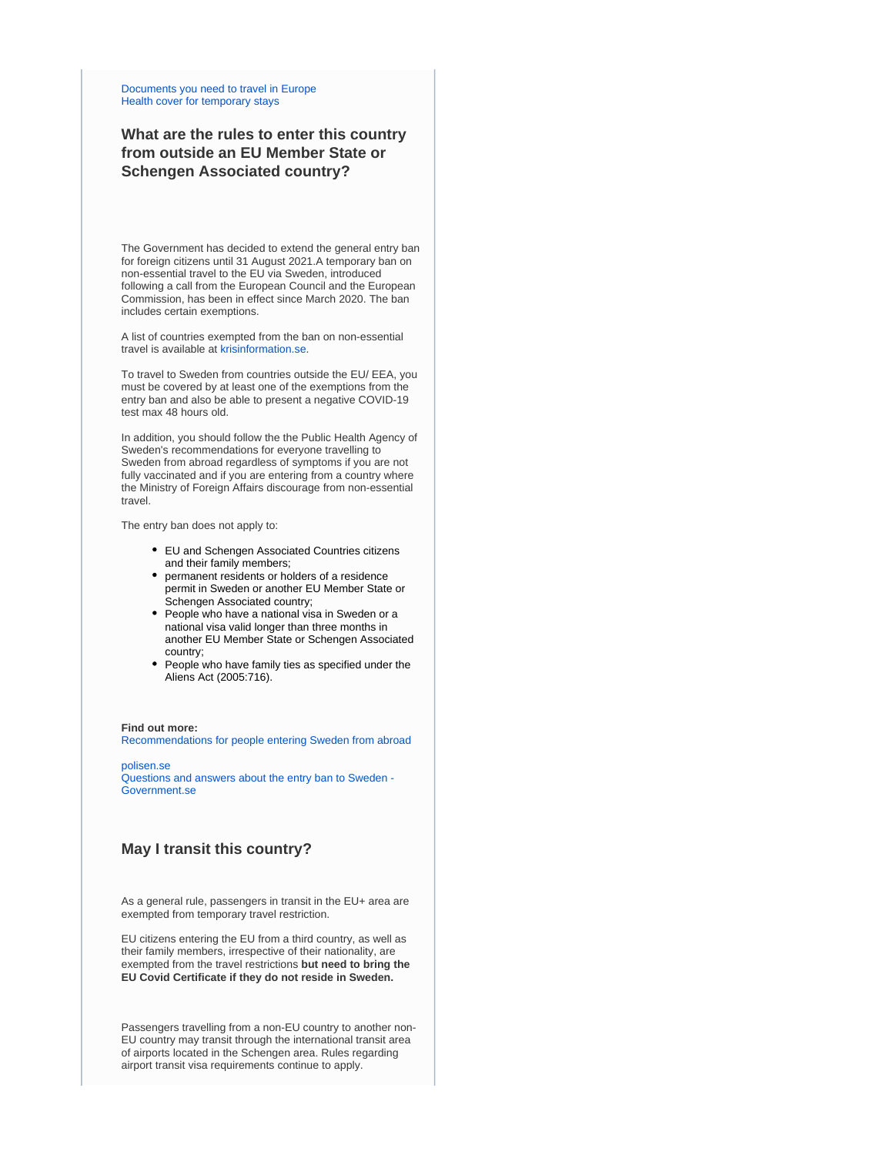[Documents you need to travel in Europe](https://europa.eu/youreurope/citizens/travel/entry-exit/index_en.htm) [Health cover for temporary stays](https://europa.eu/youreurope/citizens/health/unplanned-healthcare/temporary-stays/index_en.htm)

# **What are the rules to enter this country from outside an EU Member State or Schengen Associated country?**

The Government has decided to extend the general entry ban for foreign citizens until 31 August 2021.A temporary ban on non-essential travel to the EU via Sweden, introduced following a call from the European Council and the European Commission, has been in effect since March 2020. The ban includes certain exemptions.

A list of countries exempted from the ban on non-essential travel is available at [krisinformation.se.](https://www.krisinformation.se/en/hazards-and-risks/disasters-and-incidents/2020/official-information-on-the-new-coronavirus/travel-restrictions)

To travel to Sweden from countries outside the EU/ EEA, you must be covered by at least one of the exemptions from the entry ban and also be able to present a negative COVID-19 test max 48 hours old.

In addition, you should follow the the Public Health Agency of Sweden's recommendations for everyone travelling to Sweden from abroad regardless of symptoms if you are not fully vaccinated and if you are entering from a country where the Ministry of Foreign Affairs discourage from non-essential travel.

The entry ban does not apply to:

- EU and Schengen Associated Countries citizens and their family members;
- permanent residents or holders of a residence permit in Sweden or another EU Member State or Schengen Associated country;
- People who have a national visa in Sweden or a national visa valid longer than three months in another EU Member State or Schengen Associated country;
- People who have family ties as specified under the Aliens Act (2005:716).

#### **Find out more:**

[Recommendations for people entering Sweden from abroad](https://www.folkhalsomyndigheten.se/the-public-health-agency-of-sweden/communicable-disease-control/covid-19/if-you-are-planning-to-travel/recommendations-for-those-travelling/)

[polisen.se](https://polisen.se/en/the-swedish-police/the-coronavirus-and-the-swedish-police/faq) [Questions and answers about the entry ban to Sweden -](https://www.government.se/articles/2020/04/questions-and-answers-about-the-entry-ban-to-sweden/)  [Government.se](https://www.government.se/articles/2020/04/questions-and-answers-about-the-entry-ban-to-sweden/)

## **May I transit this country?**

As a general rule, passengers in transit in the EU+ area are exempted from temporary travel restriction.

EU citizens entering the EU from a third country, as well as their family members, irrespective of their nationality, are exempted from the travel restrictions **but need to bring the EU Covid Certificate if they do not reside in Sweden.**

Passengers travelling from a non-EU country to another non-EU country may transit through the international transit area of airports located in the Schengen area. Rules regarding airport transit visa requirements continue to apply.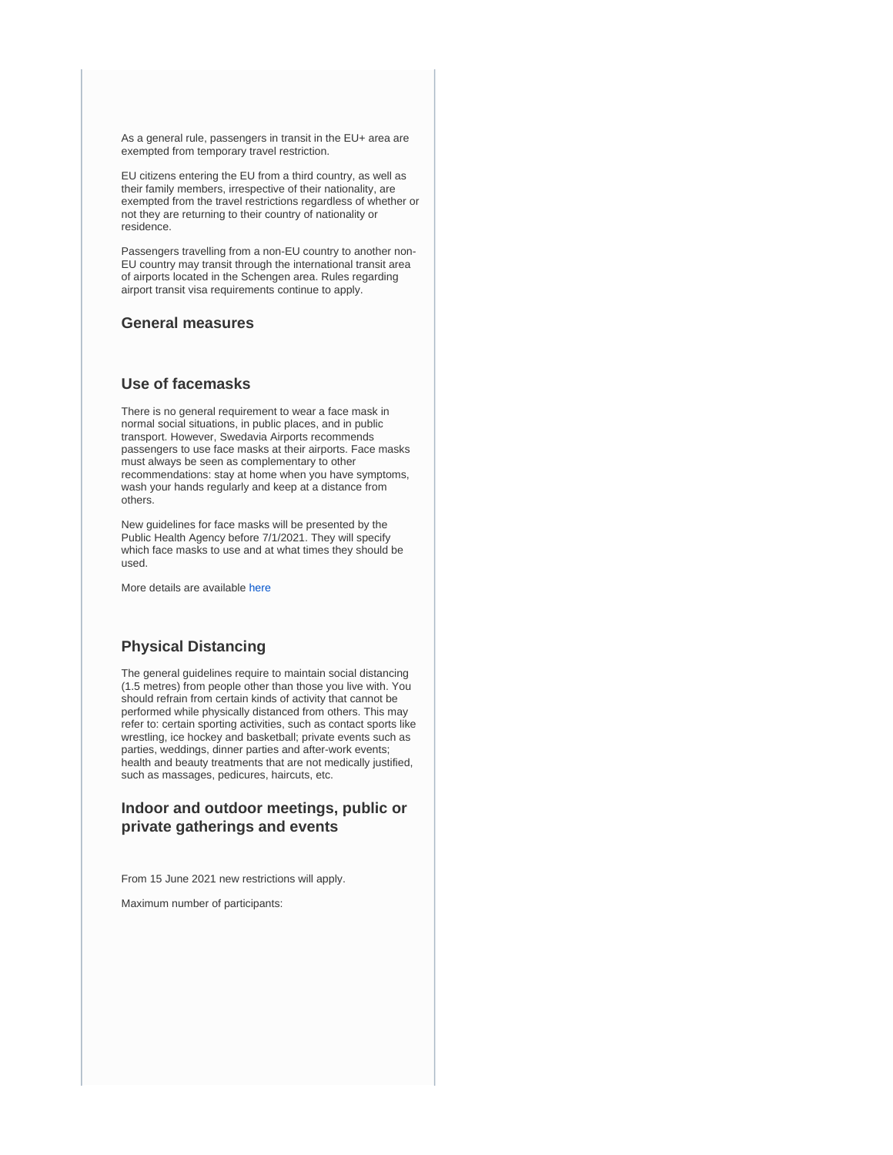As a general rule, passengers in transit in the EU+ area are exempted from temporary travel restriction.

EU citizens entering the EU from a third country, as well as their family members, irrespective of their nationality, are exempted from the travel restrictions regardless of whether or not they are returning to their country of nationality or residence.

Passengers travelling from a non-EU country to another non-EU country may transit through the international transit area of airports located in the Schengen area. Rules regarding airport transit visa requirements continue to apply.

## **General measures**

## **Use of facemasks**

There is no general requirement to wear a face mask in normal social situations, in public places, and in public transport. However, Swedavia Airports recommends passengers to use face masks at their airports. Face masks must always be seen as complementary to other recommendations: stay at home when you have symptoms, wash your hands regularly and keep at a distance from others.

New guidelines for face masks will be presented by the Public Health Agency before 7/1/2021. They will specify which face masks to use and at what times they should be used.

More details are available [here](https://www.folkhalsomyndigheten.se/smittskydd-beredskap/utbrott/aktuella-utbrott/covid-19/om-sjukdomen-och-smittspridning/smittspridning/munskydd/)

## **Physical Distancing**

The general guidelines require to maintain social distancing (1.5 metres) from people other than those you live with. You should refrain from certain kinds of activity that cannot be performed while physically distanced from others. This may refer to: certain sporting activities, such as contact sports like wrestling, ice hockey and basketball; private events such as parties, weddings, dinner parties and after-work events; health and beauty treatments that are not medically justified, such as massages, pedicures, haircuts, etc.

# **Indoor and outdoor meetings, public or private gatherings and events**

From 15 June 2021 new restrictions will apply.

Maximum number of participants: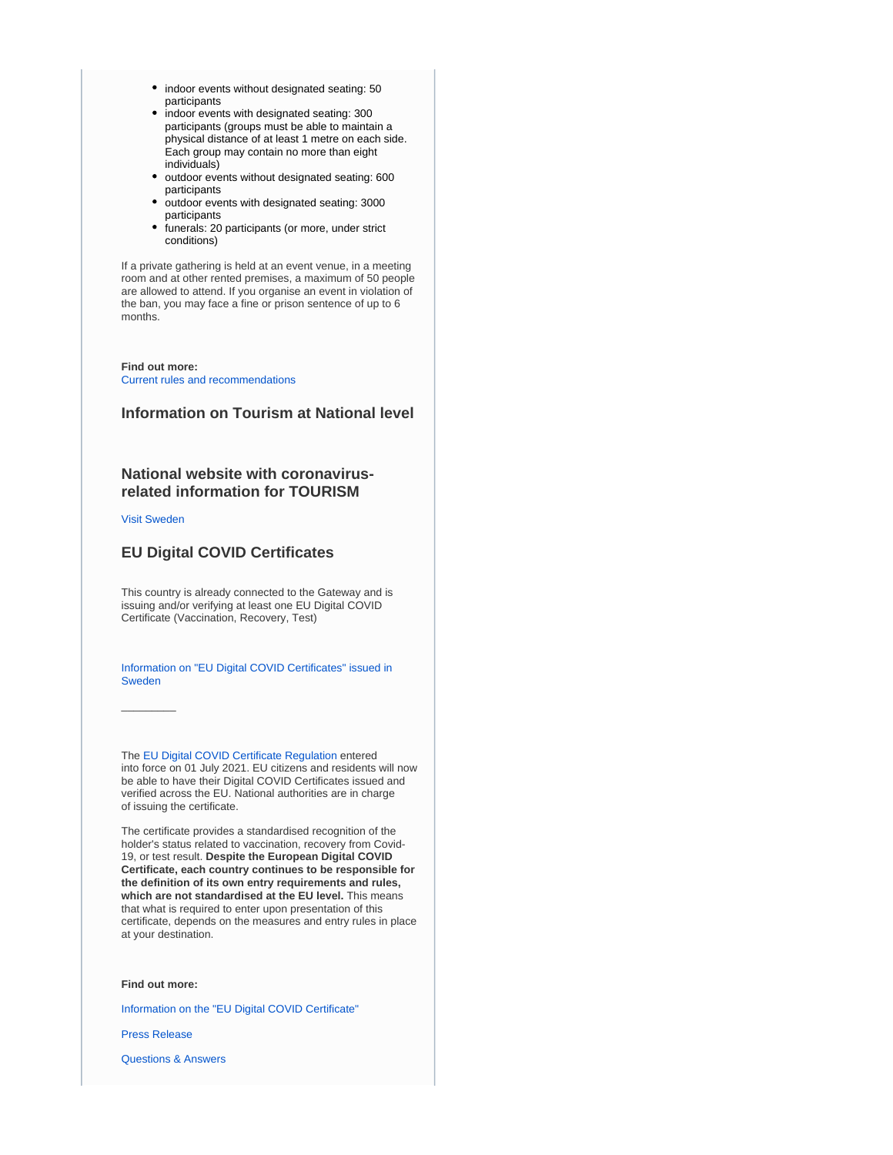- indoor events without designated seating: 50 participants
- indoor events with designated seating: 300 participants (groups must be able to maintain a physical distance of at least 1 metre on each side. Each group may contain no more than eight individuals)
- outdoor events without designated seating: 600 participants
- outdoor events with designated seating: 3000 participants
- funerals: 20 participants (or more, under strict conditions)

If a private gathering is held at an event venue, in a meeting room and at other rented premises, a maximum of 50 people are allowed to attend. If you organise an event in violation of the ban, you may face a fine or prison sentence of up to 6 months.

**Find out more:** [Current rules and recommendations](https://www.krisinformation.se/en/hazards-and-risks/disasters-and-incidents/2020/official-information-on-the-new-coronavirus/current-rules-and-recommendations)

## **Information on Tourism at National level**

# **National website with coronavirusrelated information for TOURISM**

#### [Visit Sweden](https://visitsweden.com/)

 $\overline{\phantom{a}}$ 

# **EU Digital COVID Certificates**

This country is already connected to the Gateway and is issuing and/or verifying at least one EU Digital COVID Certificate (Vaccination, Recovery, Test)

[Information on "EU Digital COVID Certificates" issued in](https://www.ehalsomyndigheten.se/covidbevis/)  [Sweden](https://www.ehalsomyndigheten.se/covidbevis/)

The [EU Digital COVID Certificate Regulation](https://ec.europa.eu/info/live-work-travel-eu/coronavirus-response/safe-covid-19-vaccines-europeans/eu-digital-covid-certificate_en) entered into force on 01 July 2021. EU citizens and residents will now be able to have their Digital COVID Certificates issued and verified across the EU. National authorities are in charge of issuing the certificate.

The certificate provides a standardised recognition of the holder's status related to vaccination, recovery from Covid-19, or test result. **Despite the European Digital COVID Certificate, each country continues to be responsible for the definition of its own entry requirements and rules, which are not standardised at the EU level.** This means that what is required to enter upon presentation of this certificate, depends on the measures and entry rules in place at your destination.

#### **Find out more:**

[Information on the "EU Digital COVID Certificate"](https://ec.europa.eu/info/live-work-travel-eu/coronavirus-response/safe-covid-19-vaccines-europeans/eu-digital-covid-certificate_en)

[Press Release](https://ec.europa.eu/commission/presscorner/detail/en/IP_21_2721)

[Questions & Answers](https://ec.europa.eu/commission/presscorner/detail/en/QANDA_21_2781)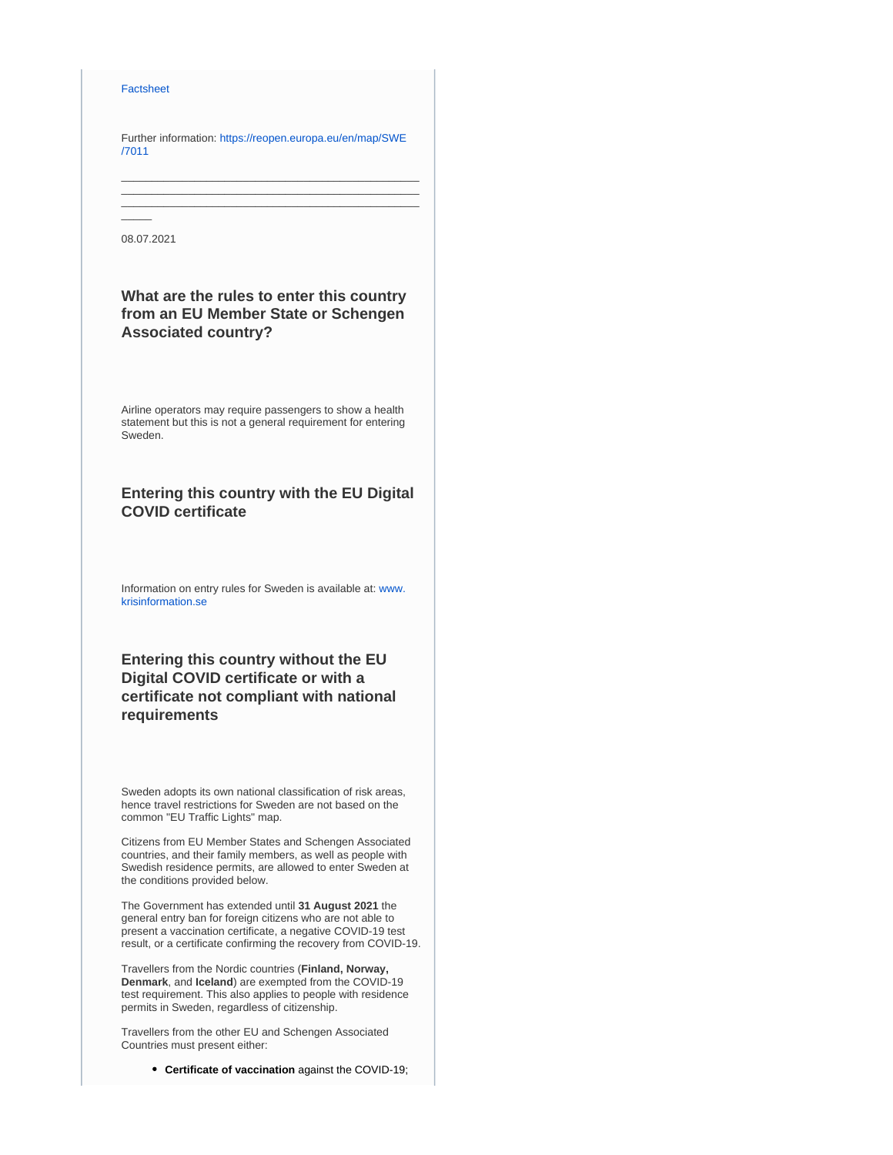#### **[Factsheet](https://ec.europa.eu/commission/presscorner/detail/en/FS_21_2793)**

Further information: [https://reopen.europa.eu/en/map/SWE](https://reopen.europa.eu/en/map/SWE/7011) [/7011](https://reopen.europa.eu/en/map/SWE/7011)

\_\_\_\_\_\_\_\_\_\_\_\_\_\_\_\_\_\_\_\_\_\_\_\_\_\_\_\_\_\_\_\_\_\_\_\_\_\_\_\_\_\_\_\_\_\_\_\_\_ \_\_\_\_\_\_\_\_\_\_\_\_\_\_\_\_\_\_\_\_\_\_\_\_\_\_\_\_\_\_\_\_\_\_\_\_\_\_\_\_\_\_\_\_\_\_\_\_\_ \_\_\_\_\_\_\_\_\_\_\_\_\_\_\_\_\_\_\_\_\_\_\_\_\_\_\_\_\_\_\_\_\_\_\_\_\_\_\_\_\_\_\_\_\_\_\_\_\_

08.07.2021

 $\overline{\phantom{a}}$ 

# **What are the rules to enter this country from an EU Member State or Schengen Associated country?**

Airline operators may require passengers to show a health statement but this is not a general requirement for entering Sweden.

# **Entering this country with the EU Digital COVID certificate**

Information on entry rules for Sweden is available at: [www.](https://www.krisinformation.se/en/hazards-and-risks/disasters-and-incidents/2020/official-information-on-the-new-coronavirus/travel-restrictions) [krisinformation.se](https://www.krisinformation.se/en/hazards-and-risks/disasters-and-incidents/2020/official-information-on-the-new-coronavirus/travel-restrictions)

# **Entering this country without the EU Digital COVID certificate or with a certificate not compliant with national requirements**

Sweden adopts its own national classification of risk areas, hence travel restrictions for Sweden are not based on the common "EU Traffic Lights" map.

Citizens from EU Member States and Schengen Associated countries, and their family members, as well as people with Swedish residence permits, are allowed to enter Sweden at the conditions provided below.

The Government has extended until **31 August 2021** the general entry ban for foreign citizens who are not able to present a vaccination certificate, a negative COVID-19 test result, or a certificate confirming the recovery from COVID-19.

Travellers from the Nordic countries (**Finland, Norway, Denmark**, and **Iceland**) are exempted from the COVID-19 test requirement. This also applies to people with residence permits in Sweden, regardless of citizenship.

Travellers from the other EU and Schengen Associated Countries must present either:

**Certificate of vaccination** against the COVID-19;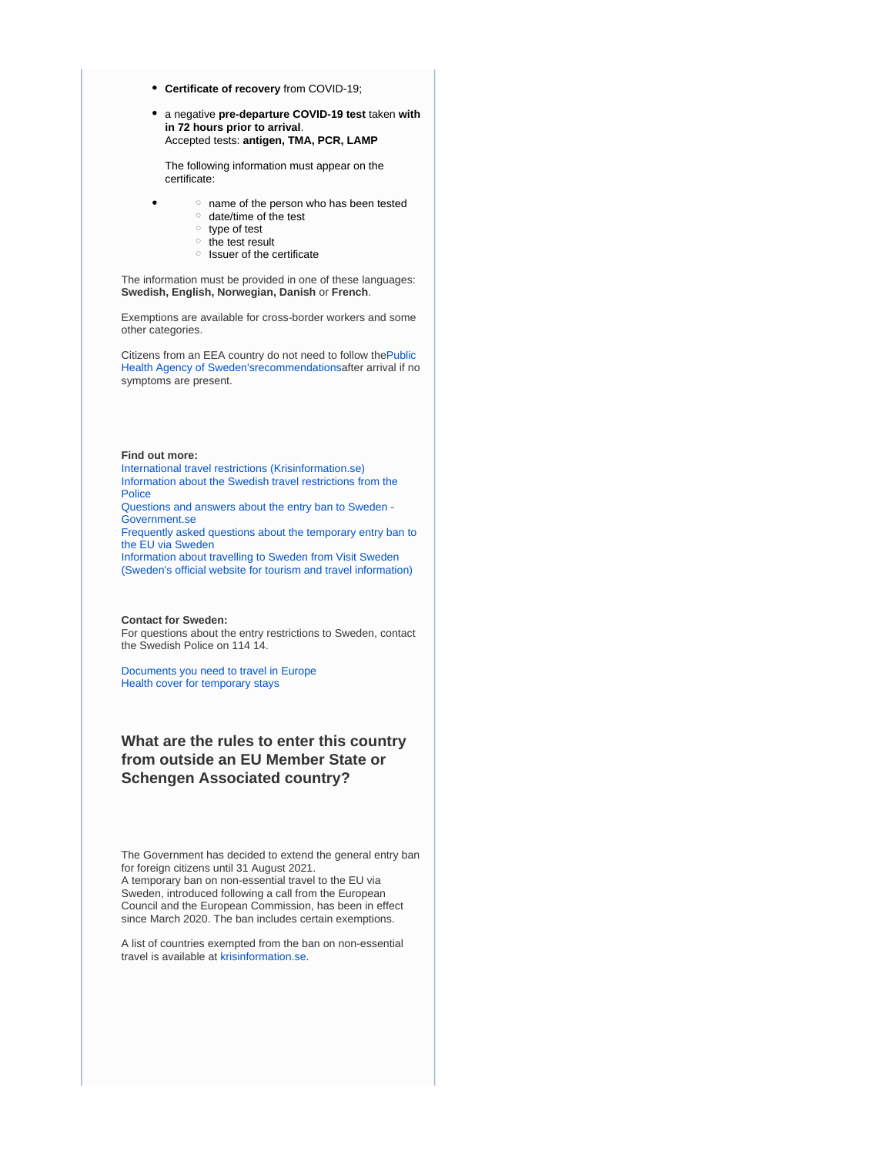- **Certificate of recovery** from COVID-19;
- a negative **pre-departure COVID-19 test** taken **with in 72 hours prior to arrival**. Accepted tests: **antigen, TMA, PCR, LAMP**

The following information must appear on the certificate:

- $\circ$  name of the person who has been tested
	- $\circ$  date/time of the test
	- $\circ$  type of test
	- o the test result
	- $\circ$  Issuer of the certificate

The information must be provided in one of these languages: **Swedish, English, Norwegian, Danish** or **French**.

Exemptions are available for cross-border workers and some other categories.

Citizens from an EEA country do not need to follow th[ePublic](https://www.folkhalsomyndigheten.se/the-public-health-agency-of-sweden/communicable-disease-control/covid-19/if-you-are-planning-to-travel/recommendations-for-those-travelling/)  [Health Agency of Sweden'srecommendations](https://www.folkhalsomyndigheten.se/the-public-health-agency-of-sweden/communicable-disease-control/covid-19/if-you-are-planning-to-travel/recommendations-for-those-travelling/)after arrival if no symptoms are present.

#### **Find out more:**

[International travel restrictions \(Krisinformation.se\)](https://www.krisinformation.se/en/hazards-and-risks/disasters-and-incidents/2020/official-information-on-the-new-coronavirus/travel-restrictions) [Information about the Swedish travel restrictions from the](https://polisen.se/en/the-swedish-police/the-coronavirus-and-the-swedish-police/travel-to-and-from-sweden/)  **[Police](https://polisen.se/en/the-swedish-police/the-coronavirus-and-the-swedish-police/travel-to-and-from-sweden/)** 

[Questions and answers about the entry ban to Sweden -](https://www.government.se/articles/2020/04/questions-and-answers-about-the-entry-ban-to-sweden/)  [Government.se](https://www.government.se/articles/2020/04/questions-and-answers-about-the-entry-ban-to-sweden/)

[Frequently asked questions about the temporary entry ban to](https://polisen.se/en/the-swedish-police/the-coronavirus-and-the-swedish-police/faq/)  [the EU via Sweden](https://polisen.se/en/the-swedish-police/the-coronavirus-and-the-swedish-police/faq/)

[Information about travelling to Sweden from Visit Sweden](https://visitsweden.com/about-sweden/information-for-travellers-corona-virus/)  [\(Sweden's official website for tourism and travel information\)](https://visitsweden.com/about-sweden/information-for-travellers-corona-virus/)

#### **Contact for Sweden:**

For questions about the entry restrictions to Sweden, contact the Swedish Police on 114 14.

[Documents you need to travel in Europe](https://europa.eu/youreurope/citizens/travel/entry-exit/index_en.htm) [Health cover for temporary stays](https://europa.eu/youreurope/citizens/health/unplanned-healthcare/temporary-stays/index_en.htm)

# **What are the rules to enter this country from outside an EU Member State or Schengen Associated country?**

The Government has decided to extend the general entry ban for foreign citizens until 31 August 2021. A temporary ban on non-essential travel to the EU via Sweden, introduced following a call from the European Council and the European Commission, has been in effect since March 2020. The ban includes certain exemptions.

A list of countries exempted from the ban on non-essential travel is available at [krisinformation.se.](https://www.krisinformation.se/en/hazards-and-risks/disasters-and-incidents/2020/official-information-on-the-new-coronavirus/travel-restrictions)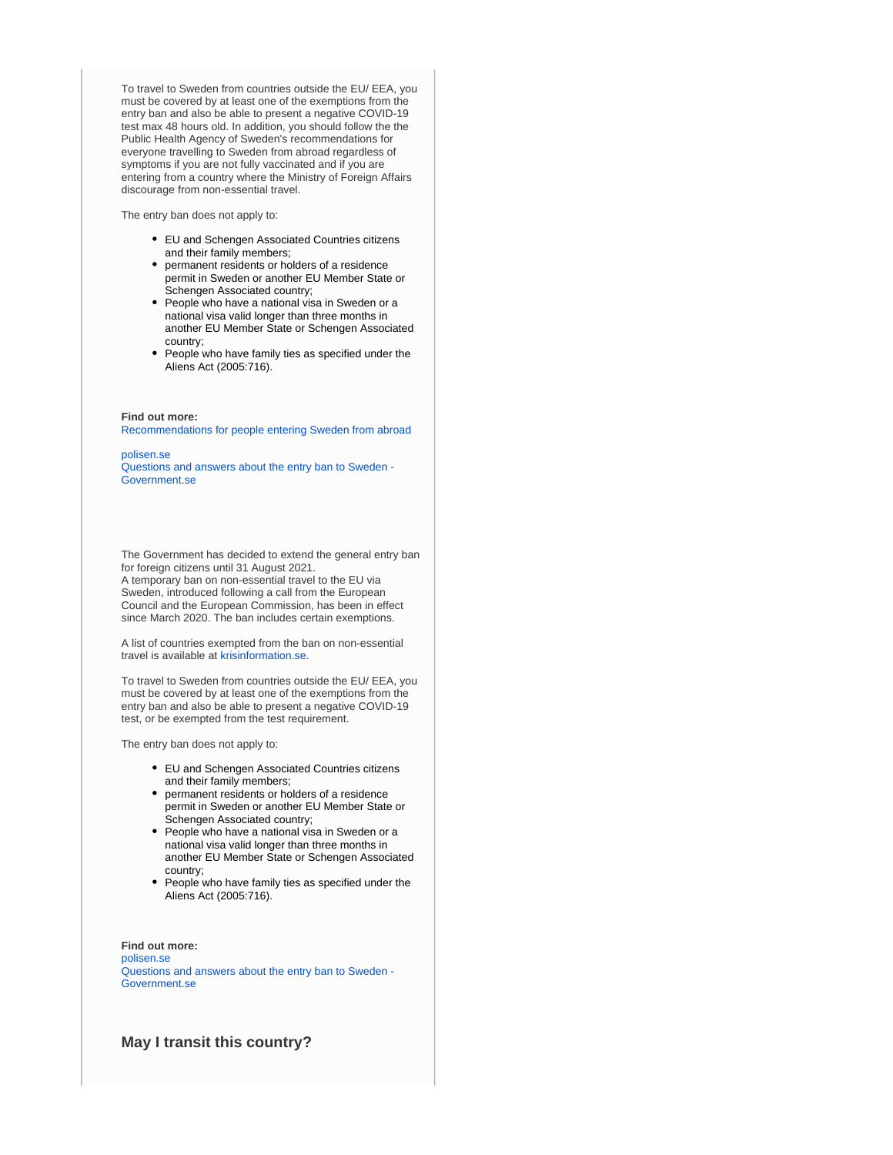To travel to Sweden from countries outside the EU/ EEA, you must be covered by at least one of the exemptions from the entry ban and also be able to present a negative COVID-19 test max 48 hours old. In addition, you should follow the the Public Health Agency of Sweden's recommendations for everyone travelling to Sweden from abroad regardless of symptoms if you are not fully vaccinated and if you are entering from a country where the Ministry of Foreign Affairs discourage from non-essential travel.

The entry ban does not apply to:

- EU and Schengen Associated Countries citizens and their family members;
- permanent residents or holders of a residence permit in Sweden or another EU Member State or Schengen Associated country;
- People who have a national visa in Sweden or a national visa valid longer than three months in another EU Member State or Schengen Associated country;
- People who have family ties as specified under the Aliens Act (2005:716).

**Find out more:** [Recommendations for people entering Sweden from abroad](https://www.folkhalsomyndigheten.se/the-public-health-agency-of-sweden/communicable-disease-control/covid-19/if-you-are-planning-to-travel/recommendations-for-those-travelling/)

[polisen.se](https://polisen.se/en/the-swedish-police/the-coronavirus-and-the-swedish-police/faq)

[Questions and answers about the entry ban to Sweden -](https://www.government.se/articles/2020/04/questions-and-answers-about-the-entry-ban-to-sweden/)  [Government.se](https://www.government.se/articles/2020/04/questions-and-answers-about-the-entry-ban-to-sweden/)

The Government has decided to extend the general entry ban for foreign citizens until 31 August 2021.

A temporary ban on non-essential travel to the EU via Sweden, introduced following a call from the European Council and the European Commission, has been in effect since March 2020. The ban includes certain exemptions.

A list of countries exempted from the ban on non-essential travel is available at [krisinformation.se](https://www.krisinformation.se/en/hazards-and-risks/disasters-and-incidents/2020/official-information-on-the-new-coronavirus/travel-restrictions).

To travel to Sweden from countries outside the EU/ EEA, you must be covered by at least one of the exemptions from the entry ban and also be able to present a negative COVID-19 test, or be exempted from the test requirement.

The entry ban does not apply to:

- EU and Schengen Associated Countries citizens and their family members;
- permanent residents or holders of a residence permit in Sweden or another EU Member State or Schengen Associated country;
- People who have a national visa in Sweden or a national visa valid longer than three months in another EU Member State or Schengen Associated country;
- People who have family ties as specified under the Aliens Act (2005:716).

**Find out more:** [polisen.se](https://polisen.se/en/the-swedish-police/the-coronavirus-and-the-swedish-police/faq) [Questions and answers about the entry ban to Sweden -](https://www.government.se/articles/2020/04/questions-and-answers-about-the-entry-ban-to-sweden/)  [Government.se](https://www.government.se/articles/2020/04/questions-and-answers-about-the-entry-ban-to-sweden/)

**May I transit this country?**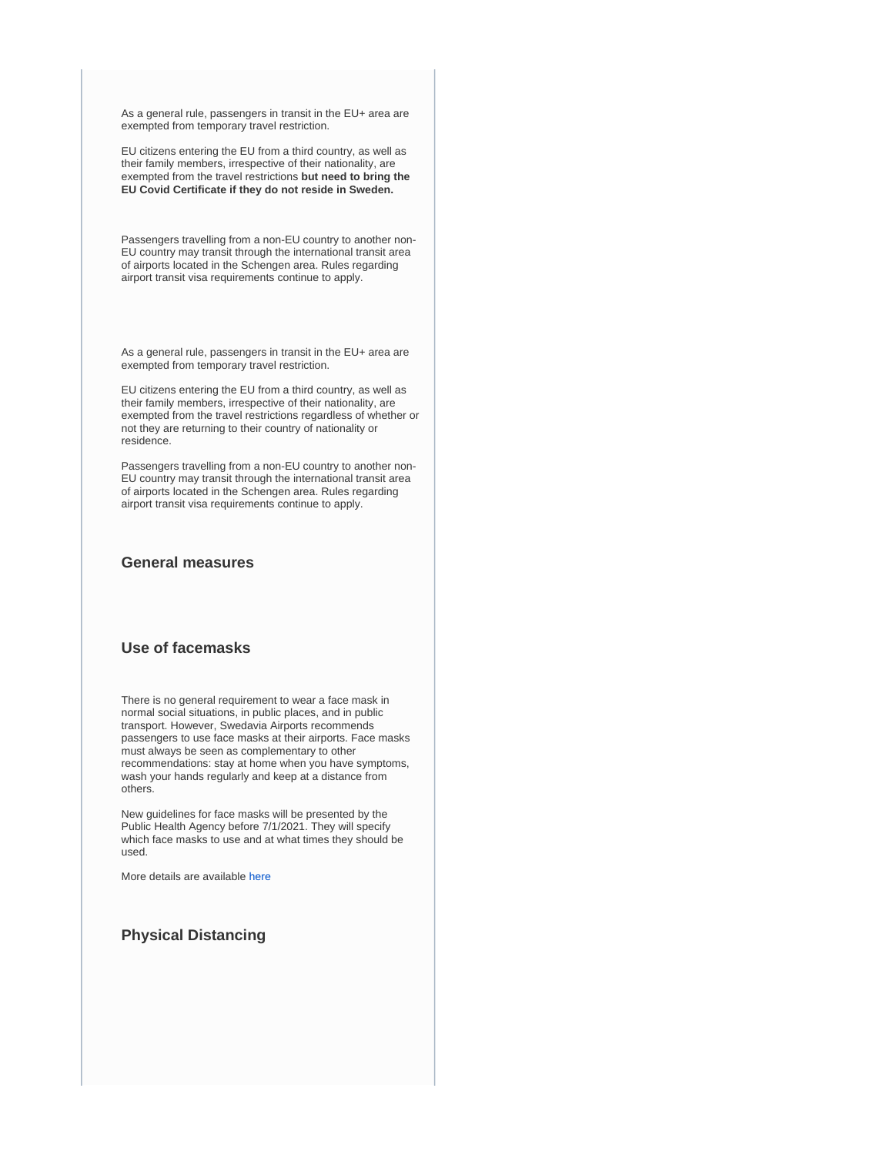As a general rule, passengers in transit in the EU+ area are exempted from temporary travel restriction.

EU citizens entering the EU from a third country, as well as their family members, irrespective of their nationality, are exempted from the travel restrictions **but need to bring the EU Covid Certificate if they do not reside in Sweden.**

Passengers travelling from a non-EU country to another non-EU country may transit through the international transit area of airports located in the Schengen area. Rules regarding airport transit visa requirements continue to apply.

As a general rule, passengers in transit in the EU+ area are exempted from temporary travel restriction.

EU citizens entering the EU from a third country, as well as their family members, irrespective of their nationality, are exempted from the travel restrictions regardless of whether or not they are returning to their country of nationality or residence.

Passengers travelling from a non-EU country to another non-EU country may transit through the international transit area of airports located in the Schengen area. Rules regarding airport transit visa requirements continue to apply.

## **General measures**

### **Use of facemasks**

There is no general requirement to wear a face mask in normal social situations, in public places, and in public transport. However, Swedavia Airports recommends passengers to use face masks at their airports. Face masks must always be seen as complementary to other recommendations: stay at home when you have symptoms, wash your hands regularly and keep at a distance from others.

New guidelines for face masks will be presented by the Public Health Agency before 7/1/2021. They will specify which face masks to use and at what times they should be used.

More details are available [here](https://www.folkhalsomyndigheten.se/smittskydd-beredskap/utbrott/aktuella-utbrott/covid-19/om-sjukdomen-och-smittspridning/smittspridning/munskydd/)

# **Physical Distancing**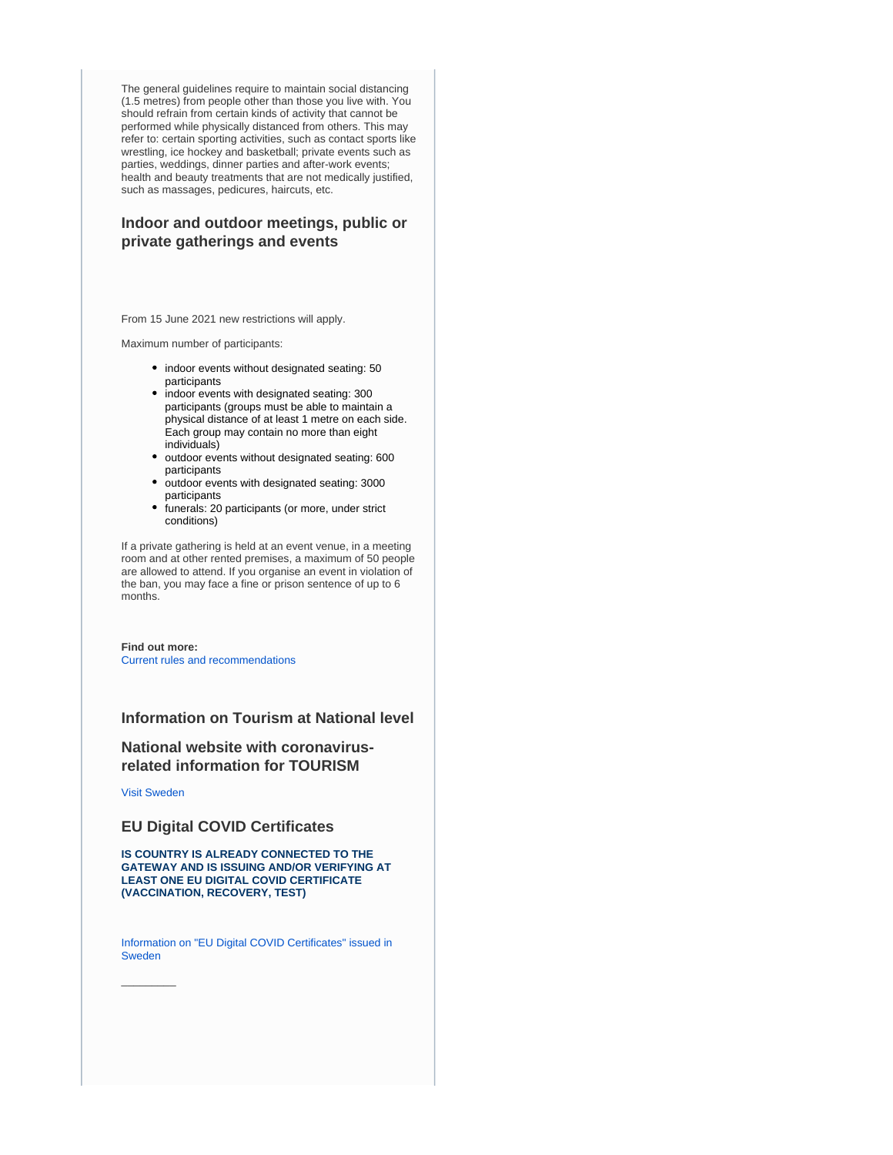The general guidelines require to maintain social distancing (1.5 metres) from people other than those you live with. You should refrain from certain kinds of activity that cannot be performed while physically distanced from others. This may refer to: certain sporting activities, such as contact sports like wrestling, ice hockey and basketball; private events such as parties, weddings, dinner parties and after-work events; health and beauty treatments that are not medically justified, such as massages, pedicures, haircuts, etc.

# **Indoor and outdoor meetings, public or private gatherings and events**

From 15 June 2021 new restrictions will apply.

Maximum number of participants:

- indoor events without designated seating: 50 participants
- $\bullet$  indoor events with designated seating: 300 participants (groups must be able to maintain a physical distance of at least 1 metre on each side. Each group may contain no more than eight individuals)
- outdoor events without designated seating: 600 participants
- outdoor events with designated seating: 3000 participants
- funerals: 20 participants (or more, under strict conditions)

If a private gathering is held at an event venue, in a meeting room and at other rented premises, a maximum of 50 people are allowed to attend. If you organise an event in violation of the ban, you may face a fine or prison sentence of up to 6 months.

**Find out more:** [Current rules and recommendations](https://www.krisinformation.se/en/hazards-and-risks/disasters-and-incidents/2020/official-information-on-the-new-coronavirus/current-rules-and-recommendations)

## **Information on Tourism at National level**

## **National website with coronavirusrelated information for TOURISM**

[Visit Sweden](https://visitsweden.com/)

 $\overline{\phantom{a}}$ 

## **EU Digital COVID Certificates**

**IS COUNTRY IS ALREADY CONNECTED TO THE GATEWAY AND IS ISSUING AND/OR VERIFYING AT LEAST ONE EU DIGITAL COVID CERTIFICATE (VACCINATION, RECOVERY, TEST)**

[Information on "EU Digital COVID Certificates" issued in](https://www.ehalsomyndigheten.se/covidbevis/)  [Sweden](https://www.ehalsomyndigheten.se/covidbevis/)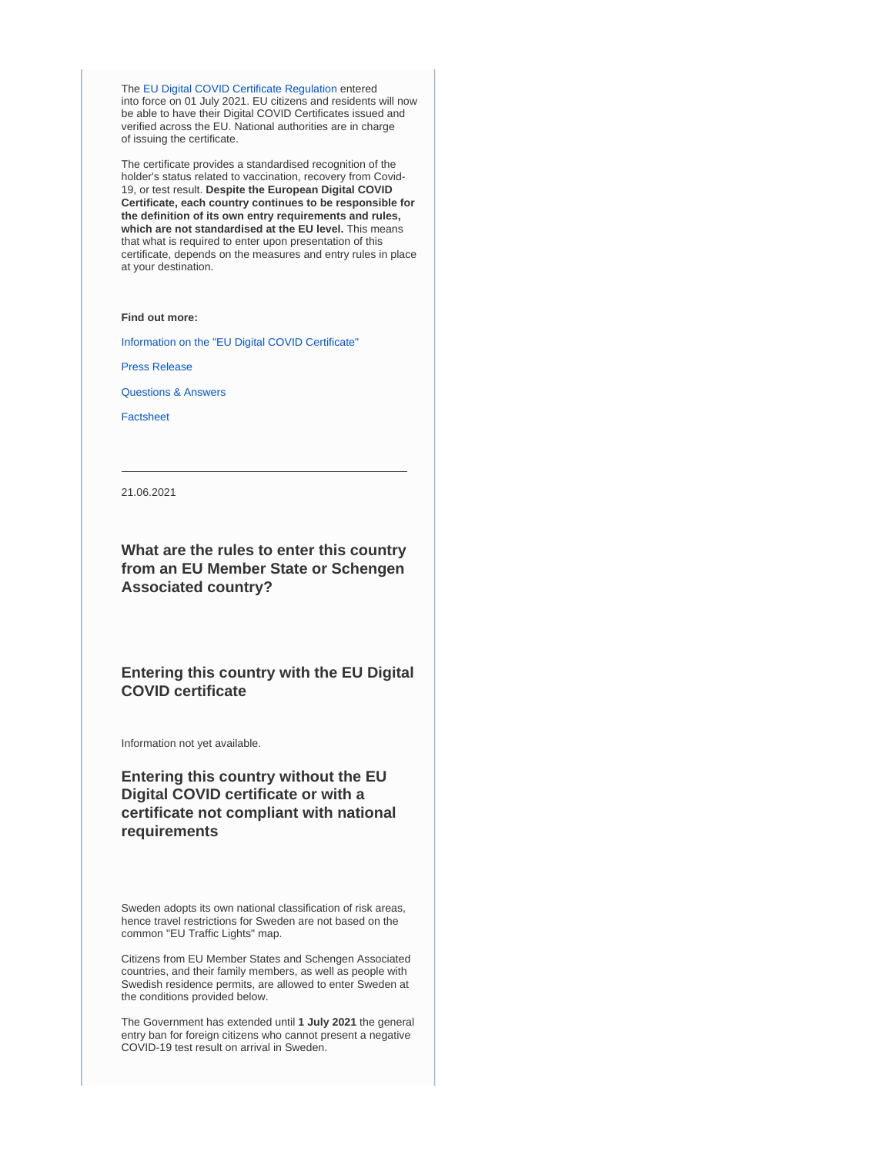The [EU Digital COVID Certificate Regulation](https://ec.europa.eu/info/live-work-travel-eu/coronavirus-response/safe-covid-19-vaccines-europeans/eu-digital-covid-certificate_en) entered into force on 01 July 2021. EU citizens and residents will now be able to have their Digital COVID Certificates issued and verified across the EU. National authorities are in charge of issuing the certificate.

The certificate provides a standardised recognition of the holder's status related to vaccination, recovery from Covid-19, or test result. **Despite the European Digital COVID Certificate, each country continues to be responsible for the definition of its own entry requirements and rules, which are not standardised at the EU level.** This means that what is required to enter upon presentation of this certificate, depends on the measures and entry rules in place at your destination.

#### **Find out more:**

[Information on the "EU Digital COVID Certificate"](https://ec.europa.eu/info/live-work-travel-eu/coronavirus-response/safe-covid-19-vaccines-europeans/eu-digital-covid-certificate_en)

[Press Release](https://ec.europa.eu/commission/presscorner/detail/en/IP_21_2721)

[Questions & Answers](https://ec.europa.eu/commission/presscorner/detail/en/QANDA_21_2781)

[Factsheet](https://ec.europa.eu/commission/presscorner/detail/en/FS_21_2793)

21.06.2021

**What are the rules to enter this country from an EU Member State or Schengen Associated country?**

**Entering this country with the EU Digital COVID certificate**

Information not yet available.

**Entering this country without the EU Digital COVID certificate or with a certificate not compliant with national requirements**

Sweden adopts its own national classification of risk areas, hence travel restrictions for Sweden are not based on the common "EU Traffic Lights" map.

Citizens from EU Member States and Schengen Associated countries, and their family members, as well as people with Swedish residence permits, are allowed to enter Sweden at the conditions provided below.

The Government has extended until **1 July 2021** the general entry ban for foreign citizens who cannot present a negative COVID-19 test result on arrival in Sweden.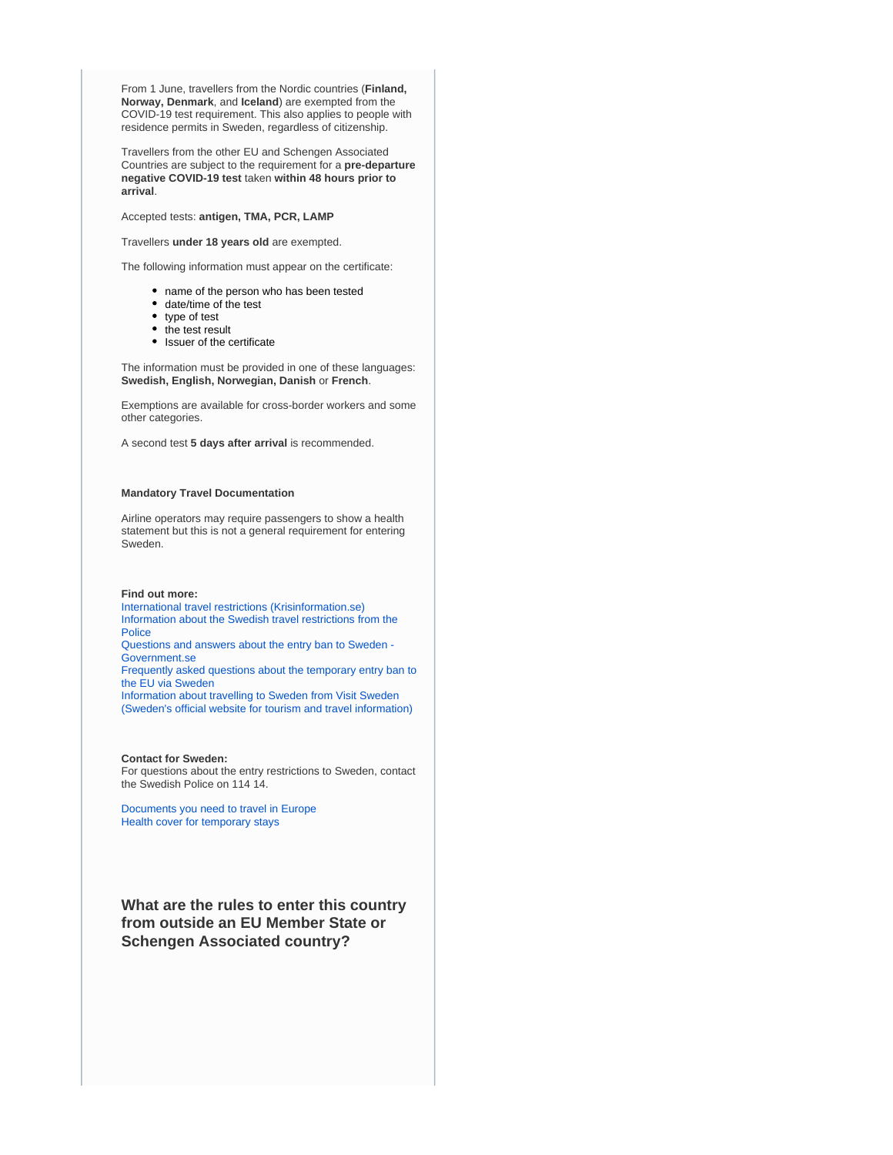From 1 June, travellers from the Nordic countries (**Finland, Norway, Denmark**, and **Iceland**) are exempted from the COVID-19 test requirement. This also applies to people with residence permits in Sweden, regardless of citizenship.

Travellers from the other EU and Schengen Associated Countries are subject to the requirement for a **pre-departure negative COVID-19 test** taken **within 48 hours prior to arrival**.

Accepted tests: **antigen, TMA, PCR, LAMP**

Travellers **under 18 years old** are exempted.

The following information must appear on the certificate:

- name of the person who has been tested
- date/time of the test
- type of test
- the test result
- Issuer of the certificate

The information must be provided in one of these languages: **Swedish, English, Norwegian, Danish** or **French**.

Exemptions are available for cross-border workers and some other categories.

A second test **5 days after arrival** is recommended.

#### **Mandatory Travel Documentation**

Airline operators may require passengers to show a health statement but this is not a general requirement for entering Sweden.

#### **Find out more:**

[International travel restrictions \(Krisinformation.se\)](https://www.krisinformation.se/en/hazards-and-risks/disasters-and-incidents/2020/official-information-on-the-new-coronavirus/travel-restrictions) [Information about the Swedish travel restrictions from the](https://polisen.se/en/the-swedish-police/the-coronavirus-and-the-swedish-police/travel-to-and-from-sweden/)  [Police](https://polisen.se/en/the-swedish-police/the-coronavirus-and-the-swedish-police/travel-to-and-from-sweden/) [Questions and answers about the entry ban to Sweden -](https://www.government.se/articles/2020/04/questions-and-answers-about-the-entry-ban-to-sweden/)  [Government.se](https://www.government.se/articles/2020/04/questions-and-answers-about-the-entry-ban-to-sweden/) [Frequently asked questions about the temporary entry ban to](https://polisen.se/en/the-swedish-police/the-coronavirus-and-the-swedish-police/faq/)  [the EU via Sweden](https://polisen.se/en/the-swedish-police/the-coronavirus-and-the-swedish-police/faq/) [Information about travelling to Sweden from Visit Sweden](https://visitsweden.com/about-sweden/information-for-travellers-corona-virus/)  [\(Sweden's official website for tourism and travel information\)](https://visitsweden.com/about-sweden/information-for-travellers-corona-virus/)

**Contact for Sweden:** For questions about the entry restrictions to Sweden, contact the Swedish Police on 114 14.

[Documents you need to travel in Europe](https://europa.eu/youreurope/citizens/travel/entry-exit/index_en.htm) [Health cover for temporary stays](https://europa.eu/youreurope/citizens/health/unplanned-healthcare/temporary-stays/index_en.htm)

**What are the rules to enter this country from outside an EU Member State or Schengen Associated country?**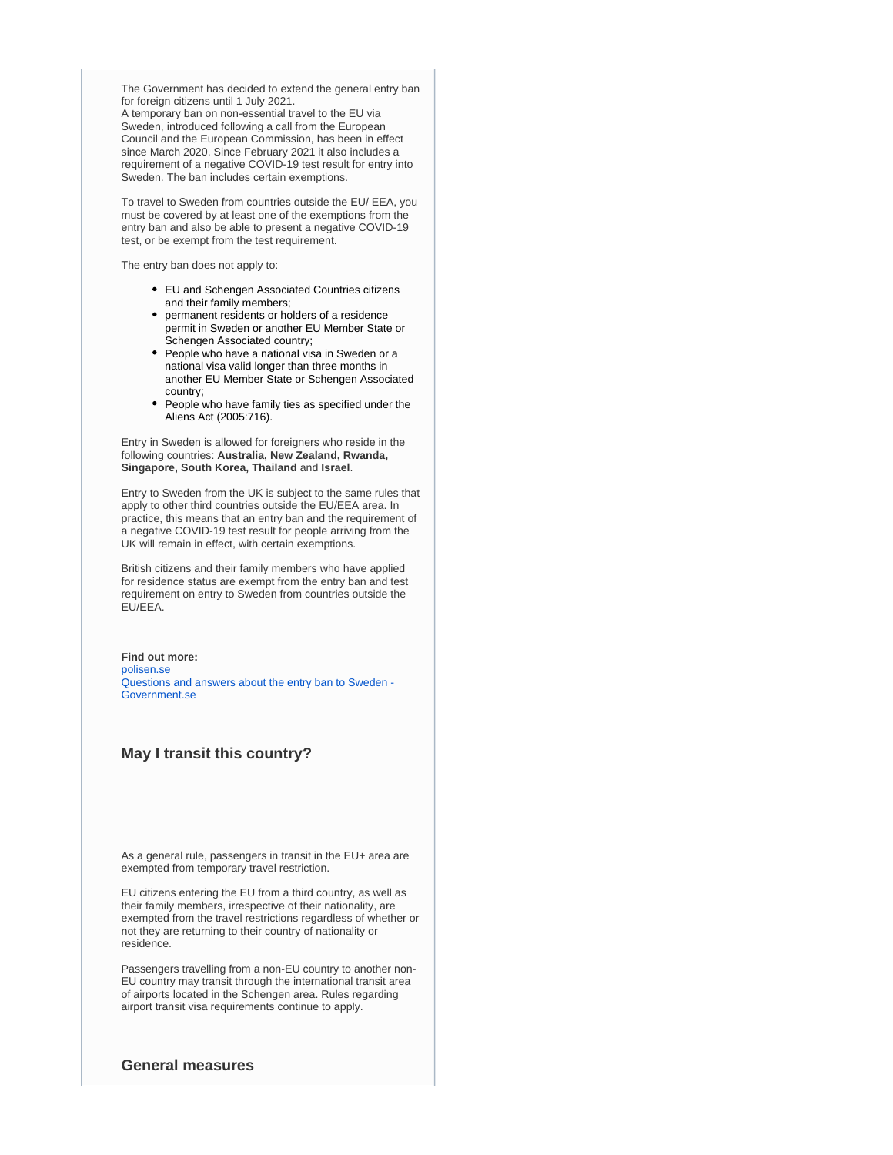The Government has decided to extend the general entry ban for foreign citizens until 1 July 2021.

A temporary ban on non-essential travel to the EU via Sweden, introduced following a call from the European Council and the European Commission, has been in effect since March 2020. Since February 2021 it also includes a requirement of a negative COVID-19 test result for entry into Sweden. The ban includes certain exemptions.

To travel to Sweden from countries outside the EU/ EEA, you must be covered by at least one of the exemptions from the entry ban and also be able to present a negative COVID-19 test, or be exempt from the test requirement.

The entry ban does not apply to:

- EU and Schengen Associated Countries citizens and their family members;
- permanent residents or holders of a residence permit in Sweden or another EU Member State or Schengen Associated country;
- People who have a national visa in Sweden or a national visa valid longer than three months in another EU Member State or Schengen Associated country;
- People who have family ties as specified under the Aliens Act (2005:716).

Entry in Sweden is allowed for foreigners who reside in the following countries: **Australia, New Zealand, Rwanda, Singapore, South Korea, Thailand** and **Israel**.

Entry to Sweden from the UK is subject to the same rules that apply to other third countries outside the EU/EEA area. In practice, this means that an entry ban and the requirement of a negative COVID-19 test result for people arriving from the UK will remain in effect, with certain exemptions.

British citizens and their family members who have applied for residence status are exempt from the entry ban and test requirement on entry to Sweden from countries outside the EU/EEA.

**Find out more:** [polisen.se](https://polisen.se/en/the-swedish-police/the-coronavirus-and-the-swedish-police/faq) [Questions and answers about the entry ban to Sweden -](https://www.government.se/articles/2020/04/questions-and-answers-about-the-entry-ban-to-sweden/)  [Government.se](https://www.government.se/articles/2020/04/questions-and-answers-about-the-entry-ban-to-sweden/)

## **May I transit this country?**

As a general rule, passengers in transit in the EU+ area are exempted from temporary travel restriction.

EU citizens entering the EU from a third country, as well as their family members, irrespective of their nationality, are exempted from the travel restrictions regardless of whether or not they are returning to their country of nationality or residence.

Passengers travelling from a non-EU country to another non-EU country may transit through the international transit area of airports located in the Schengen area. Rules regarding airport transit visa requirements continue to apply.

#### **General measures**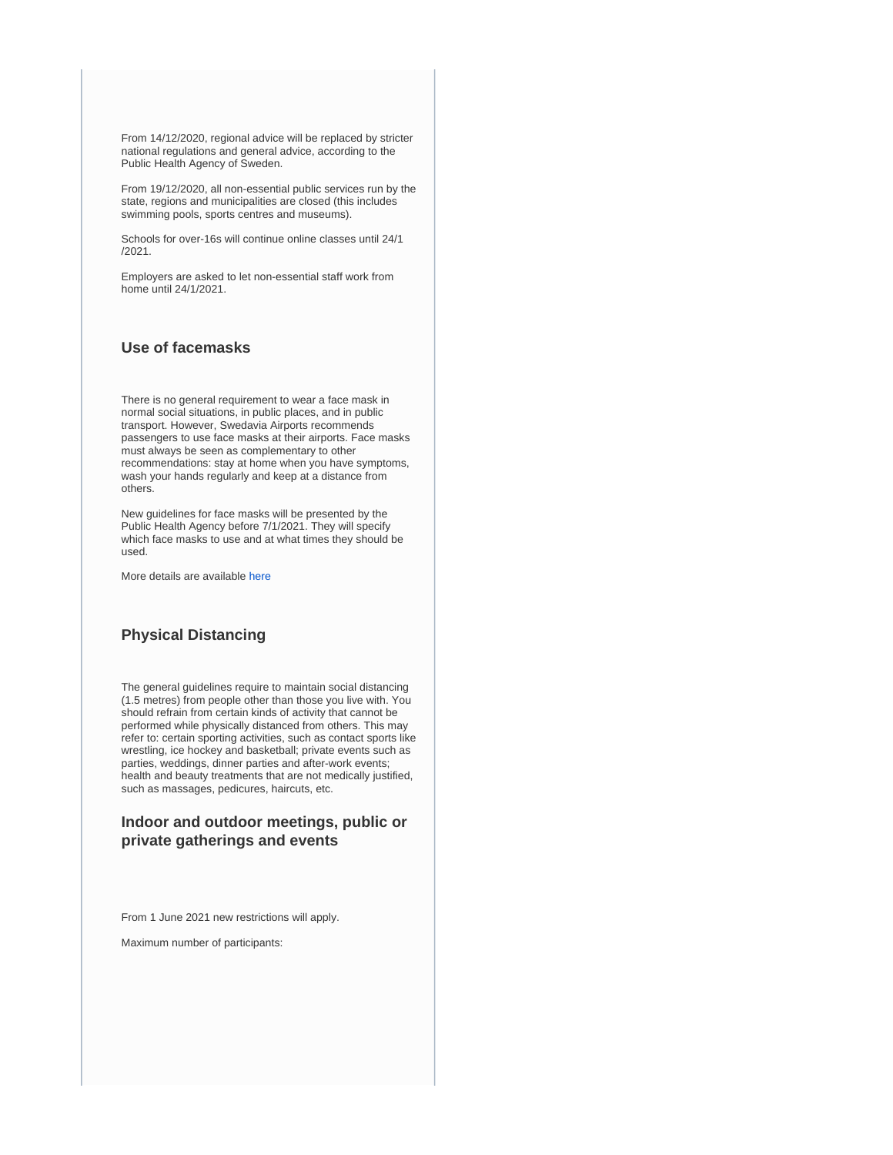From 14/12/2020, regional advice will be replaced by stricter national regulations and general advice, according to the Public Health Agency of Sweden.

From 19/12/2020, all non-essential public services run by the state, regions and municipalities are closed (this includes swimming pools, sports centres and museums).

Schools for over-16s will continue online classes until 24/1 /2021.

Employers are asked to let non-essential staff work from home until 24/1/2021.

# **Use of facemasks**

There is no general requirement to wear a face mask in normal social situations, in public places, and in public transport. However, Swedavia Airports recommends passengers to use face masks at their airports. Face masks must always be seen as complementary to other recommendations: stay at home when you have symptoms, wash your hands regularly and keep at a distance from others.

New guidelines for face masks will be presented by the Public Health Agency before 7/1/2021. They will specify which face masks to use and at what times they should be used.

More details are available [here](https://www.folkhalsomyndigheten.se/smittskydd-beredskap/utbrott/aktuella-utbrott/covid-19/om-sjukdomen-och-smittspridning/smittspridning/munskydd/)

# **Physical Distancing**

The general guidelines require to maintain social distancing (1.5 metres) from people other than those you live with. You should refrain from certain kinds of activity that cannot be performed while physically distanced from others. This may refer to: certain sporting activities, such as contact sports like wrestling, ice hockey and basketball; private events such as parties, weddings, dinner parties and after-work events; health and beauty treatments that are not medically justified, such as massages, pedicures, haircuts, etc.

# **Indoor and outdoor meetings, public or private gatherings and events**

From 1 June 2021 new restrictions will apply.

Maximum number of participants: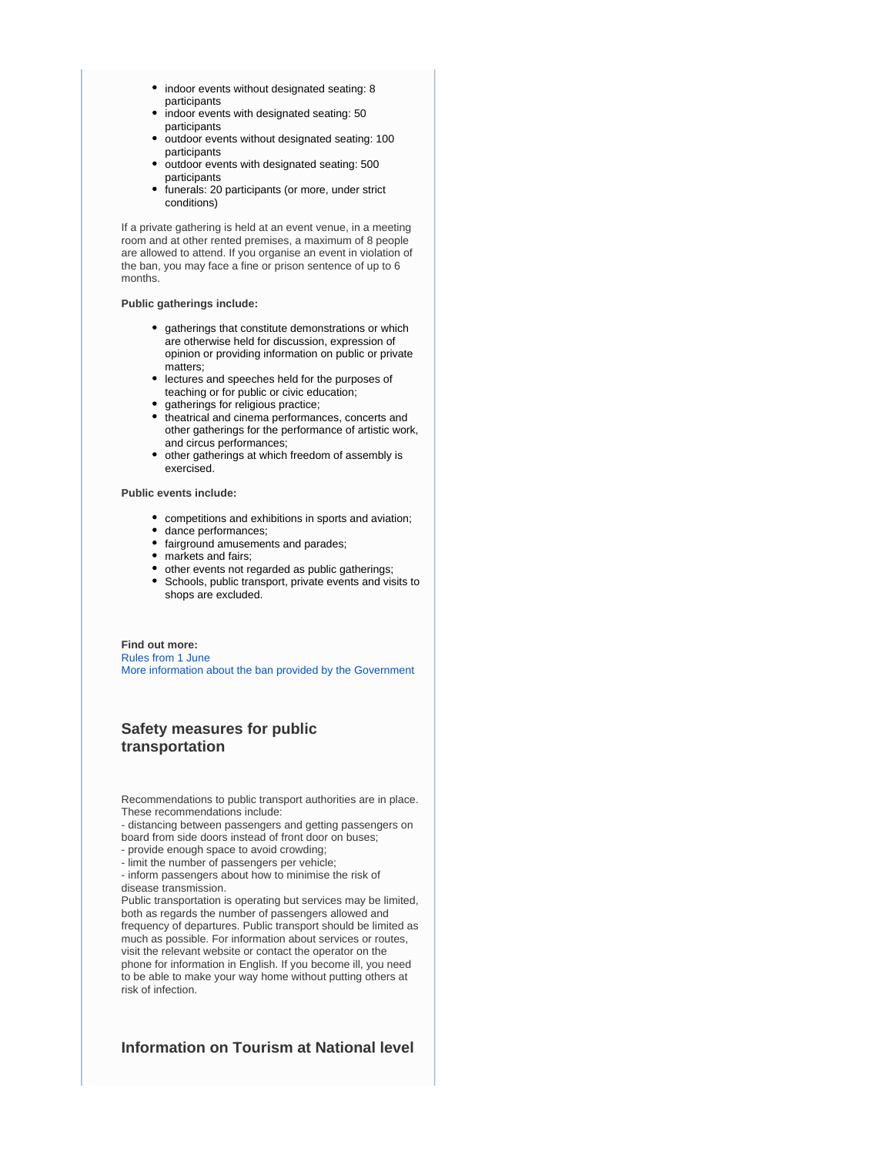- indoor events without designated seating: 8 participants
- indoor events with designated seating: 50 participants
- outdoor events without designated seating: 100 participants
- outdoor events with designated seating: 500 participants
- funerals: 20 participants (or more, under strict conditions)

If a private gathering is held at an event venue, in a meeting room and at other rented premises, a maximum of 8 people are allowed to attend. If you organise an event in violation of the ban, you may face a fine or prison sentence of up to 6 months.

#### **Public gatherings include:**

- gatherings that constitute demonstrations or which are otherwise held for discussion, expression of opinion or providing information on public or private matters;
- lectures and speeches held for the purposes of teaching or for public or civic education;
- gatherings for religious practice;
- $\bullet$  theatrical and cinema performances, concerts and other gatherings for the performance of artistic work, and circus performances;
- other gatherings at which freedom of assembly is exercised.

#### **Public events include:**

- competitions and exhibitions in sports and aviation;
- dance performances;
- fairground amusements and parades;
- markets and fairs;
- other events not regarded as public gatherings;
- Schools, public transport, private events and visits to shops are excluded.

#### **Find out more:** [Rules from 1 June](https://www.krisinformation.se/en/news/2021/may/adapted-restrictions-to-be-introduced-1-june/) [More information about the ban provided by the Government](https://www.government.se/articles/2020/03/ordinance-on-a-prohibition-against-holding-public-gatherings-and-events/)

# **Safety measures for public transportation**

Recommendations to public transport authorities are in place. These recommendations include:

- distancing between passengers and getting passengers on board from side doors instead of front door on buses;

- provide enough space to avoid crowding;
- limit the number of passengers per vehicle;

- inform passengers about how to minimise the risk of disease transmission.

Public transportation is operating but services may be limited, both as regards the number of passengers allowed and frequency of departures. Public transport should be limited as much as possible. For information about services or routes, visit the relevant website or contact the operator on the phone for information in English. If you become ill, you need to be able to make your way home without putting others at risk of infection.

## **Information on Tourism at National level**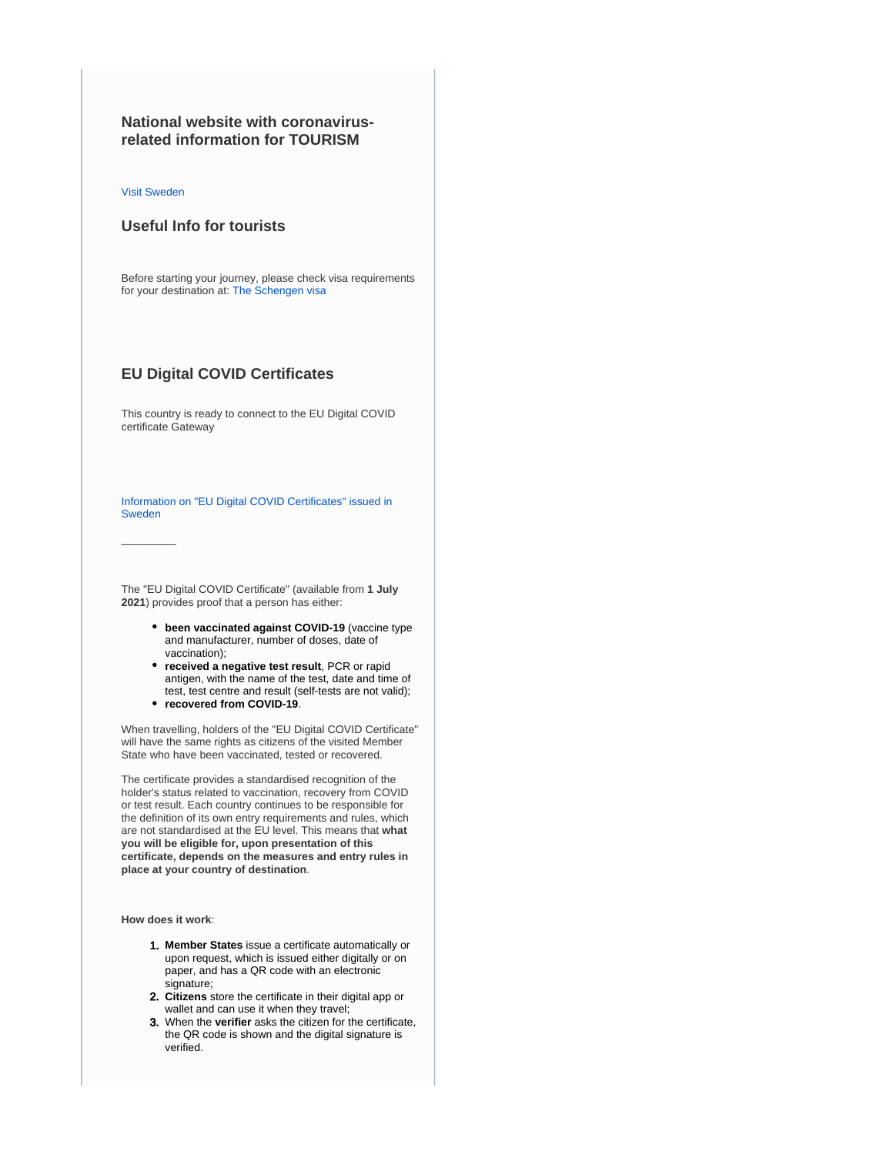# **National website with coronavirusrelated information for TOURISM**

[Visit Sweden](https://visitsweden.com/)

 $\overline{\phantom{a}}$ 

## **Useful Info for tourists**

Before starting your journey, please check visa requirements for your destination at: [The Schengen visa](https://ec.europa.eu/home-affairs/what-we-do/policies/borders-and-visas/visa-policy/schengen_visa_en)

### **EU Digital COVID Certificates**

This country is ready to connect to the EU Digital COVID certificate Gateway

[Information on "EU Digital COVID Certificates" issued in](https://www.ehalsomyndigheten.se/covidbevis/)  [Sweden](https://www.ehalsomyndigheten.se/covidbevis/)

The "EU Digital COVID Certificate" (available from **1 July 2021**) provides proof that a person has either:

- **been vaccinated against COVID-19** (vaccine type and manufacturer, number of doses, date of vaccination);
- **received a negative test result**, PCR or rapid antigen, with the name of the test, date and time of test, test centre and result (self-tests are not valid);
- **recovered from COVID-19**.

When travelling, holders of the "EU Digital COVID Certificate" will have the same rights as citizens of the visited Member State who have been vaccinated, tested or recovered.

The certificate provides a standardised recognition of the holder's status related to vaccination, recovery from COVID or test result. Each country continues to be responsible for the definition of its own entry requirements and rules, which are not standardised at the EU level. This means that **what you will be eligible for, upon presentation of this certificate, depends on the measures and entry rules in place at your country of destination**.

**How does it work**:

- 1. **Member States** issue a certificate automatically or upon request, which is issued either digitally or on paper, and has a QR code with an electronic signature;
- 2. **Citizens** store the certificate in their digital app or wallet and can use it when they travel;
- 3. When the **verifier** asks the citizen for the certificate, the QR code is shown and the digital signature is verified.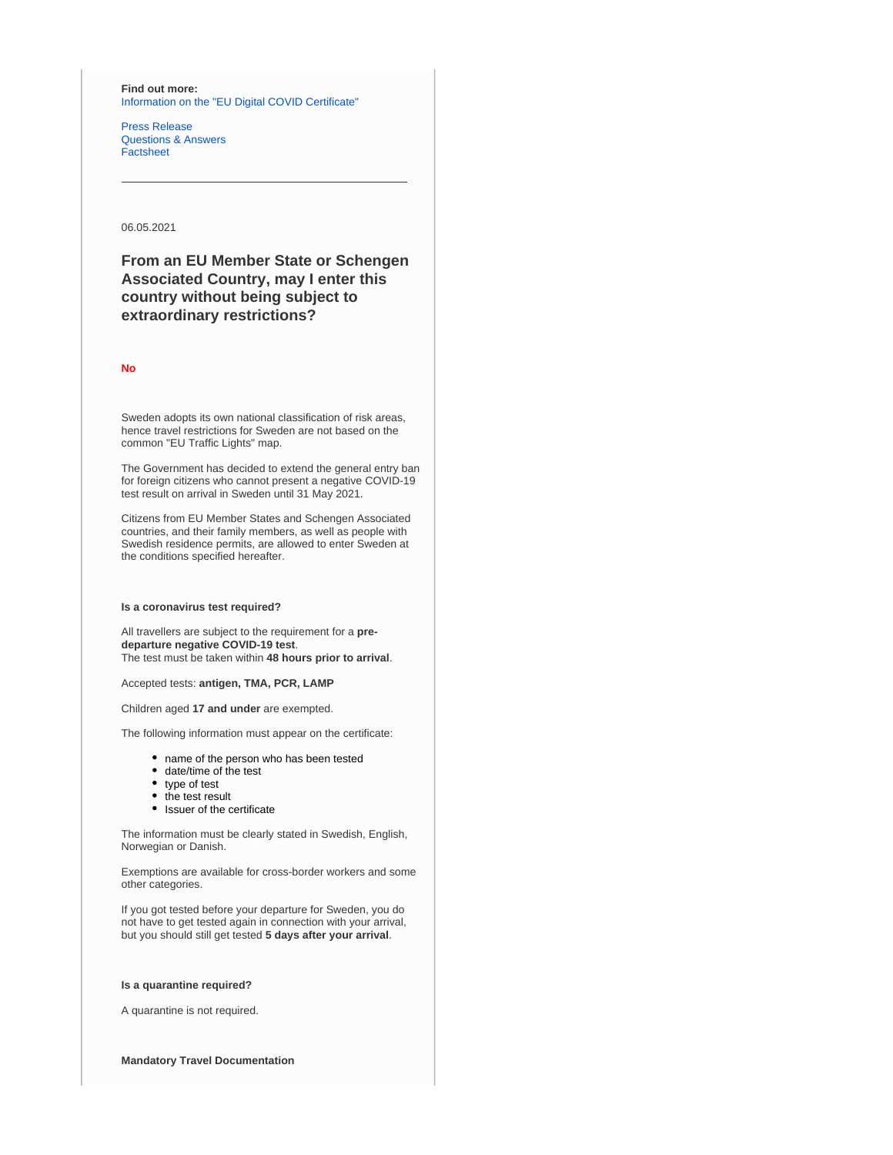**Find out more:** [Information on the "EU Digital COVID Certificate"](https://ec.europa.eu/info/live-work-travel-eu/coronavirus-response/safe-covid-19-vaccines-europeans/eu-digital-covid-certificate_en)

[Press Release](https://ec.europa.eu/commission/presscorner/detail/en/IP_21_2721) [Questions & Answers](https://ec.europa.eu/commission/presscorner/detail/en/QANDA_21_2781) [Factsheet](https://ec.europa.eu/commission/presscorner/detail/en/FS_21_2793)

06.05.2021

**From an EU Member State or Schengen Associated Country, may I enter this country without being subject to extraordinary restrictions?**

**No**

Sweden adopts its own national classification of risk areas, hence travel restrictions for Sweden are not based on the common "EU Traffic Lights" map.

The Government has decided to extend the general entry ban for foreign citizens who cannot present a negative COVID-19 test result on arrival in Sweden until 31 May 2021.

Citizens from EU Member States and Schengen Associated countries, and their family members, as well as people with Swedish residence permits, are allowed to enter Sweden at the conditions specified hereafter.

#### **Is a coronavirus test required?**

All travellers are subject to the requirement for a **predeparture negative COVID-19 test**. The test must be taken within **48 hours prior to arrival**.

Accepted tests: **antigen, TMA, PCR, LAMP**

Children aged **17 and under** are exempted.

The following information must appear on the certificate:

- name of the person who has been tested
- date/time of the test
- type of test
- the test result
- Issuer of the certificate

The information must be clearly stated in Swedish, English, Norwegian or Danish.

Exemptions are available for cross-border workers and some other categories.

If you got tested before your departure for Sweden, you do not have to get tested again in connection with your arrival, but you should still get tested **5 days after your arrival**.

### **Is a quarantine required?**

A quarantine is not required.

**Mandatory Travel Documentation**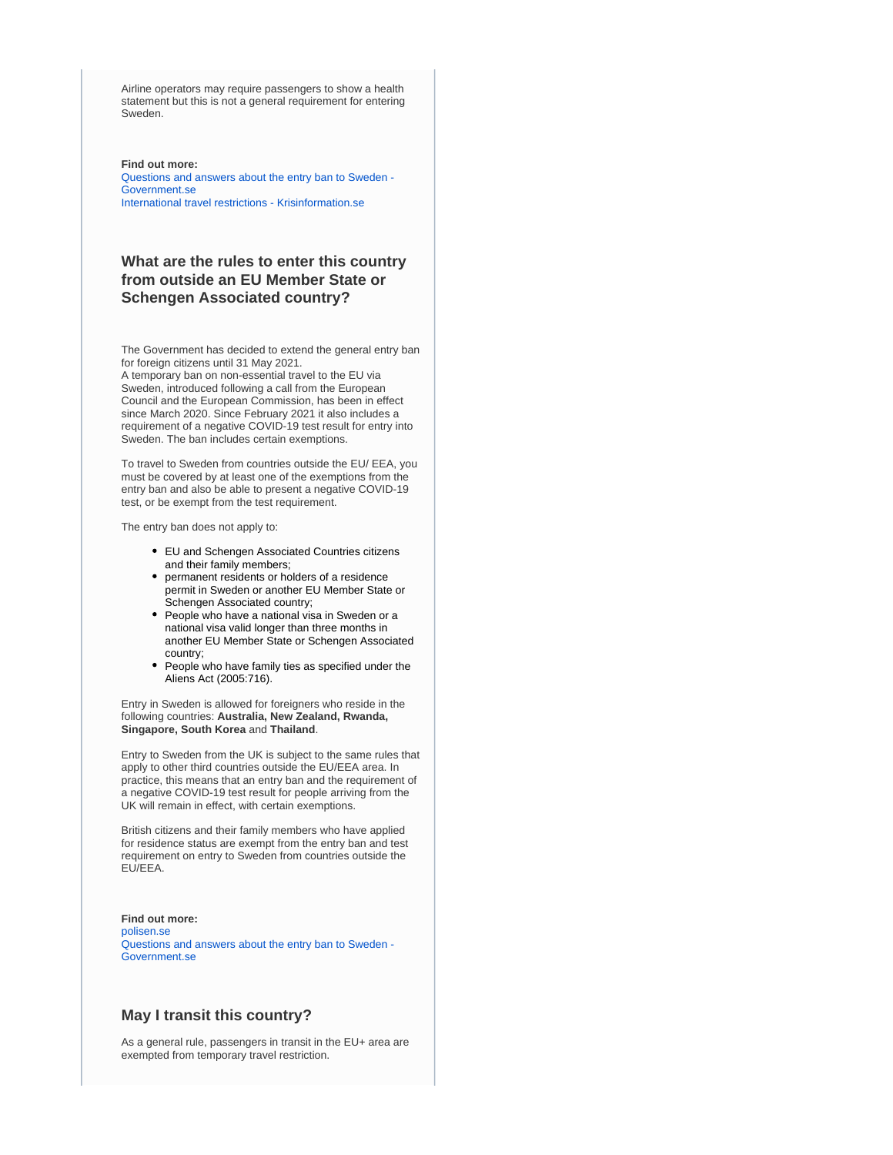Airline operators may require passengers to show a health statement but this is not a general requirement for entering Sweden.

#### **Find out more:**

[Questions and answers about the entry ban to Sweden -](https://www.government.se/articles/2020/04/questions-and-answers-about-the-entry-ban-to-sweden/)  [Government.se](https://www.government.se/articles/2020/04/questions-and-answers-about-the-entry-ban-to-sweden/) [International travel restrictions - Krisinformation.se](https://www.krisinformation.se/en/hazards-and-risks/disasters-and-incidents/2020/official-information-on-the-new-coronavirus/travel-restrictions)

## **What are the rules to enter this country from outside an EU Member State or Schengen Associated country?**

The Government has decided to extend the general entry ban for foreign citizens until 31 May 2021.

A temporary ban on non-essential travel to the EU via Sweden, introduced following a call from the European Council and the European Commission, has been in effect since March 2020. Since February 2021 it also includes a requirement of a negative COVID-19 test result for entry into Sweden. The ban includes certain exemptions.

To travel to Sweden from countries outside the EU/ EEA, you must be covered by at least one of the exemptions from the entry ban and also be able to present a negative COVID-19 test, or be exempt from the test requirement.

The entry ban does not apply to:

- EU and Schengen Associated Countries citizens and their family members;
- permanent residents or holders of a residence permit in Sweden or another EU Member State or Schengen Associated country;
- People who have a national visa in Sweden or a national visa valid longer than three months in another EU Member State or Schengen Associated country;
- People who have family ties as specified under the Aliens Act (2005:716).

Entry in Sweden is allowed for foreigners who reside in the following countries: **Australia, New Zealand, Rwanda, Singapore, South Korea** and **Thailand**.

Entry to Sweden from the UK is subject to the same rules that apply to other third countries outside the EU/EEA area. In practice, this means that an entry ban and the requirement of a negative COVID-19 test result for people arriving from the UK will remain in effect, with certain exemptions.

British citizens and their family members who have applied for residence status are exempt from the entry ban and test requirement on entry to Sweden from countries outside the EU/EEA.

**Find out more:** [polisen.se](https://polisen.se/en/the-swedish-police/the-coronavirus-and-the-swedish-police/faq) [Questions and answers about the entry ban to Sweden -](https://www.government.se/articles/2020/04/questions-and-answers-about-the-entry-ban-to-sweden/)  [Government.se](https://www.government.se/articles/2020/04/questions-and-answers-about-the-entry-ban-to-sweden/)

### **May I transit this country?**

As a general rule, passengers in transit in the EU+ area are exempted from temporary travel restriction.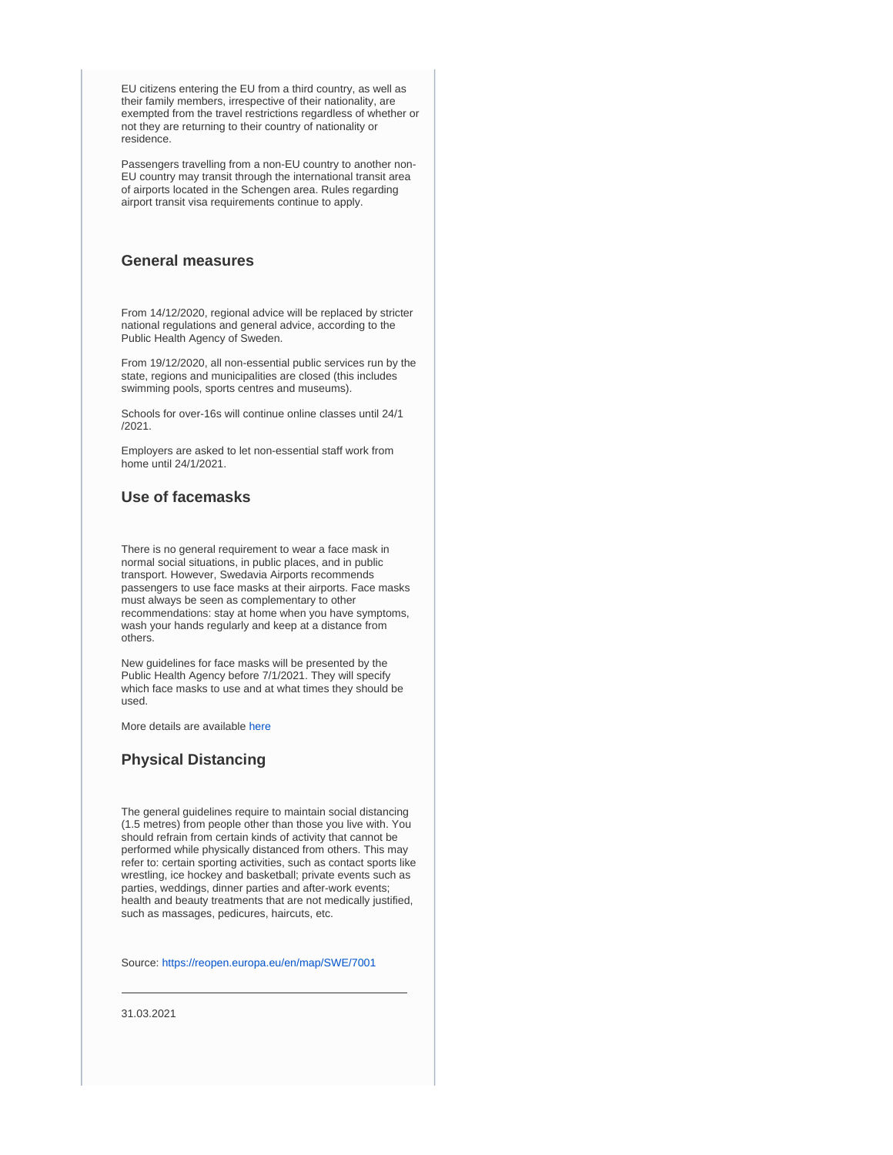EU citizens entering the EU from a third country, as well as their family members, irrespective of their nationality, are exempted from the travel restrictions regardless of whether or not they are returning to their country of nationality or residence.

Passengers travelling from a non-EU country to another non-EU country may transit through the international transit area of airports located in the Schengen area. Rules regarding airport transit visa requirements continue to apply.

### **General measures**

From 14/12/2020, regional advice will be replaced by stricter national regulations and general advice, according to the Public Health Agency of Sweden.

From 19/12/2020, all non-essential public services run by the state, regions and municipalities are closed (this includes swimming pools, sports centres and museums).

Schools for over-16s will continue online classes until 24/1 /2021.

Employers are asked to let non-essential staff work from home until 24/1/2021.

## **Use of facemasks**

There is no general requirement to wear a face mask in normal social situations, in public places, and in public transport. However, Swedavia Airports recommends passengers to use face masks at their airports. Face masks must always be seen as complementary to other recommendations: stay at home when you have symptoms, wash your hands regularly and keep at a distance from others.

New guidelines for face masks will be presented by the Public Health Agency before 7/1/2021. They will specify which face masks to use and at what times they should be used.

More details are available [here](https://www.folkhalsomyndigheten.se/smittskydd-beredskap/utbrott/aktuella-utbrott/covid-19/om-sjukdomen-och-smittspridning/smittspridning/munskydd/)

## **Physical Distancing**

The general guidelines require to maintain social distancing (1.5 metres) from people other than those you live with. You should refrain from certain kinds of activity that cannot be performed while physically distanced from others. This may refer to: certain sporting activities, such as contact sports like wrestling, ice hockey and basketball; private events such as parties, weddings, dinner parties and after-work events; health and beauty treatments that are not medically justified, such as massages, pedicures, haircuts, etc.

Source:<https://reopen.europa.eu/en/map/SWE/7001>

31.03.2021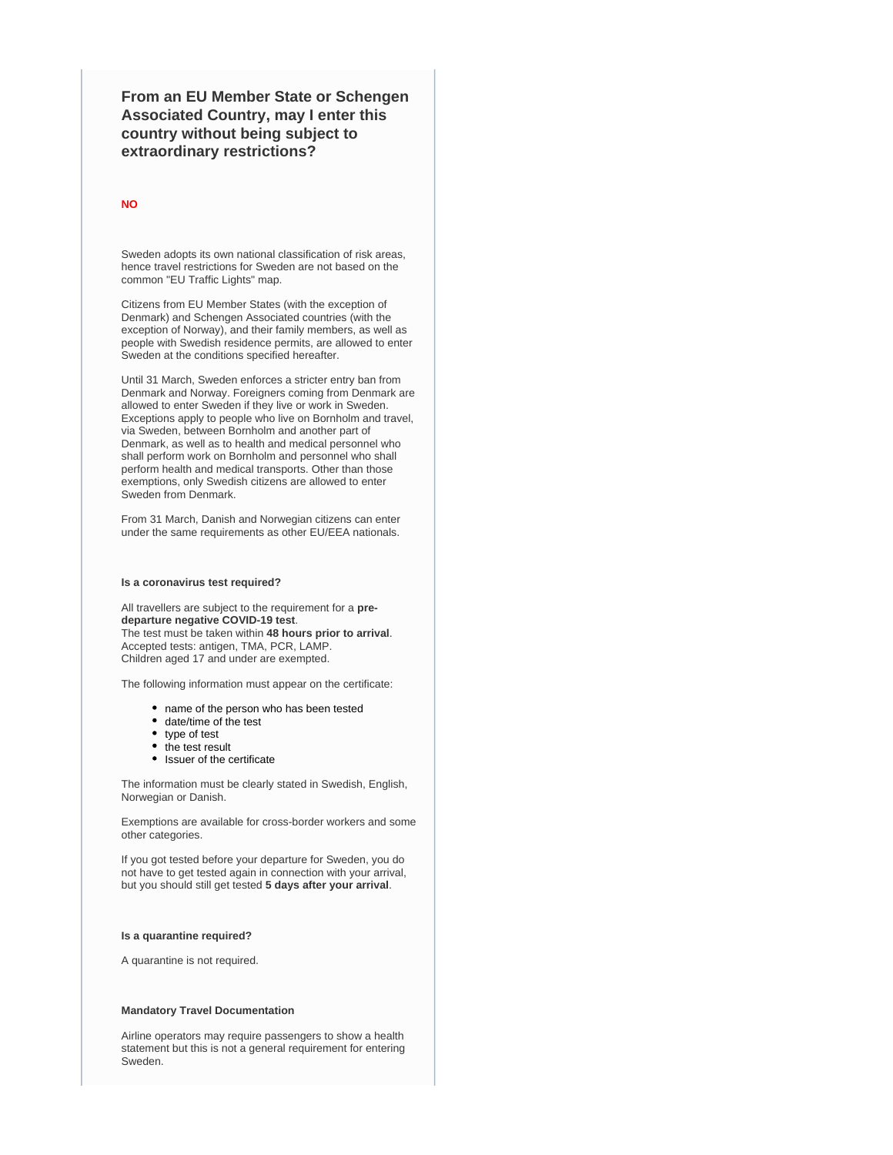**From an EU Member State or Schengen Associated Country, may I enter this country without being subject to extraordinary restrictions?**

#### **NO**

Sweden adopts its own national classification of risk areas, hence travel restrictions for Sweden are not based on the common "EU Traffic Lights" map.

Citizens from EU Member States (with the exception of Denmark) and Schengen Associated countries (with the exception of Norway), and their family members, as well as people with Swedish residence permits, are allowed to enter Sweden at the conditions specified hereafter.

Until 31 March, Sweden enforces a stricter entry ban from Denmark and Norway. Foreigners coming from Denmark are allowed to enter Sweden if they live or work in Sweden. Exceptions apply to people who live on Bornholm and travel, via Sweden, between Bornholm and another part of Denmark, as well as to health and medical personnel who shall perform work on Bornholm and personnel who shall perform health and medical transports. Other than those exemptions, only Swedish citizens are allowed to enter Sweden from Denmark.

From 31 March, Danish and Norwegian citizens can enter under the same requirements as other EU/EEA nationals.

#### **Is a coronavirus test required?**

All travellers are subject to the requirement for a **predeparture negative COVID-19 test**. The test must be taken within **48 hours prior to arrival**. Accepted tests: antigen, TMA, PCR, LAMP. Children aged 17 and under are exempted.

The following information must appear on the certificate:

- name of the person who has been tested
- date/time of the test
- type of test
- the test result
- Issuer of the certificate

The information must be clearly stated in Swedish, English, Norwegian or Danish.

Exemptions are available for cross-border workers and some other categories.

If you got tested before your departure for Sweden, you do not have to get tested again in connection with your arrival, but you should still get tested **5 days after your arrival**.

#### **Is a quarantine required?**

A quarantine is not required.

#### **Mandatory Travel Documentation**

Airline operators may require passengers to show a health statement but this is not a general requirement for entering Sweden.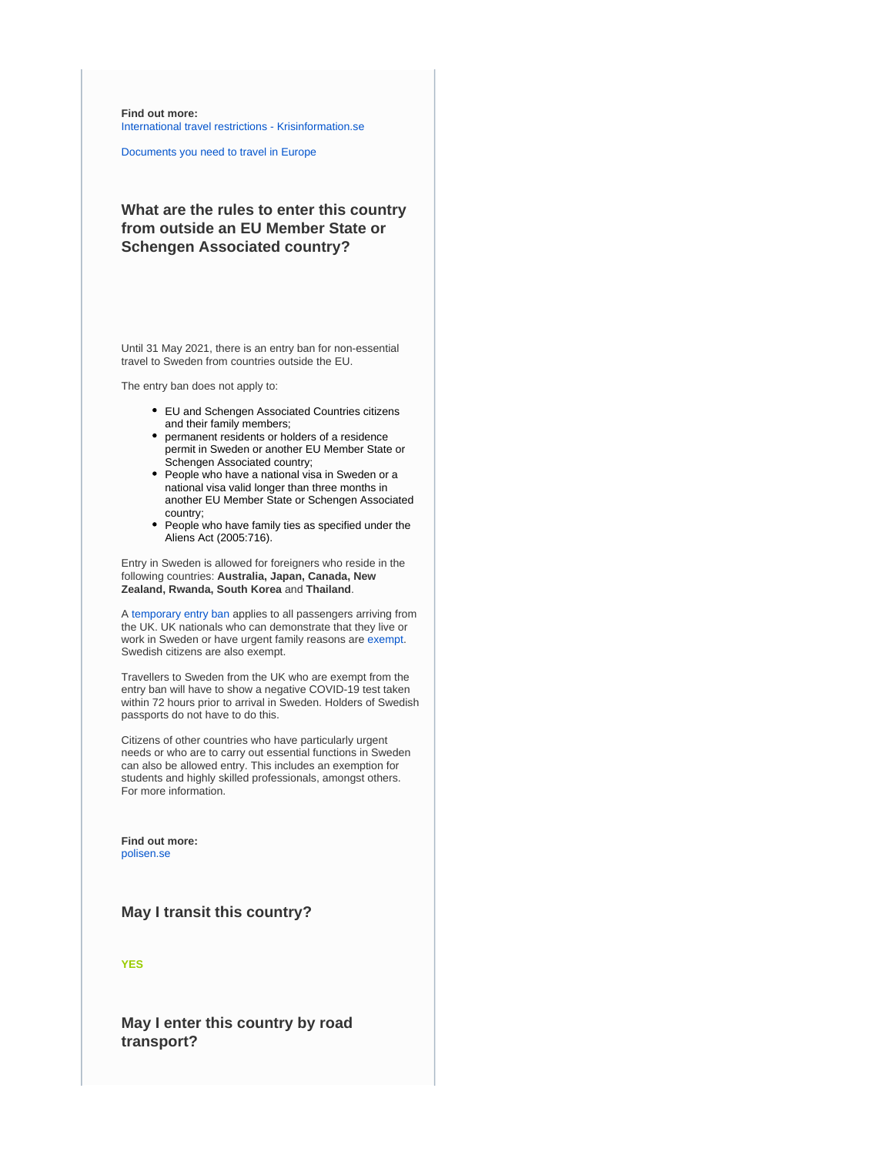**Find out more:** [International travel restrictions - Krisinformation.se](https://www.krisinformation.se/en/hazards-and-risks/disasters-and-incidents/2020/official-information-on-the-new-coronavirus/travel-restrictions)

[Documents you need to travel in Europe](https://europa.eu/youreurope/citizens/travel/entry-exit/index_en.htm)

# **What are the rules to enter this country from outside an EU Member State or Schengen Associated country?**

Until 31 May 2021, there is an entry ban for non-essential travel to Sweden from countries outside the EU.

The entry ban does not apply to:

- EU and Schengen Associated Countries citizens and their family members;
- permanent residents or holders of a residence permit in Sweden or another EU Member State or Schengen Associated country;
- People who have a national visa in Sweden or a national visa valid longer than three months in another EU Member State or Schengen Associated country;
- People who have family ties as specified under the Aliens Act (2005:716).

Entry in Sweden is allowed for foreigners who reside in the following countries: **Australia, Japan, Canada, New Zealand, Rwanda, South Korea** and **Thailand**.

A [temporary entry ban](https://www.government.se/press-releases/2020/12/changes-to-the-ban-on-entry-when-travelling-to-sweden-from-the-united-kingdom-and-denmark/) applies to all passengers arriving from the UK. UK nationals who can demonstrate that they live or work in Sweden or have urgent family reasons are [exempt.](https://polisen.se/en/the-swedish-police/the-coronavirus-and-the-swedish-police/travel-to-and-from-sweden/entry-ban-to-sweden-from-uk-and-denmark/) Swedish citizens are also exempt.

Travellers to Sweden from the UK who are exempt from the entry ban will have to show a negative COVID-19 test taken within 72 hours prior to arrival in Sweden. Holders of Swedish passports do not have to do this.

Citizens of other countries who have particularly urgent needs or who are to carry out essential functions in Sweden can also be allowed entry. This includes an exemption for students and highly skilled professionals, amongst others. For more information.

**Find out more:** [polisen.se](https://polisen.se/en/the-swedish-police/the-coronavirus-and-the-swedish-police/faq)

### **May I transit this country?**

**YES**

**May I enter this country by road transport?**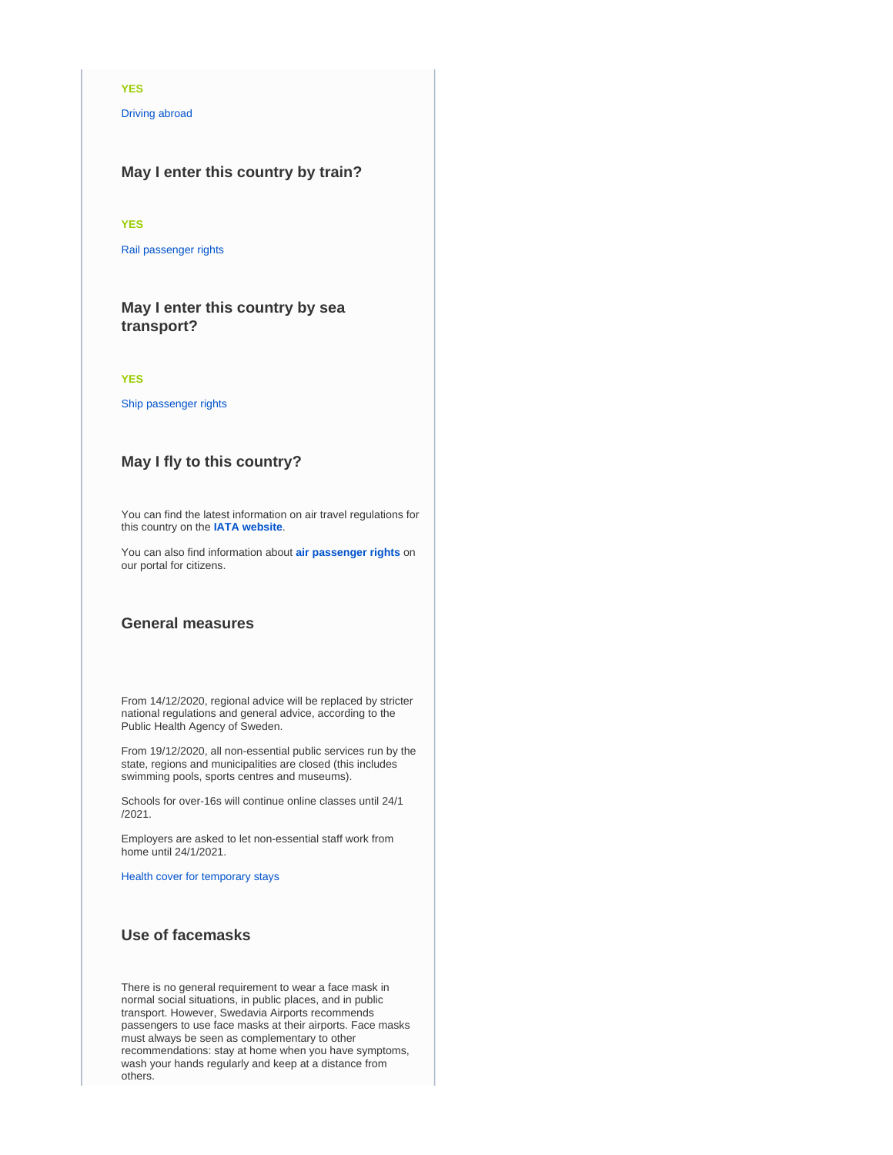### **YES**

[Driving abroad](https://europa.eu/youreurope/citizens/travel/driving-abroad/index_en.htm)

# **May I enter this country by train?**

### **YES**

[Rail passenger rights](https://europa.eu/youreurope/citizens/travel/passenger-rights/rail/index_en.htm)

# **May I enter this country by sea transport?**

#### **YES**

[Ship passenger rights](https://europa.eu/youreurope/citizens/travel/passenger-rights/ship/index_en.htm)

## **May I fly to this country?**

You can find the latest information on air travel regulations for this country on the **[IATA website](https://www.iatatravelcentre.com/international-travel-document-news/1580226297.htm)**.

You can also find information about **[air passenger rights](https://europa.eu/youreurope/citizens/travel/passenger-rights/air/index_en.htm)** on our portal for citizens.

### **General measures**

From 14/12/2020, regional advice will be replaced by stricter national regulations and general advice, according to the Public Health Agency of Sweden.

From 19/12/2020, all non-essential public services run by the state, regions and municipalities are closed (this includes swimming pools, sports centres and museums).

Schools for over-16s will continue online classes until 24/1 /2021.

Employers are asked to let non-essential staff work from home until 24/1/2021.

[Health cover for temporary stays](https://europa.eu/youreurope/citizens/health/unplanned-healthcare/temporary-stays/index_en.htm)

# **Use of facemasks**

There is no general requirement to wear a face mask in normal social situations, in public places, and in public transport. However, Swedavia Airports recommends passengers to use face masks at their airports. Face masks must always be seen as complementary to other recommendations: stay at home when you have symptoms, wash your hands regularly and keep at a distance from others.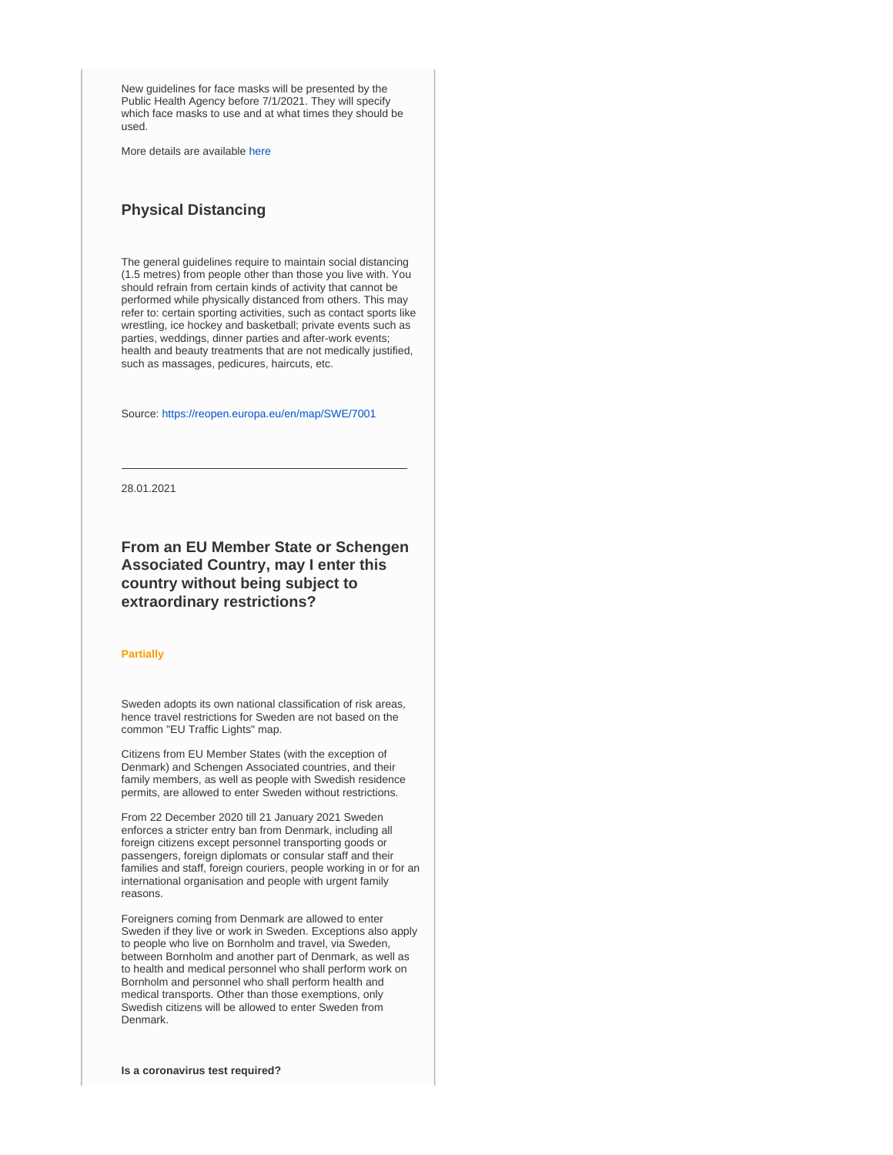New guidelines for face masks will be presented by the Public Health Agency before 7/1/2021. They will specify which face masks to use and at what times they should be used.

More details are available [here](https://www.folkhalsomyndigheten.se/smittskydd-beredskap/utbrott/aktuella-utbrott/covid-19/om-sjukdomen-och-smittspridning/smittspridning/munskydd/)

# **Physical Distancing**

The general guidelines require to maintain social distancing (1.5 metres) from people other than those you live with. You should refrain from certain kinds of activity that cannot be performed while physically distanced from others. This may refer to: certain sporting activities, such as contact sports like wrestling, ice hockey and basketball; private events such as parties, weddings, dinner parties and after-work events; health and beauty treatments that are not medically justified, such as massages, pedicures, haircuts, etc.

Source:<https://reopen.europa.eu/en/map/SWE/7001>

28.01.2021

# **From an EU Member State or Schengen Associated Country, may I enter this country without being subject to extraordinary restrictions?**

#### **Partially**

Sweden adopts its own national classification of risk areas, hence travel restrictions for Sweden are not based on the common "EU Traffic Lights" map.

Citizens from EU Member States (with the exception of Denmark) and Schengen Associated countries, and their family members, as well as people with Swedish residence permits, are allowed to enter Sweden without restrictions.

From 22 December 2020 till 21 January 2021 Sweden enforces a stricter entry ban from Denmark, including all foreign citizens except personnel transporting goods or passengers, foreign diplomats or consular staff and their families and staff, foreign couriers, people working in or for an international organisation and people with urgent family reasons.

Foreigners coming from Denmark are allowed to enter Sweden if they live or work in Sweden. Exceptions also apply to people who live on Bornholm and travel, via Sweden, between Bornholm and another part of Denmark, as well as to health and medical personnel who shall perform work on Bornholm and personnel who shall perform health and medical transports. Other than those exemptions, only Swedish citizens will be allowed to enter Sweden from Denmark.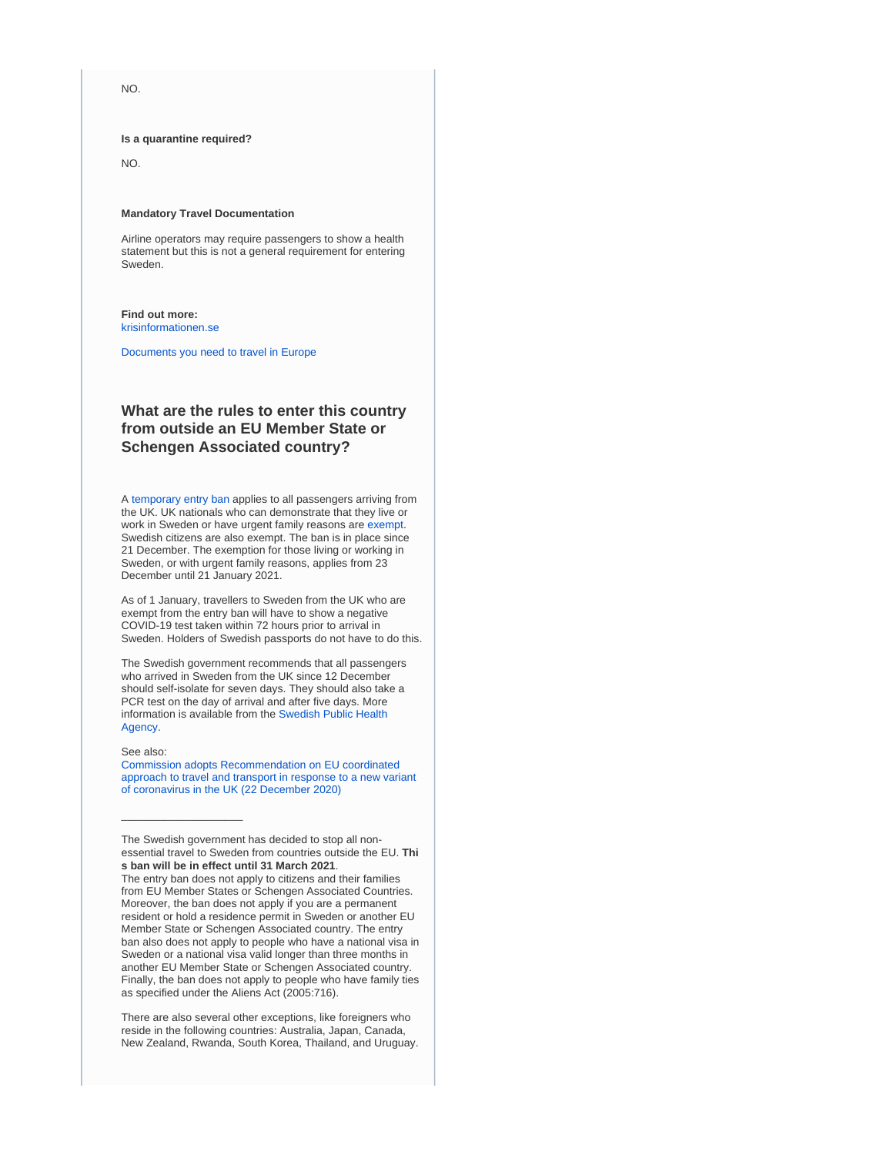NO.

**Is a quarantine required?**

NO.

#### **Mandatory Travel Documentation**

Airline operators may require passengers to show a health statement but this is not a general requirement for entering Sweden.

#### **Find out more:** [krisinformationen.se](https://www.krisinformation.se/en/hazards-and-risks/disasters-and-incidents/2020/official-information-on-the-new-coronavirus/travel-restrictions)

[Documents you need to travel in Europe](https://europa.eu/youreurope/citizens/travel/entry-exit/index_en.htm)

# **What are the rules to enter this country from outside an EU Member State or Schengen Associated country?**

A [temporary entry ban](https://www.government.se/press-releases/2020/12/changes-to-the-ban-on-entry-when-travelling-to-sweden-from-the-united-kingdom-and-denmark/) applies to all passengers arriving from the UK. UK nationals who can demonstrate that they live or work in Sweden or have urgent family reasons are [exempt.](https://polisen.se/en/the-swedish-police/the-coronavirus-and-the-swedish-police/travel-to-and-from-sweden/entry-ban-to-sweden-from-uk-and-denmark/) Swedish citizens are also exempt. The ban is in place since 21 December. The exemption for those living or working in Sweden, or with urgent family reasons, applies from 23 December until 21 January 2021.

As of 1 January, travellers to Sweden from the UK who are exempt from the entry ban will have to show a negative COVID-19 test taken within 72 hours prior to arrival in Sweden. Holders of Swedish passports do not have to do this.

The Swedish government recommends that all passengers who arrived in Sweden from the UK since 12 December should self-isolate for seven days. They should also take a PCR test on the day of arrival and after five days. More information is available from the [Swedish Public Health](https://www.folkhalsomyndigheten.se/the-public-health-agency-of-sweden/communicable-disease-control/covid-19/protect-yourself-and-others-from-spread-of-infection/)  [Agency](https://www.folkhalsomyndigheten.se/the-public-health-agency-of-sweden/communicable-disease-control/covid-19/protect-yourself-and-others-from-spread-of-infection/).

#### See also:

\_\_\_\_\_\_\_\_\_\_\_\_\_\_\_\_\_\_\_\_

[Commission adopts Recommendation on EU coordinated](https://ec.europa.eu/home-affairs/news/commission-adopts-recommendation-eu-coordinated-approach-travel-and-transport-response-new_en)  [approach to travel and transport in response to a new variant](https://ec.europa.eu/home-affairs/news/commission-adopts-recommendation-eu-coordinated-approach-travel-and-transport-response-new_en)  [of coronavirus in the UK \(22 December 2020\)](https://ec.europa.eu/home-affairs/news/commission-adopts-recommendation-eu-coordinated-approach-travel-and-transport-response-new_en)

There are also several other exceptions, like foreigners who reside in the following countries: Australia, Japan, Canada, New Zealand, Rwanda, South Korea, Thailand, and Uruguay.

The Swedish government has decided to stop all nonessential travel to Sweden from countries outside the EU. **Thi s ban will be in effect until 31 March 2021**.

The entry ban does not apply to citizens and their families from EU Member States or Schengen Associated Countries. Moreover, the ban does not apply if you are a permanent resident or hold a residence permit in Sweden or another EU Member State or Schengen Associated country. The entry ban also does not apply to people who have a national visa in Sweden or a national visa valid longer than three months in another EU Member State or Schengen Associated country. Finally, the ban does not apply to people who have family ties as specified under the Aliens Act (2005:716).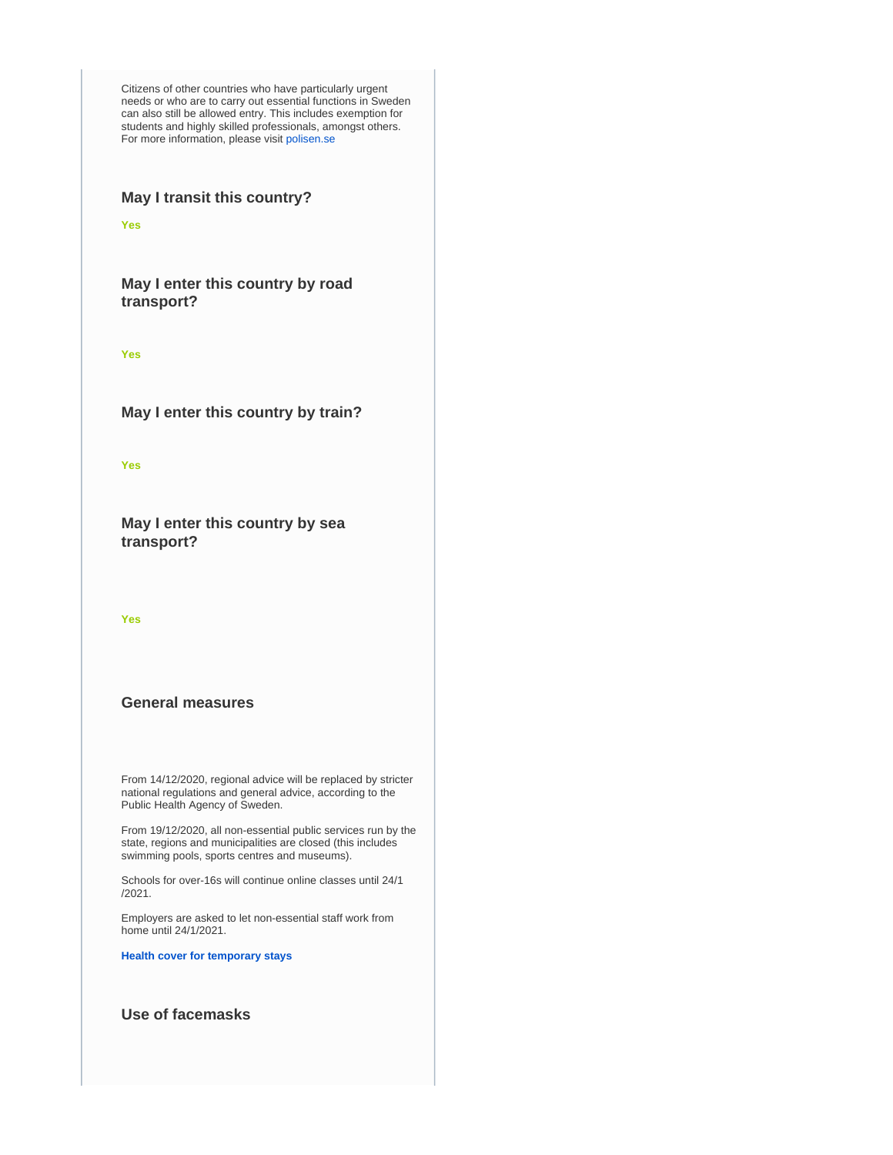Citizens of other countries who have particularly urgent needs or who are to carry out essential functions in Sweden can also still be allowed entry. This includes exemption for students and highly skilled professionals, amongst others. For more information, please visit [polisen.se](https://polisen.se/en/the-swedish-police/the-coronavirus-and-the-swedish-police/faq)

# **May I transit this country?**

**Yes**

**May I enter this country by road transport?**

**Yes**

**May I enter this country by train?**

**Yes**

**May I enter this country by sea transport?**

**Yes**

## **General measures**

From 14/12/2020, regional advice will be replaced by stricter national regulations and general advice, according to the Public Health Agency of Sweden.

From 19/12/2020, all non-essential public services run by the state, regions and municipalities are closed (this includes swimming pools, sports centres and museums).

Schools for over-16s will continue online classes until 24/1 /2021.

Employers are asked to let non-essential staff work from home until 24/1/2021.

**[Health cover for temporary stays](https://europa.eu/youreurope/citizens/health/unplanned-healthcare/temporary-stays/index_en.htm)**

# **Use of facemasks**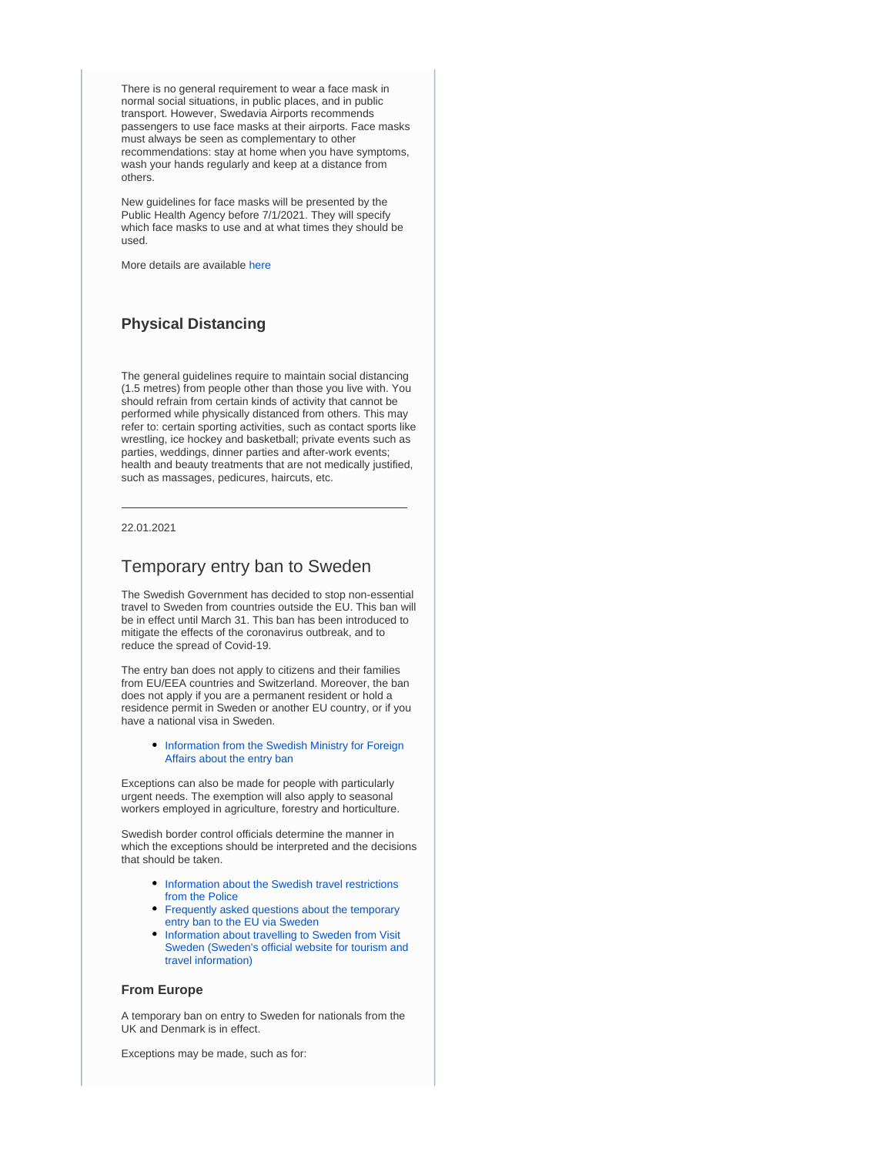There is no general requirement to wear a face mask in normal social situations, in public places, and in public transport. However, Swedavia Airports recommends passengers to use face masks at their airports. Face masks must always be seen as complementary to other recommendations: stay at home when you have symptoms, wash your hands regularly and keep at a distance from others.

New guidelines for face masks will be presented by the Public Health Agency before 7/1/2021. They will specify which face masks to use and at what times they should be used.

More details are available [here](https://www.folkhalsomyndigheten.se/smittskydd-beredskap/utbrott/aktuella-utbrott/covid-19/om-sjukdomen-och-smittspridning/smittspridning/munskydd/)

## **Physical Distancing**

The general guidelines require to maintain social distancing (1.5 metres) from people other than those you live with. You should refrain from certain kinds of activity that cannot be performed while physically distanced from others. This may refer to: certain sporting activities, such as contact sports like wrestling, ice hockey and basketball; private events such as parties, weddings, dinner parties and after-work events; health and beauty treatments that are not medically justified, such as massages, pedicures, haircuts, etc.

#### 22.01.2021

## Temporary entry ban to Sweden

The Swedish Government has decided to stop non-essential travel to Sweden from countries outside the EU. This ban will be in effect until March 31. This ban has been introduced to mitigate the effects of the coronavirus outbreak, and to reduce the spread of Covid-19.

The entry ban does not apply to citizens and their families from EU/EEA countries and Switzerland. Moreover, the ban does not apply if you are a permanent resident or hold a residence permit in Sweden or another EU country, or if you have a national visa in Sweden.

#### • Information from the Swedish Ministry for Foreign [Affairs about the entry ban](https://www.swedenabroad.se/en/about-sweden-non-swedish-citizens/going-to-sweden/temporary-ban-on-travel-to-sweden/)

Exceptions can also be made for people with particularly urgent needs. The exemption will also apply to seasonal workers employed in agriculture, forestry and horticulture.

Swedish border control officials determine the manner in which the exceptions should be interpreted and the decisions that should be taken.

- Information about the Swedish travel restrictions [from the Police](https://polisen.se/en/the-swedish-police/the-coronavirus-and-the-swedish-police/travel-to-and-from-sweden/)
- [Frequently asked questions about the temporary](https://polisen.se/en/the-swedish-police/the-coronavirus-and-the-swedish-police/faq/)  [entry ban to the EU via Sweden](https://polisen.se/en/the-swedish-police/the-coronavirus-and-the-swedish-police/faq/)
- Information about travelling to Sweden from Visit [Sweden \(Sweden's official website for tourism and](https://visitsweden.com/about-sweden/information-for-travellers-corona-virus/)  [travel information\)](https://visitsweden.com/about-sweden/information-for-travellers-corona-virus/)

#### **From Europe**

A temporary ban on entry to Sweden for nationals from the UK and Denmark is in effect.

Exceptions may be made, such as for: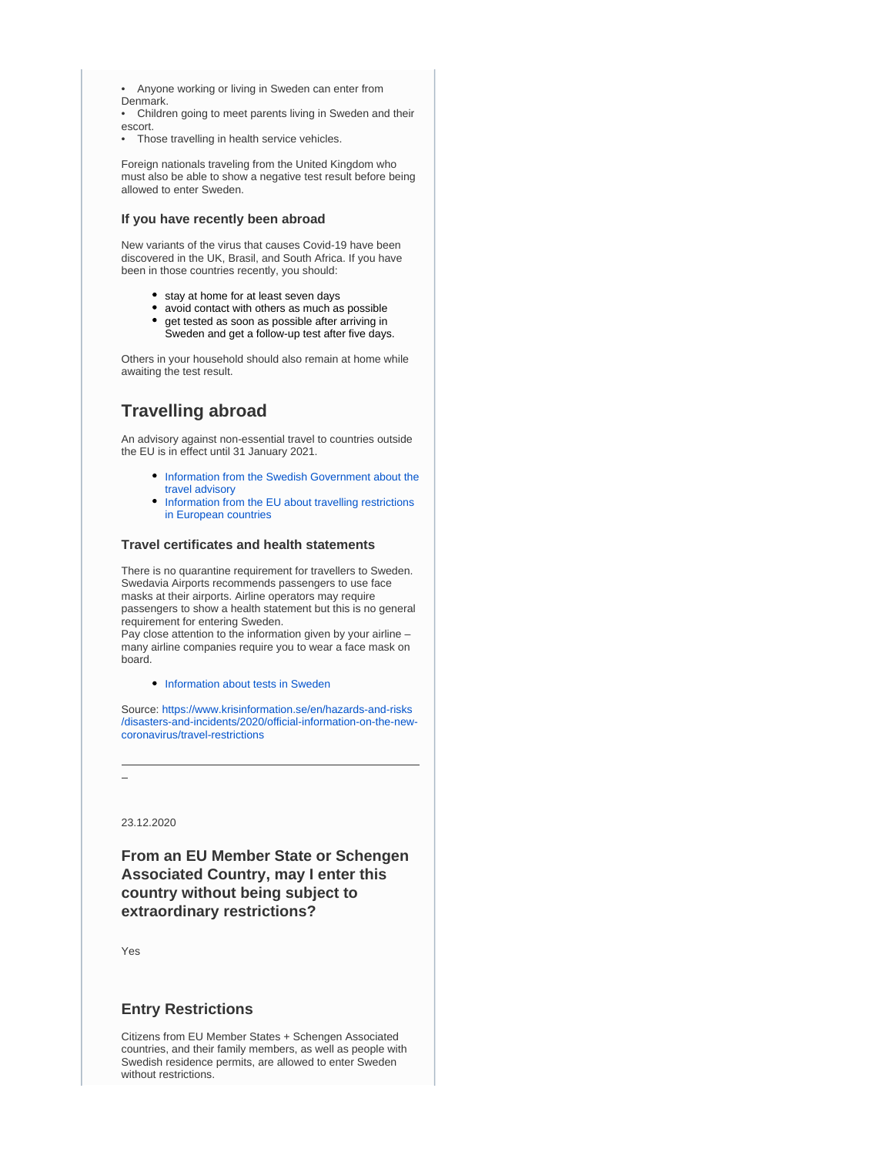- Anyone working or living in Sweden can enter from Denmark.
- Children going to meet parents living in Sweden and their escort.
- Those travelling in health service vehicles.

Foreign nationals traveling from the United Kingdom who must also be able to show a negative test result before being allowed to enter Sweden.

#### **If you have recently been abroad**

New variants of the virus that causes Covid-19 have been discovered in the UK, Brasil, and South Africa. If you have been in those countries recently, you should:

- stay at home for at least seven days
- $\bullet$ avoid contact with others as much as possible get tested as soon as possible after arriving in
- Sweden and get a follow-up test after five days.

Others in your household should also remain at home while awaiting the test result.

# **Travelling abroad**

An advisory against non-essential travel to countries outside the EU is in effect until 31 January 2021.

- **Information from the Swedish Government about the** [travel advisory](https://www.government.se/press-releases/2020/05/travel-abroad--advice-against-travel-to-all-countries-extended/)
- [Information from the EU about travelling restrictions](https://ec.europa.eu/transport/coronavirus-response_en)  [in European countries](https://ec.europa.eu/transport/coronavirus-response_en)

#### **Travel certificates and health statements**

There is no quarantine requirement for travellers to Sweden. Swedavia Airports recommends passengers to use face masks at their airports. Airline operators may require passengers to show a health statement but this is no general requirement for entering Sweden.

Pay close attention to the information given by your airline – many airline companies require you to wear a face mask on board.

• [Information about tests in Sweden](https://www.krisinformation.se/en/hazards-and-risks/disasters-and-incidents/2020/official-information-on-the-new-coronavirus/tests-vaccine-and-treatments/)

Source: [https://www.krisinformation.se/en/hazards-and-risks](https://www.krisinformation.se/en/hazards-and-risks/disasters-and-incidents/2020/official-information-on-the-new-coronavirus/travel-restrictions) [/disasters-and-incidents/2020/official-information-on-the-new](https://www.krisinformation.se/en/hazards-and-risks/disasters-and-incidents/2020/official-information-on-the-new-coronavirus/travel-restrictions)[coronavirus/travel-restrictions](https://www.krisinformation.se/en/hazards-and-risks/disasters-and-incidents/2020/official-information-on-the-new-coronavirus/travel-restrictions)

23.12.2020

**From an EU Member State or Schengen Associated Country, may I enter this country without being subject to extraordinary restrictions?**

Yes

## **Entry Restrictions**

Citizens from EU Member States + Schengen Associated countries, and their family members, as well as people with Swedish residence permits, are allowed to enter Sweden without restrictions.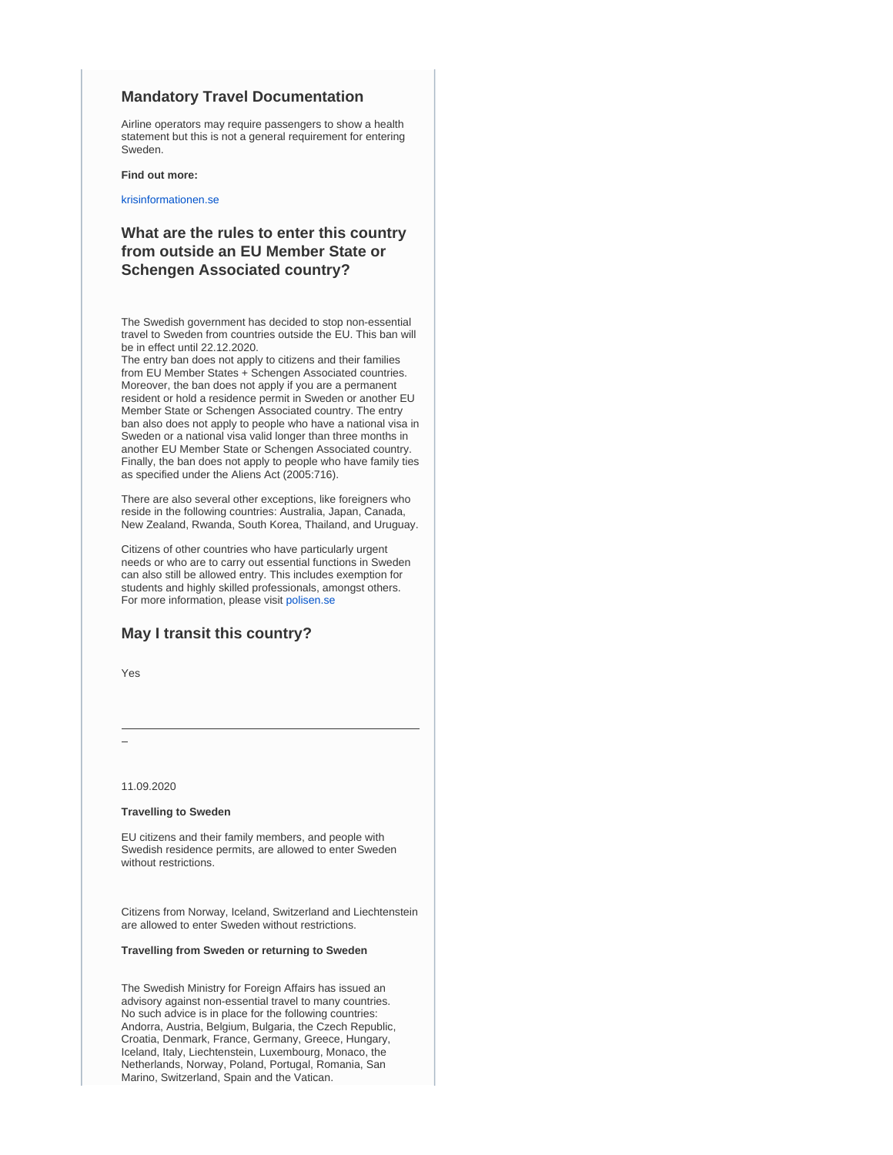### **Mandatory Travel Documentation**

Airline operators may require passengers to show a health statement but this is not a general requirement for entering Sweden.

**Find out more:**

[krisinformationen.se](https://www.krisinformation.se/en/hazards-and-risks/disasters-and-incidents/2020/official-information-on-the-new-coronavirus/travel-restrictions)

# **What are the rules to enter this country from outside an EU Member State or Schengen Associated country?**

The Swedish government has decided to stop non-essential travel to Sweden from countries outside the EU. This ban will be in effect until 22.12.2020.

The entry ban does not apply to citizens and their families from EU Member States + Schengen Associated countries. Moreover, the ban does not apply if you are a permanent resident or hold a residence permit in Sweden or another EU Member State or Schengen Associated country. The entry ban also does not apply to people who have a national visa in Sweden or a national visa valid longer than three months in another EU Member State or Schengen Associated country. Finally, the ban does not apply to people who have family ties as specified under the Aliens Act (2005:716).

There are also several other exceptions, like foreigners who reside in the following countries: Australia, Japan, Canada, New Zealand, Rwanda, South Korea, Thailand, and Uruguay.

Citizens of other countries who have particularly urgent needs or who are to carry out essential functions in Sweden can also still be allowed entry. This includes exemption for students and highly skilled professionals, amongst others. For more information, please visit [polisen.se](https://polisen.se/en/the-swedish-police/the-coronavirus-and-the-swedish-police/faq)

## **May I transit this country?**

Yes

11.09.2020

#### **Travelling to Sweden**

EU citizens and their family members, and people with Swedish residence permits, are allowed to enter Sweden without restrictions.

Citizens from Norway, Iceland, Switzerland and Liechtenstein are allowed to enter Sweden without restrictions.

#### **Travelling from Sweden or returning to Sweden**

The Swedish Ministry for Foreign Affairs has issued an advisory against non-essential travel to many countries. No such advice is in place for the following countries: Andorra, Austria, Belgium, Bulgaria, the Czech Republic, Croatia, Denmark, France, Germany, Greece, Hungary, Iceland, Italy, Liechtenstein, Luxembourg, Monaco, the Netherlands, Norway, Poland, Portugal, Romania, San Marino, Switzerland, Spain and the Vatican.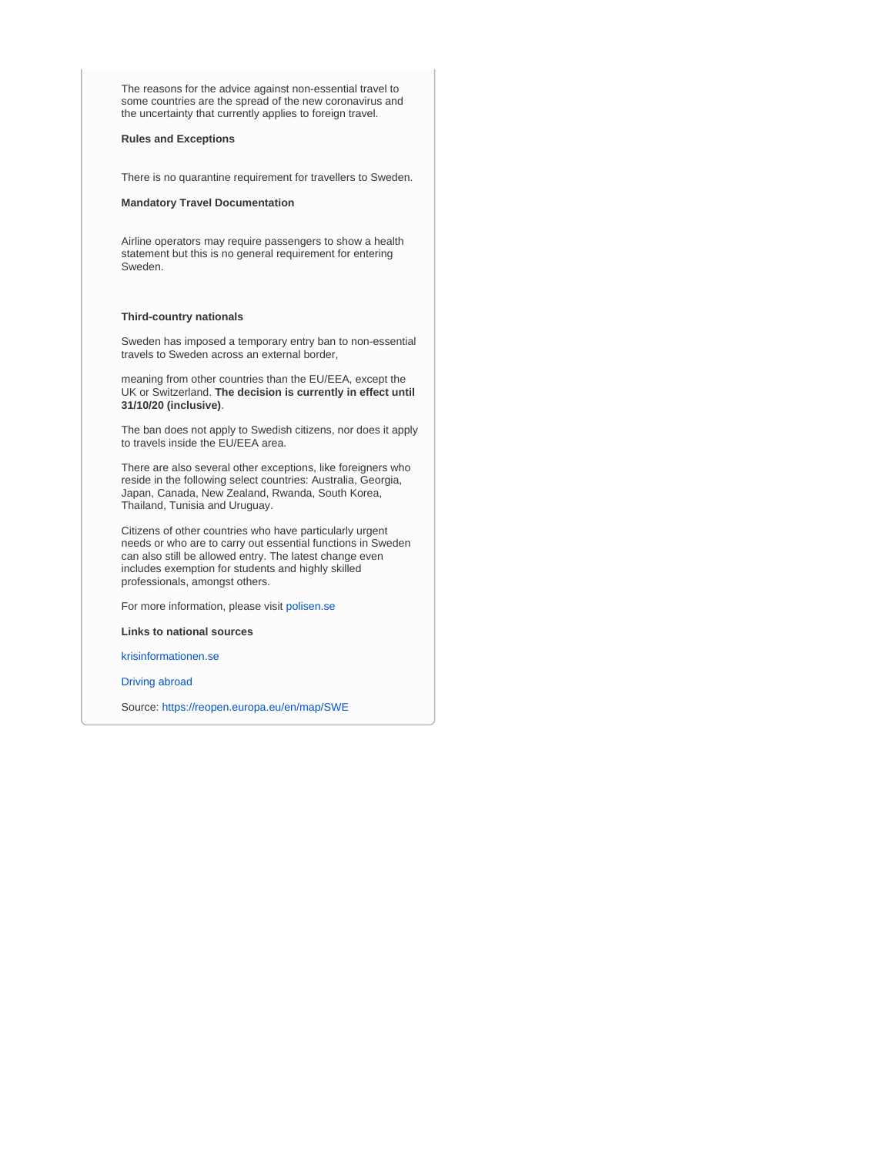The reasons for the advice against non-essential travel to some countries are the spread of the new coronavirus and the uncertainty that currently applies to foreign travel.

#### **Rules and Exceptions**

There is no quarantine requirement for travellers to Sweden.

#### **Mandatory Travel Documentation**

Airline operators may require passengers to show a health statement but this is no general requirement for entering Sweden.

#### **Third-country nationals**

Sweden has imposed a temporary entry ban to non-essential travels to Sweden across an external border,

meaning from other countries than the EU/EEA, except the UK or Switzerland. **The decision is currently in effect until 31/10/20 (inclusive)**.

The ban does not apply to Swedish citizens, nor does it apply to travels inside the EU/EEA area.

There are also several other exceptions, like foreigners who reside in the following select countries: Australia, Georgia, Japan, Canada, New Zealand, Rwanda, South Korea, Thailand, Tunisia and Uruguay.

Citizens of other countries who have particularly urgent needs or who are to carry out essential functions in Sweden can also still be allowed entry. The latest change even includes exemption for students and highly skilled professionals, amongst others.

For more information, please visit [polisen.se](https://polisen.se/en/the-swedish-police/the-coronavirus-and-the-swedish-police/faq)

**Links to national sources**

[krisinformationen.se](https://www.krisinformation.se/en/hazards-and-risks/disasters-and-incidents/2020/official-information-on-the-new-coronavirus/travel-restrictions)

[Driving abroad](https://europa.eu/youreurope/citizens/travel/driving-abroad/index_en.htm)

Source:<https://reopen.europa.eu/en/map/SWE>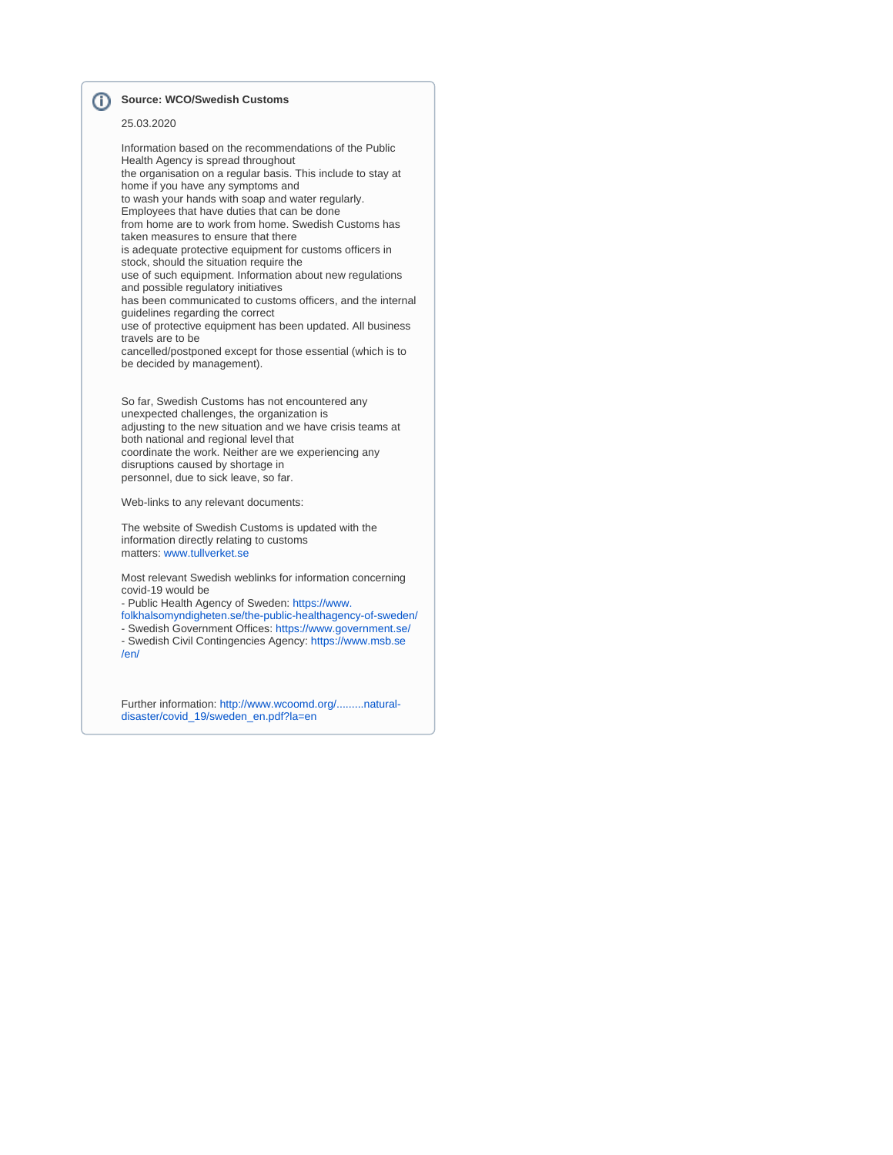#### **Source: WCO/Swedish Customs** ⊕

### 25.03.2020

Information based on the recommendations of the Public Health Agency is spread throughout the organisation on a regular basis. This include to stay at home if you have any symptoms and to wash your hands with soap and water regularly. Employees that have duties that can be done from home are to work from home. Swedish Customs has taken measures to ensure that there is adequate protective equipment for customs officers in stock, should the situation require the use of such equipment. Information about new regulations and possible regulatory initiatives has been communicated to customs officers, and the internal guidelines regarding the correct use of protective equipment has been updated. All business travels are to be cancelled/postponed except for those essential (which is to be decided by management).

So far, Swedish Customs has not encountered any unexpected challenges, the organization is adjusting to the new situation and we have crisis teams at both national and regional level that coordinate the work. Neither are we experiencing any disruptions caused by shortage in personnel, due to sick leave, so far.

Web-links to any relevant documents:

The website of Swedish Customs is updated with the information directly relating to customs matters: [www.tullverket.se](http://www.tullverket.se)

Most relevant Swedish weblinks for information concerning covid-19 would be

- Public Health Agency of Sweden: [https://www.](https://www.folkhalsomyndigheten.se/the-public-healthagency-of-sweden/)

[folkhalsomyndigheten.se/the-public-healthagency-of-sweden/](https://www.folkhalsomyndigheten.se/the-public-healthagency-of-sweden/) - Swedish Government Offices:<https://www.government.se/>

- Swedish Civil Contingencies Agency: [https://www.msb.se](https://www.msb.se/en/) [/en/](https://www.msb.se/en/)

Further information: [http://www.wcoomd.org/.........natural](http://www.wcoomd.org/-/media/wco/public/global/pdf/topics/facilitation/activities-and-programmes/natural-disaster/covid_19/sweden_en.pdf?la=en)[disaster/covid\\_19/sweden\\_en.pdf?la=en](http://www.wcoomd.org/-/media/wco/public/global/pdf/topics/facilitation/activities-and-programmes/natural-disaster/covid_19/sweden_en.pdf?la=en)